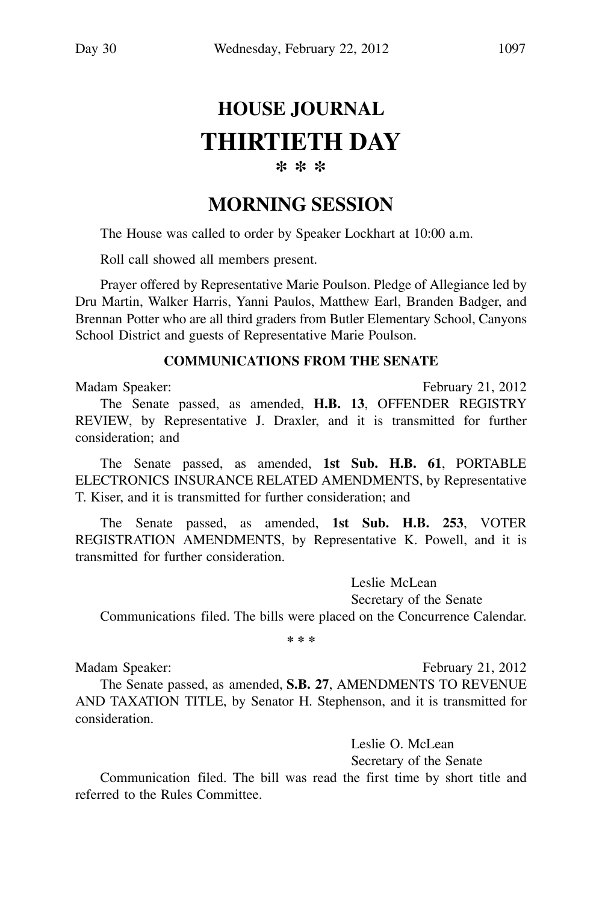# **HOUSE JOURNAL THIRTIETH DAY**

#### **\* \* \***

# **MORNING SESSION**

The House was called to order by Speaker Lockhart at 10:00 a.m.

Roll call showed all members present.

Prayer offered by Representative Marie Poulson. Pledge of Allegiance led by Dru Martin, Walker Harris, Yanni Paulos, Matthew Earl, Branden Badger, and Brennan Potter who are all third graders from Butler Elementary School, Canyons School District and guests of Representative Marie Poulson.

#### **COMMUNICATIONS FROM THE SENATE**

Madam Speaker: Electronic Contract Contract Contract Contract Contract Contract Contract Contract Contract Contract Contract Contract Contract Contract Contract Contract Contract Contract Contract Contract Contract Contrac The Senate passed, as amended, **H.B. 13**, OFFENDER REGISTRY REVIEW, by Representative J. Draxler, and it is transmitted for further consideration; and

The Senate passed, as amended, **1st Sub. H.B. 61**, PORTABLE ELECTRONICS INSURANCE RELATED AMENDMENTS, by Representative T. Kiser, and it is transmitted for further consideration; and

The Senate passed, as amended, **1st Sub. H.B. 253**, VOTER REGISTRATION AMENDMENTS, by Representative K. Powell, and it is transmitted for further consideration.

Leslie McLean Secretary of the Senate Communications filed. The bills were placed on the Concurrence Calendar.

**\* \* \***

Madam Speaker: February 21, 2012

The Senate passed, as amended, **S.B. 27**, AMENDMENTS TO REVENUE AND TAXATION TITLE, by Senator H. Stephenson, and it is transmitted for consideration.

> Leslie O. McLean Secretary of the Senate

Communication filed. The bill was read the first time by short title and referred to the Rules Committee.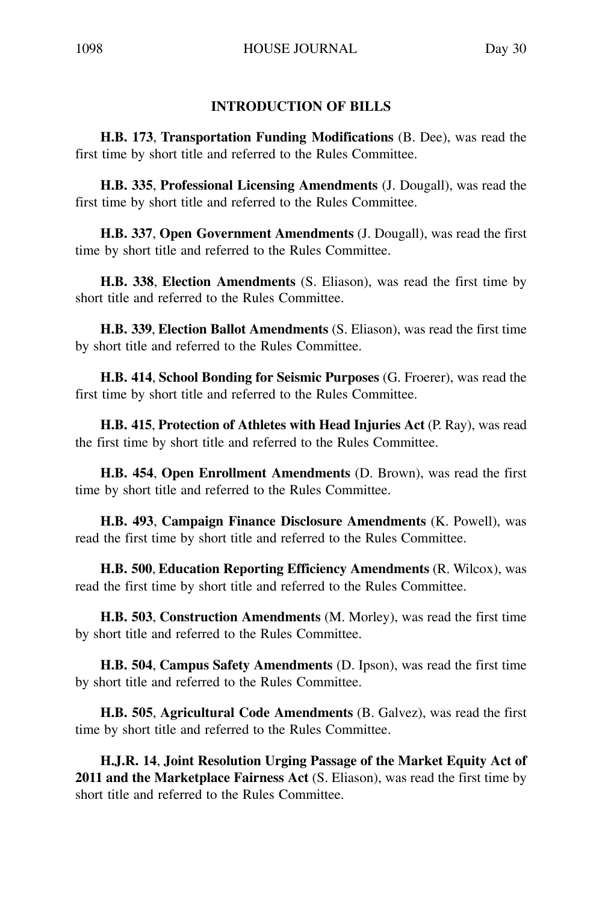#### **INTRODUCTION OF BILLS**

**H.B. 173**, **Transportation Funding Modifications** (B. Dee), was read the first time by short title and referred to the Rules Committee.

**H.B. 335**, **Professional Licensing Amendments** (J. Dougall), was read the first time by short title and referred to the Rules Committee.

**H.B. 337**, **Open Government Amendments** (J. Dougall), was read the first time by short title and referred to the Rules Committee.

**H.B. 338**, **Election Amendments** (S. Eliason), was read the first time by short title and referred to the Rules Committee.

**H.B. 339**, **Election Ballot Amendments** (S. Eliason), was read the first time by short title and referred to the Rules Committee.

**H.B. 414**, **School Bonding for Seismic Purposes** (G. Froerer), was read the first time by short title and referred to the Rules Committee.

**H.B. 415**, **Protection of Athletes with Head Injuries Act** (P. Ray), was read the first time by short title and referred to the Rules Committee.

**H.B. 454**, **Open Enrollment Amendments** (D. Brown), was read the first time by short title and referred to the Rules Committee.

**H.B. 493**, **Campaign Finance Disclosure Amendments** (K. Powell), was read the first time by short title and referred to the Rules Committee.

**H.B. 500**, **Education Reporting Efficiency Amendments** (R. Wilcox), was read the first time by short title and referred to the Rules Committee.

**H.B. 503**, **Construction Amendments** (M. Morley), was read the first time by short title and referred to the Rules Committee.

**H.B. 504**, **Campus Safety Amendments** (D. Ipson), was read the first time by short title and referred to the Rules Committee.

**H.B. 505**, **Agricultural Code Amendments** (B. Galvez), was read the first time by short title and referred to the Rules Committee.

**H.J.R. 14**, **Joint Resolution Urging Passage of the Market Equity Act of 2011 and the Marketplace Fairness Act** (S. Eliason), was read the first time by short title and referred to the Rules Committee.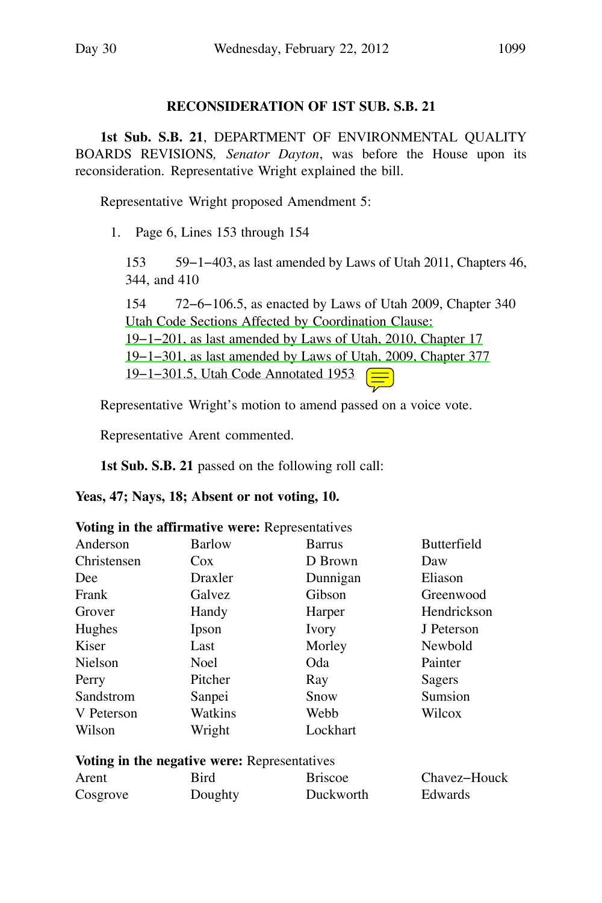#### **RECONSIDERATION OF 1ST SUB. S.B. 21**

**1st Sub. S.B. 21**, DEPARTMENT OF ENVIRONMENTAL QUALITY BOARDS REVISIONS*, Senator Dayton*, was before the House upon its reconsideration. Representative Wright explained the bill.

Representative Wright proposed Amendment 5:

1. Page 6, Lines 153 through 154

153 59−1−403, as last amended by Laws of Utah 2011, Chapters 46, 344, and 410

154 72−6−106.5, as enacted by Laws of Utah 2009, Chapter 340 Utah Code Sections Affected by Coordination Clause: 19−1−201, as last amended by Laws of Utah, 2010, Chapter 17 19−1−301, as last amended by Laws of Utah, 2009, Chapter 377 19−1−301.5, Utah Code Annotated 1953

Representative Wright's motion to amend passed on a voice vote.

Representative Arent commented.

**1st Sub. S.B. 21** passed on the following roll call:

**Yeas, 47; Nays, 18; Absent or not voting, 10.**

|  |  |  |  |  |  |  | Voting in the affirmative were: Representatives |  |
|--|--|--|--|--|--|--|-------------------------------------------------|--|
|--|--|--|--|--|--|--|-------------------------------------------------|--|

| Anderson    | Barlow                                       | <b>Barrus</b>  | <b>Butterfield</b> |
|-------------|----------------------------------------------|----------------|--------------------|
| Christensen | Cox.                                         | D Brown        | Daw                |
| Dee         | Draxler                                      | Dunnigan       | Eliason            |
| Frank       | Galvez                                       | Gibson         | Greenwood          |
| Grover      | Handy                                        | Harper         | Hendrickson        |
| Hughes      | Ipson                                        | Ivory          | J Peterson         |
| Kiser       | Last                                         | Morley         | Newbold            |
| Nielson     | <b>Noel</b>                                  | Oda            | Painter            |
| Perry       | Pitcher                                      | Ray            | Sagers             |
| Sandstrom   | Sanpei                                       | Snow           | Sumsion            |
| V Peterson  | Watkins                                      | Webb           | Wilcox             |
| Wilson      | Wright                                       | Lockhart       |                    |
|             | Voting in the negative were: Representatives |                |                    |
| Arent       | Bird                                         | <b>Briscoe</b> | Chavez-Houck       |
| Cosgrove    | Doughty                                      | Duckworth      | Edwards            |
|             |                                              |                |                    |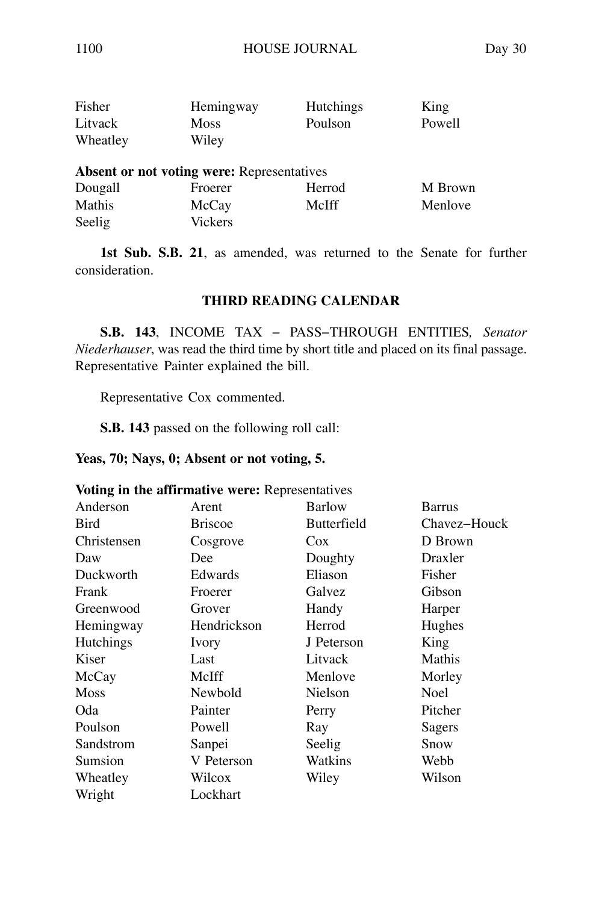| Fisher   | Hemingway                                         | <b>Hutchings</b> | King    |
|----------|---------------------------------------------------|------------------|---------|
| Litvack  | <b>Moss</b>                                       | Poulson          | Powell  |
| Wheatley | Wiley                                             |                  |         |
|          | <b>Absent or not voting were:</b> Representatives |                  |         |
| Dougall  | Froerer                                           | Herrod           | M Brown |
|          |                                                   |                  |         |
| Mathis   | McCay                                             | McIff            | Menlove |

**1st Sub. S.B. 21**, as amended, was returned to the Senate for further consideration.

#### **THIRD READING CALENDAR**

**S.B. 143**, INCOME TAX − PASS−THROUGH ENTITIES*, Senator Niederhauser*, was read the third time by short title and placed on its final passage. Representative Painter explained the bill.

Representative Cox commented.

**S.B. 143** passed on the following roll call:

#### **Yeas, 70; Nays, 0; Absent or not voting, 5.**

|  |  | Voting in the affirmative were: Representatives |  |  |  |
|--|--|-------------------------------------------------|--|--|--|
|--|--|-------------------------------------------------|--|--|--|

| Anderson         | Arent          | <b>Barlow</b>      | Barrus       |
|------------------|----------------|--------------------|--------------|
| Bird             | <b>Briscoe</b> | <b>Butterfield</b> | Chavez-Houck |
| Christensen      | Cosgrove       | Cox                | D Brown      |
| Daw              | Dee            | Doughty            | Draxler      |
| Duckworth        | Edwards        | Eliason            | Fisher       |
| Frank            | Froerer        | Galvez             | Gibson       |
| Greenwood        | Grover         | Handy              | Harper       |
| Hemingway        | Hendrickson    | Herrod             | Hughes       |
| <b>Hutchings</b> | Ivory          | J Peterson         | King         |
| Kiser            | Last           | Litvack            | Mathis       |
| McCay            | McIff          | Menlove            | Morley       |
| <b>Moss</b>      | Newbold        | Nielson            | Noel         |
| Oda              | Painter        | Perry              | Pitcher      |
| Poulson          | Powell         | Ray                | Sagers       |
| Sandstrom        | Sanpei         | Seelig             | Snow         |
| Sumsion          | V Peterson     | Watkins            | Webb         |
| Wheatley         | Wilcox         | Wiley              | Wilson       |
| Wright           | Lockhart       |                    |              |
|                  |                |                    |              |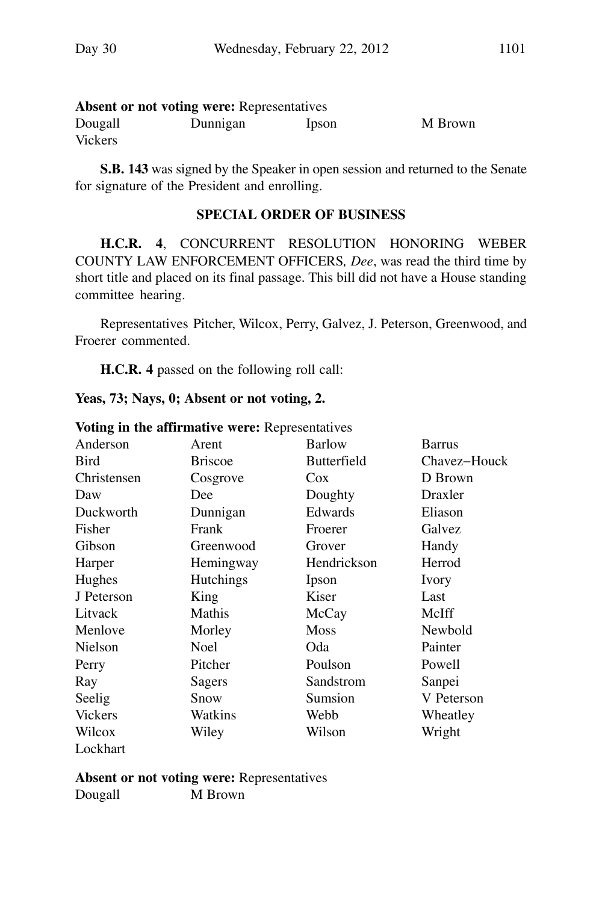| <b>Absent or not voting were: Representatives</b> |          |       |         |  |  |  |
|---------------------------------------------------|----------|-------|---------|--|--|--|
| Dougall                                           | Dunnigan | Ipson | M Brown |  |  |  |
| Vickers                                           |          |       |         |  |  |  |

**S.B. 143** was signed by the Speaker in open session and returned to the Senate for signature of the President and enrolling.

#### **SPECIAL ORDER OF BUSINESS**

**H.C.R. 4**, CONCURRENT RESOLUTION HONORING WEBER COUNTY LAW ENFORCEMENT OFFICERS*, Dee*, was read the third time by short title and placed on its final passage. This bill did not have a House standing committee hearing.

Representatives Pitcher, Wilcox, Perry, Galvez, J. Peterson, Greenwood, and Froerer commented.

**H.C.R. 4** passed on the following roll call:

|  |  |  |  | Yeas, 73; Nays, 0; Absent or not voting, 2. |  |  |  |
|--|--|--|--|---------------------------------------------|--|--|--|
|--|--|--|--|---------------------------------------------|--|--|--|

|                | voluig in the annimative were: respresentatives |                    |               |
|----------------|-------------------------------------------------|--------------------|---------------|
| Anderson       | Arent                                           | <b>Barlow</b>      | <b>Barrus</b> |
| Bird           | <b>Briscoe</b>                                  | <b>Butterfield</b> | Chavez-Houck  |
| Christensen    | Cosgrove                                        | Cox                | D Brown       |
| Daw            | Dee                                             | Doughty            | Draxler       |
| Duckworth      | Dunnigan                                        | Edwards            | Eliason       |
| Fisher         | Frank                                           | Froerer            | Galvez        |
| Gibson         | Greenwood                                       | Grover             | Handy         |
| Harper         | Hemingway                                       | Hendrickson        | Herrod        |
| Hughes         | <b>Hutchings</b>                                | Ipson              | Ivory         |
| J Peterson     | King                                            | Kiser              | Last          |
| Litvack        | Mathis                                          | McCay              | McIff         |
| Menlove        | Morley                                          | <b>Moss</b>        | Newbold       |
| Nielson        | <b>Noel</b>                                     | Oda                | Painter       |
| Perry          | Pitcher                                         | Poulson            | Powell        |
| Ray            | Sagers                                          | Sandstrom          | Sanpei        |
| Seelig         | Snow                                            | Sumsion            | V Peterson    |
| <b>Vickers</b> | Watkins                                         | Webb               | Wheatley      |
| Wilcox         | Wiley                                           | Wilson             | Wright        |
| Lockhart       |                                                 |                    |               |

#### **Voting in the affirmative were:** Representatives

**Absent or not voting were:** Representatives Dougall M Brown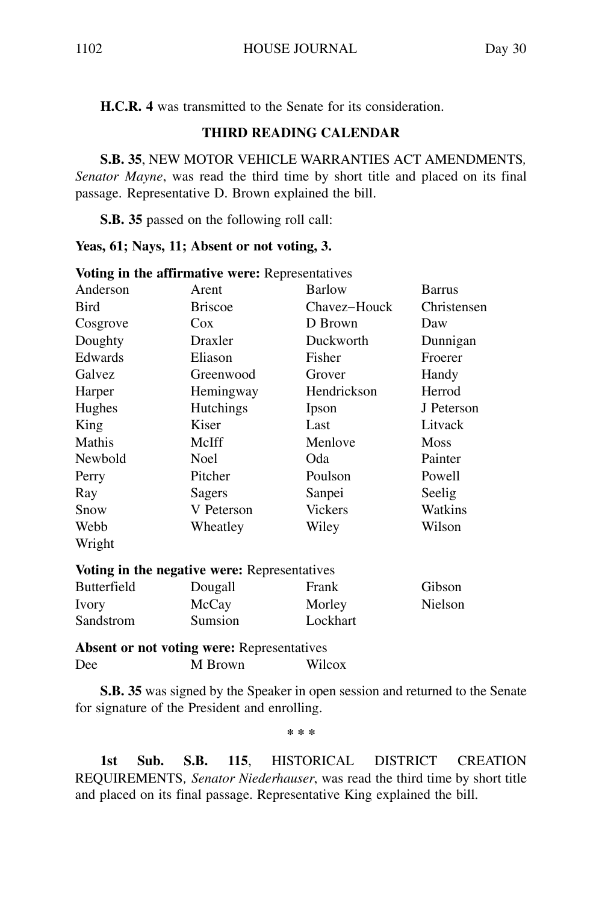**H.C.R. 4** was transmitted to the Senate for its consideration.

#### **THIRD READING CALENDAR**

**S.B. 35**, NEW MOTOR VEHICLE WARRANTIES ACT AMENDMENTS*, Senator Mayne*, was read the third time by short title and placed on its final passage. Representative D. Brown explained the bill.

**S.B. 35** passed on the following roll call:

#### **Yeas, 61; Nays, 11; Absent or not voting, 3.**

| Anderson           | Arent                                        | Barlow         | Barrus      |
|--------------------|----------------------------------------------|----------------|-------------|
| <b>Bird</b>        | <b>Briscoe</b>                               | Chavez-Houck   | Christensen |
| Cosgrove           | Cox                                          | D Brown        | Daw         |
| Doughty            | Draxler                                      | Duckworth      | Dunnigan    |
| Edwards            | Eliason                                      | Fisher         | Froerer     |
| Galvez             | Greenwood                                    | Grover         | Handy       |
| Harper             | Hemingway                                    | Hendrickson    | Herrod      |
| Hughes             | Hutchings                                    | Ipson          | J Peterson  |
| King               | Kiser                                        | Last           | Litvack     |
| Mathis             | McIff                                        | Menlove        | <b>Moss</b> |
| Newbold            | <b>Noel</b>                                  | Oda            | Painter     |
| Perry              | Pitcher                                      | Poulson        | Powell      |
| Ray                | Sagers                                       | Sanpei         | Seelig      |
| Snow               | V Peterson                                   | <b>Vickers</b> | Watkins     |
| Webb               | Wheatley                                     | Wiley          | Wilson      |
| Wright             |                                              |                |             |
|                    | Voting in the negative were: Representatives |                |             |
| <b>Butterfield</b> | Dougall                                      | Frank          | Gibson      |

#### **Voting in the affirmative were:** Representatives

|                    | TOWARD AND WAND INVESTIGATION IN SERVICE DESCRIPTION TO A |          |         |
|--------------------|-----------------------------------------------------------|----------|---------|
| <b>Butterfield</b> | Dougall                                                   | Frank    | Gibson  |
| Ivory              | McCay                                                     | Morley   | Nielson |
| Sandstrom          | Sumsion                                                   | Lockhart |         |

**Absent or not voting were:** Representatives Dee M Brown Wilcox

**S.B. 35** was signed by the Speaker in open session and returned to the Senate for signature of the President and enrolling.

**\* \* \***

**1st Sub. S.B. 115**, HISTORICAL DISTRICT CREATION REQUIREMENTS*, Senator Niederhauser*, was read the third time by short title and placed on its final passage. Representative King explained the bill.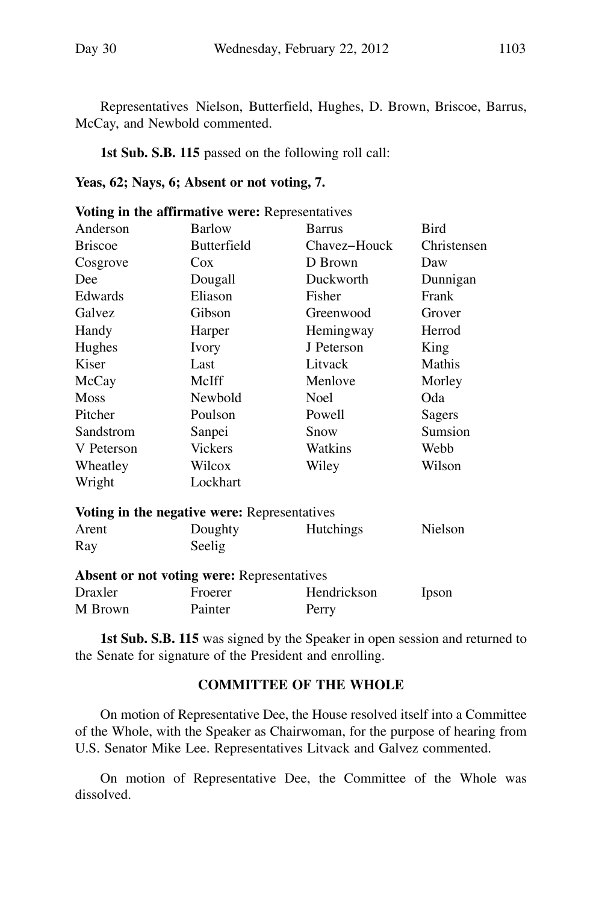Representatives Nielson, Butterfield, Hughes, D. Brown, Briscoe, Barrus, McCay, and Newbold commented.

**1st Sub. S.B. 115** passed on the following roll call:

#### **Yeas, 62; Nays, 6; Absent or not voting, 7.**

|                | Voting in the affirmative were: Representatives   |              |                |
|----------------|---------------------------------------------------|--------------|----------------|
| Anderson       | Barlow                                            | Barrus       | <b>Bird</b>    |
| <b>Briscoe</b> | <b>Butterfield</b>                                | Chavez-Houck | Christensen    |
| Cosgrove       | Cox                                               | D Brown      | Daw            |
| Dee            | Dougall                                           | Duckworth    | Dunnigan       |
| Edwards        | Eliason                                           | Fisher       | Frank          |
| Galvez         | Gibson                                            | Greenwood    | Grover         |
| Handy          | Harper                                            | Hemingway    | Herrod         |
| Hughes         | Ivory                                             | J Peterson   | King           |
| Kiser          | Last                                              | Litvack      | Mathis         |
| McCay          | McIff                                             | Menlove      | Morley         |
| <b>Moss</b>    | Newbold                                           | <b>Noel</b>  | Oda            |
| Pitcher        | Poulson                                           | Powell       | Sagers         |
| Sandstrom      | Sanpei                                            | Snow         | Sumsion        |
| V Peterson     | <b>Vickers</b>                                    | Watkins      | Webb           |
| Wheatley       | Wilcox                                            | Wiley        | Wilson         |
| Wright         | Lockhart                                          |              |                |
|                | Voting in the negative were: Representatives      |              |                |
| Arent          | Doughty                                           | Hutchings    | <b>Nielson</b> |
| Ray            | Seelig                                            |              |                |
|                | <b>Absent or not voting were: Representatives</b> |              |                |
| Draxler        | Froerer                                           | Hendrickson  | Ipson          |
| M Brown        | Painter                                           | Perry        |                |

**1st Sub. S.B. 115** was signed by the Speaker in open session and returned to the Senate for signature of the President and enrolling.

#### **COMMITTEE OF THE WHOLE**

On motion of Representative Dee, the House resolved itself into a Committee of the Whole, with the Speaker as Chairwoman, for the purpose of hearing from U.S. Senator Mike Lee. Representatives Litvack and Galvez commented.

On motion of Representative Dee, the Committee of the Whole was dissolved.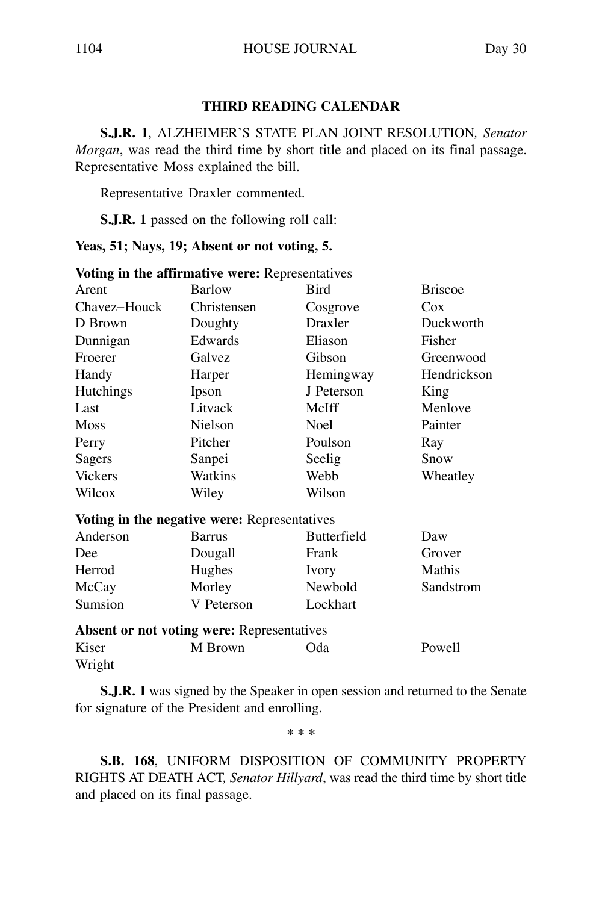#### **THIRD READING CALENDAR**

**S.J.R. 1**, ALZHEIMER'S STATE PLAN JOINT RESOLUTION*, Senator Morgan*, was read the third time by short title and placed on its final passage. Representative Moss explained the bill.

Representative Draxler commented.

**S.J.R. 1** passed on the following roll call:

**Yeas, 51; Nays, 19; Absent or not voting, 5.**

|                 | voling in the annimative were. Representatives    |                    |                |
|-----------------|---------------------------------------------------|--------------------|----------------|
| Arent           | <b>Barlow</b>                                     | Bird               | <b>Briscoe</b> |
| Chavez-Houck    | Christensen                                       | Cosgrove           | Cox            |
| D Brown         | Doughty                                           | Draxler            | Duckworth      |
| Dunnigan        | Edwards                                           | Eliason            | Fisher         |
| Froerer         | Galvez                                            | Gibson             | Greenwood      |
| Handy           | Harper                                            | Hemingway          | Hendrickson    |
| Hutchings       | Ipson                                             | J Peterson         | King           |
| Last            | Litvack                                           | McIff              | Menlove        |
| <b>Moss</b>     | Nielson                                           | Noel               | Painter        |
| Perry           | Pitcher                                           | Poulson            | Ray            |
| Sagers          | Sanpei                                            | Seelig             | Snow           |
| <b>Vickers</b>  | Watkins                                           | Webb               | Wheatley       |
| Wilcox          | Wiley                                             | Wilson             |                |
|                 | Voting in the negative were: Representatives      |                    |                |
| Anderson        | Barrus                                            | <b>Butterfield</b> | Daw            |
| Dee             | Dougall                                           | Frank              | Grover         |
| Herrod          | Hughes                                            | Ivory              | Mathis         |
| McCay           | Morley                                            | Newbold            | Sandstrom      |
| Sumsion         | V Peterson                                        | Lockhart           |                |
|                 | <b>Absent or not voting were: Representatives</b> |                    |                |
| Kiser<br>Wright | M Brown                                           | Oda                | Powell         |

**Voting in the affirmative were: Representatives** 

**S.J.R. 1** was signed by the Speaker in open session and returned to the Senate for signature of the President and enrolling.

**\* \* \***

**S.B. 168**, UNIFORM DISPOSITION OF COMMUNITY PROPERTY RIGHTS AT DEATH ACT*, Senator Hillyard*, was read the third time by short title and placed on its final passage.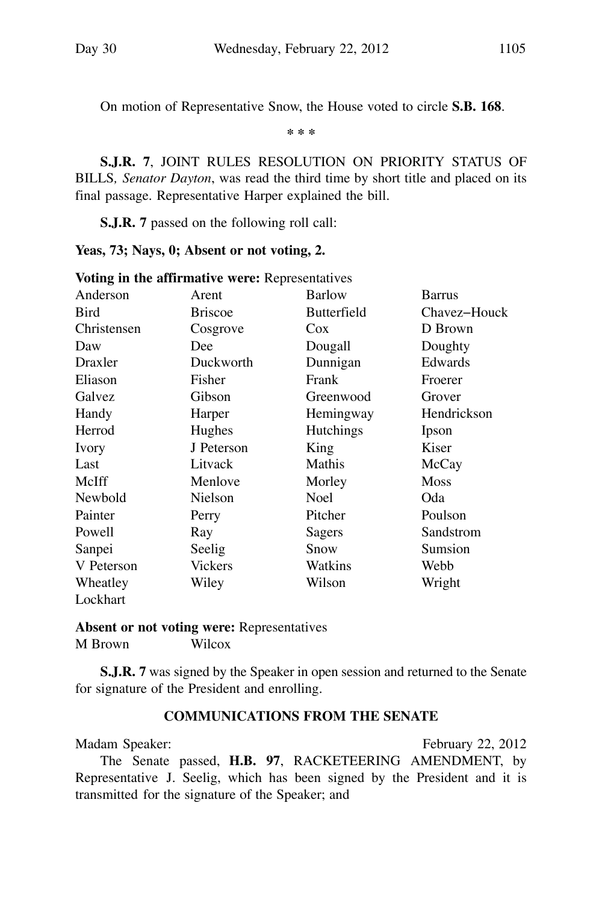On motion of Representative Snow, the House voted to circle **S.B. 168**.

**\* \* \***

**S.J.R. 7**, JOINT RULES RESOLUTION ON PRIORITY STATUS OF BILLS*, Senator Dayton*, was read the third time by short title and placed on its final passage. Representative Harper explained the bill.

**S.J.R. 7** passed on the following roll call:

#### **Yeas, 73; Nays, 0; Absent or not voting, 2.**

|             | voung in the annimative were: Representatives |                    |              |
|-------------|-----------------------------------------------|--------------------|--------------|
| Anderson    | Arent                                         | <b>Barlow</b>      | Barrus       |
| Bird        | <b>Briscoe</b>                                | <b>Butterfield</b> | Chavez–Houck |
| Christensen | Cosgrove                                      | Cox                | D Brown      |
| Daw         | Dee                                           | Dougall            | Doughty      |
| Draxler     | Duckworth                                     | Dunnigan           | Edwards      |
| Eliason     | Fisher                                        | Frank              | Froerer      |
| Galvez      | Gibson                                        | Greenwood          | Grover       |
| Handy       | Harper                                        | Hemingway          | Hendrickson  |
| Herrod      | Hughes                                        | <b>Hutchings</b>   | Ipson        |
| Ivory       | J Peterson                                    | King               | Kiser        |
| Last        | Litvack                                       | Mathis             | McCay        |
| McIff       | Menlove                                       | Morley             | <b>Moss</b>  |
| Newbold     | Nielson                                       | <b>Noel</b>        | Oda          |
| Painter     | Perry                                         | Pitcher            | Poulson      |
| Powell      | Ray                                           | Sagers             | Sandstrom    |
| Sanpei      | Seelig                                        | Snow               | Sumsion      |
| V Peterson  | <b>Vickers</b>                                | Watkins            | Webb         |
| Wheatley    | Wiley                                         | Wilson             | Wright       |
| Lockhart    |                                               |                    |              |

**Voting in the affirmative were:** Representatives

**Absent or not voting were:** Representatives M Brown Wilcox

**S.J.R. 7** was signed by the Speaker in open session and returned to the Senate for signature of the President and enrolling.

#### **COMMUNICATIONS FROM THE SENATE**

Madam Speaker: February 22, 2012 The Senate passed, **H.B. 97**, RACKETEERING AMENDMENT, by Representative J. Seelig, which has been signed by the President and it is transmitted for the signature of the Speaker; and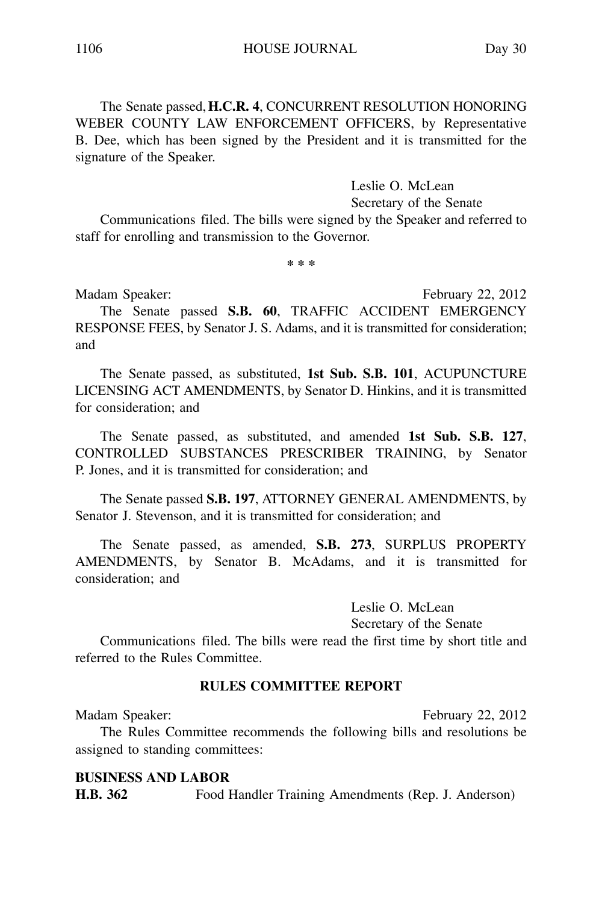The Senate passed, **H.C.R. 4**, CONCURRENT RESOLUTION HONORING WEBER COUNTY LAW ENFORCEMENT OFFICERS, by Representative B. Dee, which has been signed by the President and it is transmitted for the signature of the Speaker.

#### Leslie O. McLean

Secretary of the Senate

Communications filed. The bills were signed by the Speaker and referred to staff for enrolling and transmission to the Governor.

**\* \* \***

Madam Speaker: February 22, 2012

The Senate passed **S.B. 60**, TRAFFIC ACCIDENT EMERGENCY RESPONSE FEES, by Senator J. S. Adams, and it is transmitted for consideration; and

The Senate passed, as substituted, **1st Sub. S.B. 101**, ACUPUNCTURE LICENSING ACT AMENDMENTS, by Senator D. Hinkins, and it is transmitted for consideration; and

The Senate passed, as substituted, and amended **1st Sub. S.B. 127**, CONTROLLED SUBSTANCES PRESCRIBER TRAINING, by Senator P. Jones, and it is transmitted for consideration; and

The Senate passed **S.B. 197**, ATTORNEY GENERAL AMENDMENTS, by Senator J. Stevenson, and it is transmitted for consideration; and

The Senate passed, as amended, **S.B. 273**, SURPLUS PROPERTY AMENDMENTS, by Senator B. McAdams, and it is transmitted for consideration; and

> Leslie O. McLean Secretary of the Senate

Communications filed. The bills were read the first time by short title and referred to the Rules Committee.

#### **RULES COMMITTEE REPORT**

Madam Speaker: Electronic Contract Contract Contract Contract Contract Contract Contract Contract Contract Contract Contract Contract Contract Contract Contract Contract Contract Contract Contract Contract Contract Contrac The Rules Committee recommends the following bills and resolutions be assigned to standing committees:

#### **BUSINESS AND LABOR**

**H.B. 362** Food Handler Training Amendments (Rep. J. Anderson)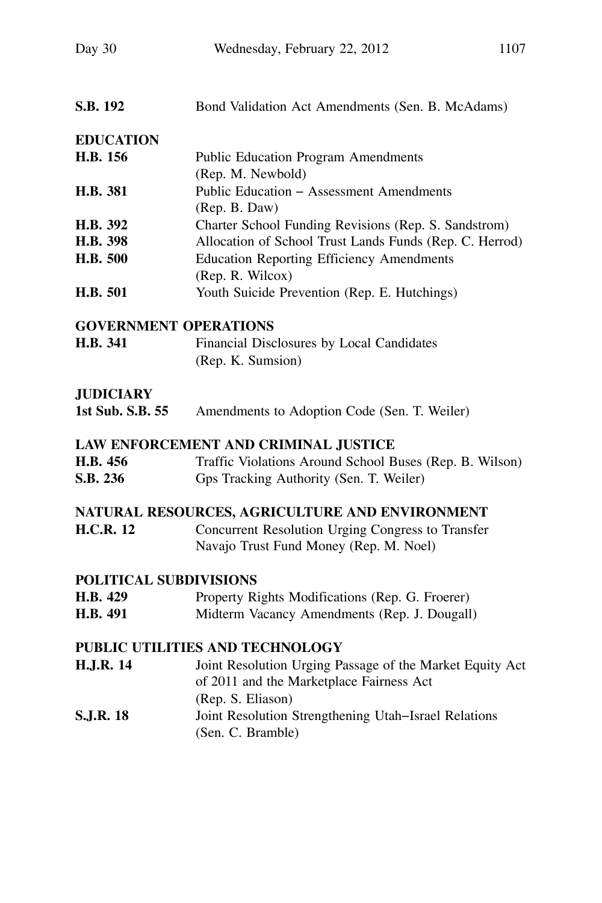| S.B. 192                     | Bond Validation Act Amendments (Sen. B. McAdams)         |
|------------------------------|----------------------------------------------------------|
| <b>EDUCATION</b>             |                                                          |
| H.B. 156                     | <b>Public Education Program Amendments</b>               |
|                              | (Rep. M. Newbold)                                        |
| H.B. 381                     | Public Education - Assessment Amendments                 |
|                              | (Rep. B. Daw)                                            |
| H.B. 392                     | Charter School Funding Revisions (Rep. S. Sandstrom)     |
| H.B. 398                     | Allocation of School Trust Lands Funds (Rep. C. Herrod)  |
| H.B. 500                     | <b>Education Reporting Efficiency Amendments</b>         |
|                              | (Rep. R. Wilcox)                                         |
| H.B. 501                     | Youth Suicide Prevention (Rep. E. Hutchings)             |
| <b>GOVERNMENT OPERATIONS</b> |                                                          |
| H.B. 341                     | Financial Disclosures by Local Candidates                |
|                              | (Rep. K. Sumsion)                                        |
| <b>JUDICIARY</b>             |                                                          |
| 1st Sub. S.B. 55             | Amendments to Adoption Code (Sen. T. Weiler)             |
|                              | LAW ENFORCEMENT AND CRIMINAL JUSTICE                     |
| H.B. 456                     | Traffic Violations Around School Buses (Rep. B. Wilson)  |
| S.B. 236                     | Gps Tracking Authority (Sen. T. Weiler)                  |
|                              | NATURAL RESOURCES, AGRICULTURE AND ENVIRONMENT           |
| <b>H.C.R. 12</b>             | Concurrent Resolution Urging Congress to Transfer        |
|                              | Navajo Trust Fund Money (Rep. M. Noel)                   |
| POLITICAL SUBDIVISIONS       |                                                          |
| H.B. 429                     | Property Rights Modifications (Rep. G. Froerer)          |
| H.B. 491                     | Midterm Vacancy Amendments (Rep. J. Dougall)             |
|                              | PUBLIC UTILITIES AND TECHNOLOGY                          |
| <b>H.J.R. 14</b>             | Joint Resolution Urging Passage of the Market Equity Act |
|                              | of 2011 and the Marketplace Fairness Act                 |
|                              | (Rep. S. Eliason)                                        |
| <b>S.J.R. 18</b>             | Joint Resolution Strengthening Utah-Israel Relations     |
|                              | (Sen. C. Bramble)                                        |
|                              |                                                          |
|                              |                                                          |
|                              |                                                          |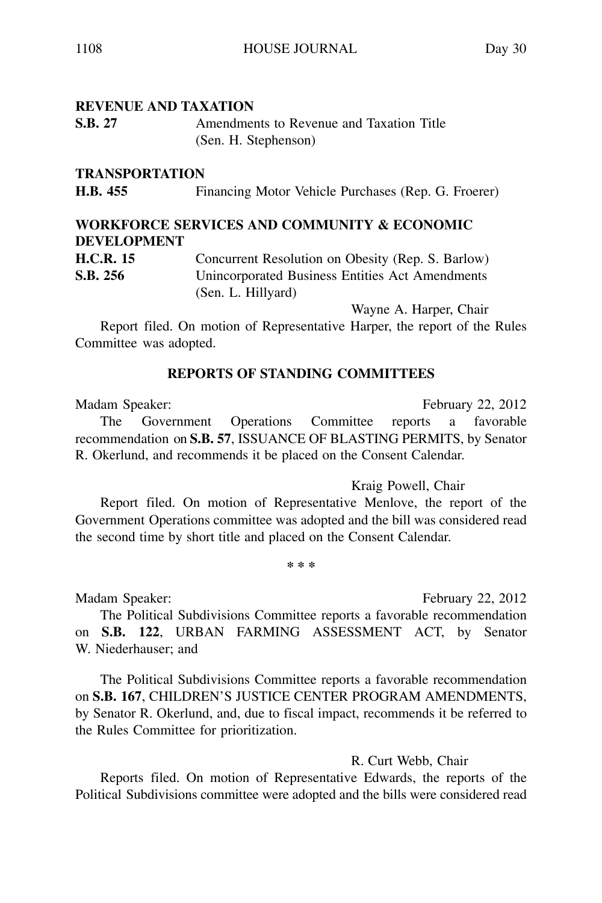#### **TRANSPORTATION**

**H.B. 455** Financing Motor Vehicle Purchases (Rep. G. Froerer)

# **WORKFORCE SERVICES AND COMMUNITY & ECONOMIC DEVELOPMENT**

**H.C.R. 15** Concurrent Resolution on Obesity (Rep. S. Barlow) **S.B. 256** Unincorporated Business Entities Act Amendments (Sen. L. Hillyard)

Wayne A. Harper, Chair

Report filed. On motion of Representative Harper, the report of the Rules Committee was adopted.

#### **REPORTS OF STANDING COMMITTEES**

Madam Speaker: February 22, 2012 The Government Operations Committee reports a favorable recommendation on **S.B. 57**, ISSUANCE OF BLASTING PERMITS, by Senator R. Okerlund, and recommends it be placed on the Consent Calendar.

Kraig Powell, Chair

Report filed. On motion of Representative Menlove, the report of the Government Operations committee was adopted and the bill was considered read the second time by short title and placed on the Consent Calendar.

**\* \* \***

Madam Speaker: Electronic Contract Contract Contract Contract Contract Contract Contract Contract Contract Contract Contract Contract Contract Contract Contract Contract Contract Contract Contract Contract Contract Contrac

The Political Subdivisions Committee reports a favorable recommendation on **S.B. 122**, URBAN FARMING ASSESSMENT ACT, by Senator W. Niederhauser; and

The Political Subdivisions Committee reports a favorable recommendation on **S.B. 167**, CHILDREN'S JUSTICE CENTER PROGRAM AMENDMENTS, by Senator R. Okerlund, and, due to fiscal impact, recommends it be referred to the Rules Committee for prioritization.

#### R. Curt Webb, Chair

Reports filed. On motion of Representative Edwards, the reports of the Political Subdivisions committee were adopted and the bills were considered read

**S.B. 27** Amendments to Revenue and Taxation Title (Sen. H. Stephenson)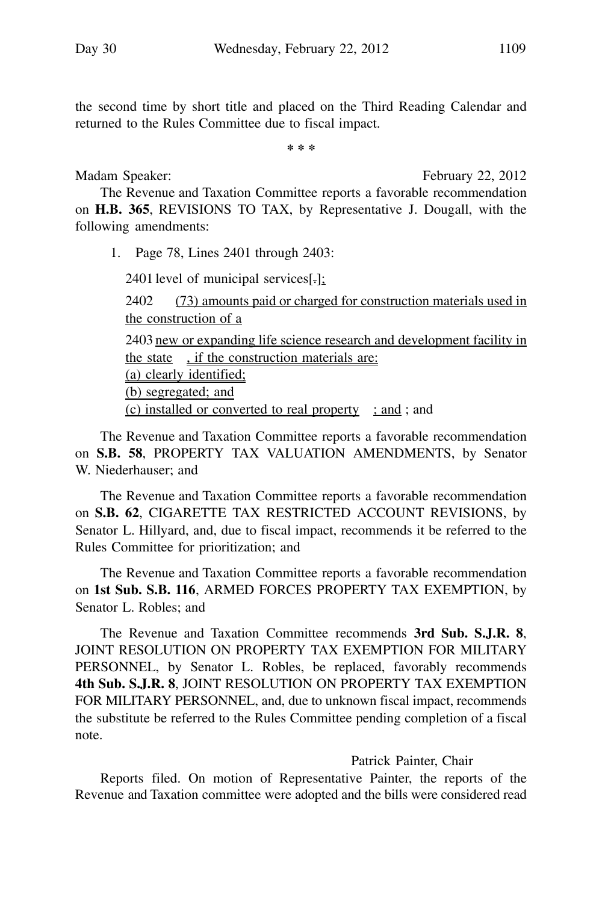the second time by short title and placed on the Third Reading Calendar and returned to the Rules Committee due to fiscal impact.

**\* \* \***

Madam Speaker: February 22, 2012

The Revenue and Taxation Committee reports a favorable recommendation on **H.B. 365**, REVISIONS TO TAX, by Representative J. Dougall, with the following amendments:

1. Page 78, Lines 2401 through 2403:

2401 level of municipal services $[\cdot]$ ;

2402 (73) amounts paid or charged for construction materials used in the construction of a 2403 new or expanding life science research and development facility in the state , if the construction materials are: (a) clearly identified; (b) segregated; and (c) installed or converted to real property  $\therefore$  and ; and

The Revenue and Taxation Committee reports a favorable recommendation on **S.B. 58**, PROPERTY TAX VALUATION AMENDMENTS, by Senator W. Niederhauser; and

The Revenue and Taxation Committee reports a favorable recommendation on **S.B. 62**, CIGARETTE TAX RESTRICTED ACCOUNT REVISIONS, by Senator L. Hillyard, and, due to fiscal impact, recommends it be referred to the Rules Committee for prioritization; and

The Revenue and Taxation Committee reports a favorable recommendation on **1st Sub. S.B. 116**, ARMED FORCES PROPERTY TAX EXEMPTION, by Senator L. Robles; and

The Revenue and Taxation Committee recommends **3rd Sub. S.J.R. 8**, JOINT RESOLUTION ON PROPERTY TAX EXEMPTION FOR MILITARY PERSONNEL, by Senator L. Robles, be replaced, favorably recommends **4th Sub. S.J.R. 8**, JOINT RESOLUTION ON PROPERTY TAX EXEMPTION FOR MILITARY PERSONNEL, and, due to unknown fiscal impact, recommends the substitute be referred to the Rules Committee pending completion of a fiscal note.

### Patrick Painter, Chair

Reports filed. On motion of Representative Painter, the reports of the Revenue and Taxation committee were adopted and the bills were considered read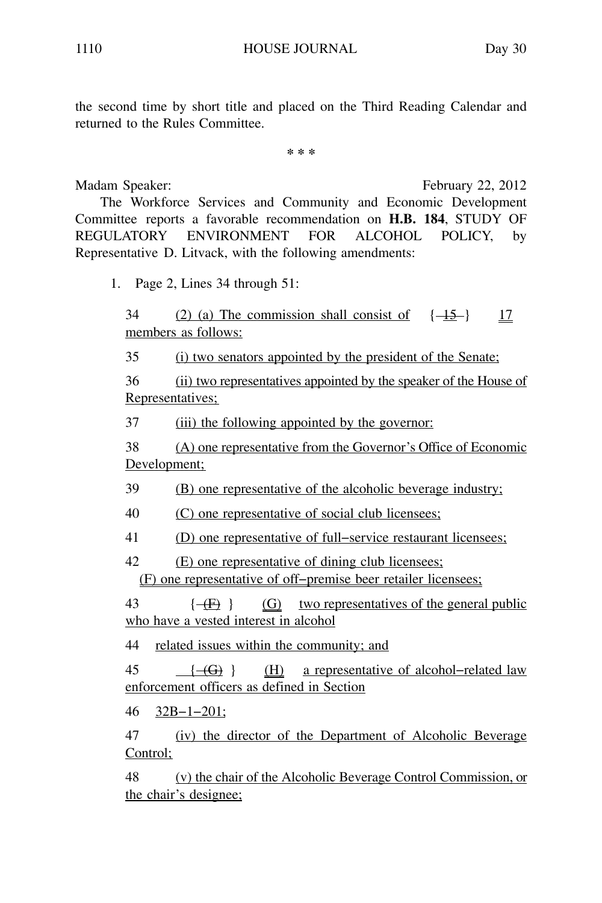the second time by short title and placed on the Third Reading Calendar and returned to the Rules Committee.

**\* \* \***

Madam Speaker: February 22, 2012 The Workforce Services and Community and Economic Development Committee reports a favorable recommendation on **H.B. 184**, STUDY OF REGULATORY ENVIRONMENT FOR ALCOHOL POLICY, by Representative D. Litvack, with the following amendments:

1. Page 2, Lines 34 through 51:

 $34$  (2) (a) The commission shall consist of  $\{1\}-\}$  17 members as follows:

35 (i) two senators appointed by the president of the Senate;

36 (ii) two representatives appointed by the speaker of the House of Representatives;

37 (iii) the following appointed by the governor:

38 (A) one representative from the Governor's Office of Economic Development;

39 (B) one representative of the alcoholic beverage industry;

40 (C) one representative of social club licensees;

41 (D) one representative of full−service restaurant licensees;

42 (E) one representative of dining club licensees; (F) one representative of off−premise beer retailer licensees;

43  $\{\overline{f}\}$   $\overline{G}$  two representatives of the general public who have a vested interest in alcohol

44 related issues within the community; and

45 { $-(G)$ } (H) a representative of alcohol-related law enforcement officers as defined in Section

46 32B−1−201;

47 (iv) the director of the Department of Alcoholic Beverage Control;

48 (v) the chair of the Alcoholic Beverage Control Commission, or the chair's designee;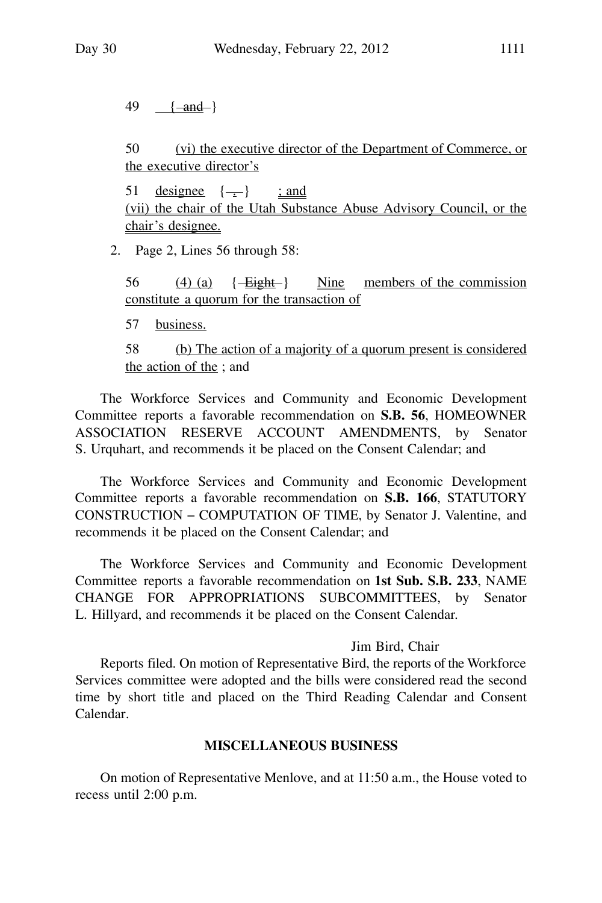$49 \{ -and - \}$ 

50 (vi) the executive director of the Department of Commerce, or the executive director's

51 designee  $\{\_\}$  ; and (vii) the chair of the Utah Substance Abuse Advisory Council, or the chair's designee.

2. Page 2, Lines 56 through 58:

56  $(4)$  (a)  $\left\{\frac{\text{Eight}}{\text{Right}}\right\}$  Nine members of the commission constitute a quorum for the transaction of

57 business.

58 (b) The action of a majority of a quorum present is considered the action of the ; and

The Workforce Services and Community and Economic Development Committee reports a favorable recommendation on **S.B. 56**, HOMEOWNER ASSOCIATION RESERVE ACCOUNT AMENDMENTS, by Senator S. Urquhart, and recommends it be placed on the Consent Calendar; and

The Workforce Services and Community and Economic Development Committee reports a favorable recommendation on **S.B. 166**, STATUTORY CONSTRUCTION − COMPUTATION OF TIME, by Senator J. Valentine, and recommends it be placed on the Consent Calendar; and

The Workforce Services and Community and Economic Development Committee reports a favorable recommendation on **1st Sub. S.B. 233**, NAME CHANGE FOR APPROPRIATIONS SUBCOMMITTEES, by Senator L. Hillyard, and recommends it be placed on the Consent Calendar.

#### Jim Bird, Chair

Reports filed. On motion of Representative Bird, the reports of the Workforce Services committee were adopted and the bills were considered read the second time by short title and placed on the Third Reading Calendar and Consent Calendar.

#### **MISCELLANEOUS BUSINESS**

On motion of Representative Menlove, and at 11:50 a.m., the House voted to recess until 2:00 p.m.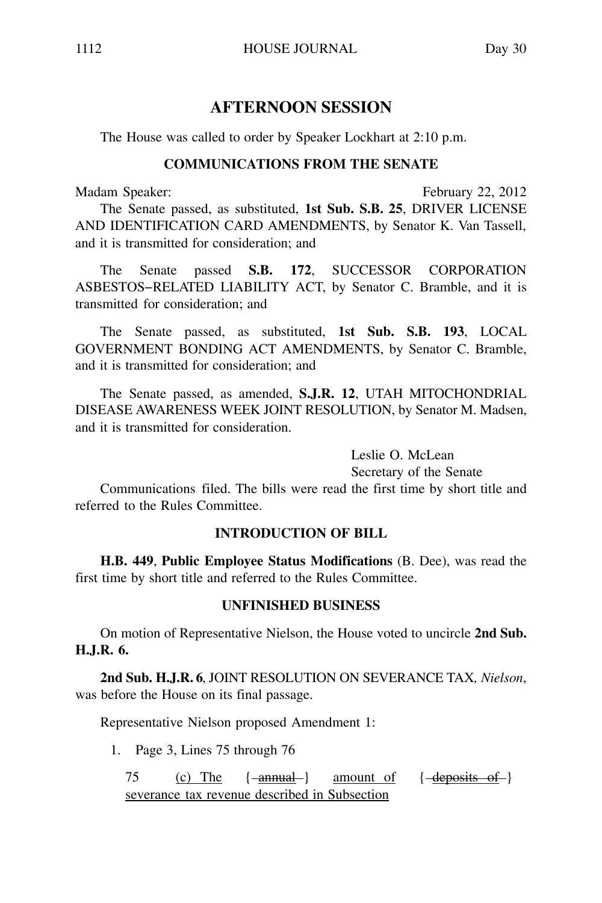# **AFTERNOON SESSION**

The House was called to order by Speaker Lockhart at 2:10 p.m.

#### **COMMUNICATIONS FROM THE SENATE**

Madam Speaker: February 22, 2012

The Senate passed, as substituted, **1st Sub. S.B. 25**, DRIVER LICENSE AND IDENTIFICATION CARD AMENDMENTS, by Senator K. Van Tassell, and it is transmitted for consideration; and

The Senate passed **S.B. 172**, SUCCESSOR CORPORATION ASBESTOS−RELATED LIABILITY ACT, by Senator C. Bramble, and it is transmitted for consideration; and

The Senate passed, as substituted, **1st Sub. S.B. 193**, LOCAL GOVERNMENT BONDING ACT AMENDMENTS, by Senator C. Bramble, and it is transmitted for consideration; and

The Senate passed, as amended, **S.J.R. 12**, UTAH MITOCHONDRIAL DISEASE AWARENESS WEEK JOINT RESOLUTION, by Senator M. Madsen, and it is transmitted for consideration.

> Leslie O. McLean Secretary of the Senate

Communications filed. The bills were read the first time by short title and referred to the Rules Committee.

### **INTRODUCTION OF BILL**

**H.B. 449**, **Public Employee Status Modifications** (B. Dee), was read the first time by short title and referred to the Rules Committee.

### **UNFINISHED BUSINESS**

On motion of Representative Nielson, the House voted to uncircle **2nd Sub. H.J.R. 6.**

**2nd Sub. H.J.R. 6**, JOINT RESOLUTION ON SEVERANCE TAX*, Nielson*, was before the House on its final passage.

Representative Nielson proposed Amendment 1:

1. Page 3, Lines 75 through 76

75 (c) The  $\{-\text{annual}\}$  amount of  $\{-\text{deposits-of-}\}$ severance tax revenue described in Subsection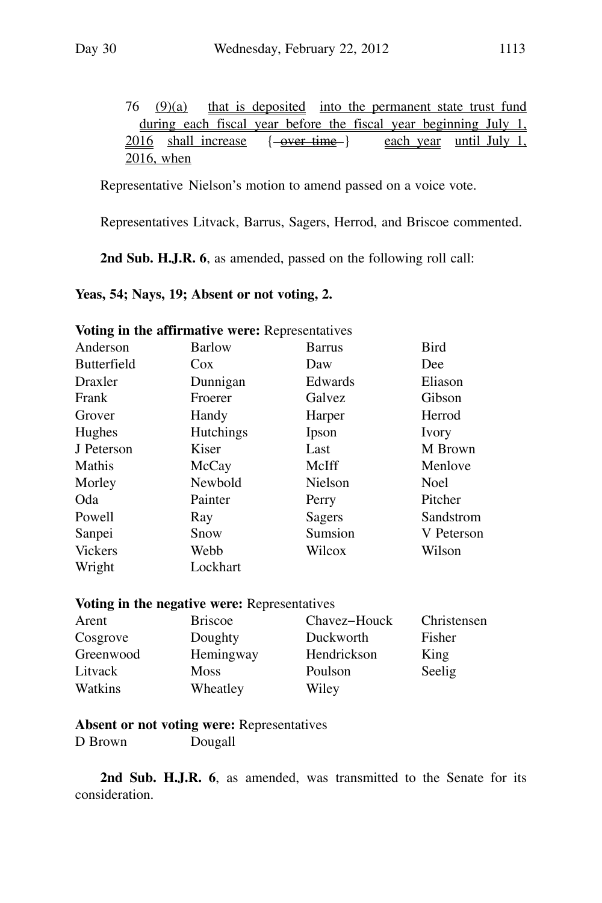76 (9)(a) that is deposited into the permanent state trust fund during each fiscal year before the fiscal year beginning July 1,  $2016$  shall increase  $\{-\text{over time-}\}$  each year until July 1, 2016, when

Representative Nielson's motion to amend passed on a voice vote.

Representatives Litvack, Barrus, Sagers, Herrod, and Briscoe commented.

**2nd Sub. H.J.R. 6**, as amended, passed on the following roll call:

#### **Yeas, 54; Nays, 19; Absent or not voting, 2.**

|                    | voung in the annimative were: <i>Keproseman</i> ves |         |             |
|--------------------|-----------------------------------------------------|---------|-------------|
| Anderson           | Barlow                                              | Barrus  | Bird        |
| <b>Butterfield</b> | $\cos$                                              | Daw     | Dee         |
| Draxler            | Dunnigan                                            | Edwards | Eliason     |
| Frank              | Froerer                                             | Galvez  | Gibson      |
| Grover             | Handy                                               | Harper  | Herrod      |
| Hughes             | <b>Hutchings</b>                                    | Ipson   | Ivory       |
| J Peterson         | Kiser                                               | Last    | M Brown     |
| Mathis             | McCay                                               | McIff   | Menlove     |
| Morley             | Newbold                                             | Nielson | <b>Noel</b> |
| Oda                | Painter                                             | Perry   | Pitcher     |
| Powell             | Ray                                                 | Sagers  | Sandstrom   |
| Sanpei             | Snow                                                | Sumsion | V Peterson  |
| <b>Vickers</b>     | Webb                                                | Wilcox  | Wilson      |
| Wright             | Lockhart                                            |         |             |
|                    |                                                     |         |             |

**Voting in the affirmative were:** Representatives

#### **Voting in the negative were:** Representatives

| Arent     | <b>Briscoe</b> | Chavez-Houck | Christensen |
|-----------|----------------|--------------|-------------|
| Cosgrove  | Doughty        | Duckworth    | Fisher      |
| Greenwood | Hemingway      | Hendrickson  | King        |
| Litvack   | Moss           | Poulson      | Seelig      |
| Watkins   | Wheatley       | Wiley        |             |

**Absent or not voting were:** Representatives

D Brown Dougall

2nd Sub. H.J.R. 6, as amended, was transmitted to the Senate for its consideration.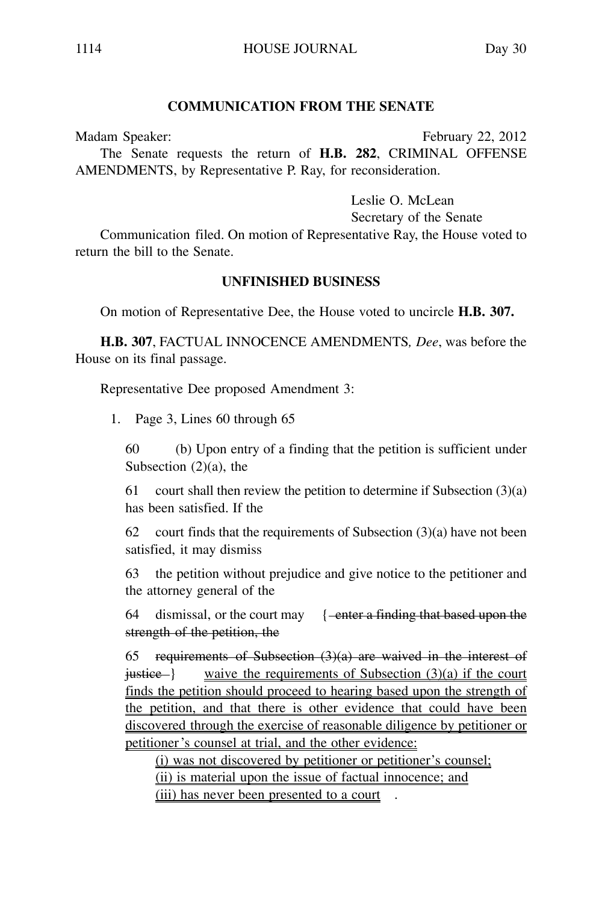#### **COMMUNICATION FROM THE SENATE**

Madam Speaker: February 22, 2012

The Senate requests the return of **H.B. 282**, CRIMINAL OFFENSE AMENDMENTS, by Representative P. Ray, for reconsideration.

Leslie O. McLean

Secretary of the Senate

Communication filed. On motion of Representative Ray, the House voted to return the bill to the Senate.

#### **UNFINISHED BUSINESS**

On motion of Representative Dee, the House voted to uncircle **H.B. 307.**

**H.B. 307**, FACTUAL INNOCENCE AMENDMENTS*, Dee*, was before the House on its final passage.

Representative Dee proposed Amendment 3:

1. Page 3, Lines 60 through 65

60 (b) Upon entry of a finding that the petition is sufficient under Subsection  $(2)(a)$ , the

61 court shall then review the petition to determine if Subsection (3)(a) has been satisfied. If the

62 court finds that the requirements of Subsection  $(3)(a)$  have not been satisfied, it may dismiss

63 the petition without prejudice and give notice to the petitioner and the attorney general of the

64 dismissal, or the court may  $\frac{1 - \text{enter a finding that based upon the}}{1 - \text{enter a finding that based upon the}}$ strength of the petition, the

65 requirements of Subsection  $(3)(a)$  are waived in the interest of  $justice -$ } waive the requirements of Subsection  $(3)(a)$  if the court finds the petition should proceed to hearing based upon the strength of the petition, and that there is other evidence that could have been discovered through the exercise of reasonable diligence by petitioner or petitioner 's counsel at trial, and the other evidence:

(i) was not discovered by petitioner or petitioner's counsel; (ii) is material upon the issue of factual innocence; and (iii) has never been presented to a court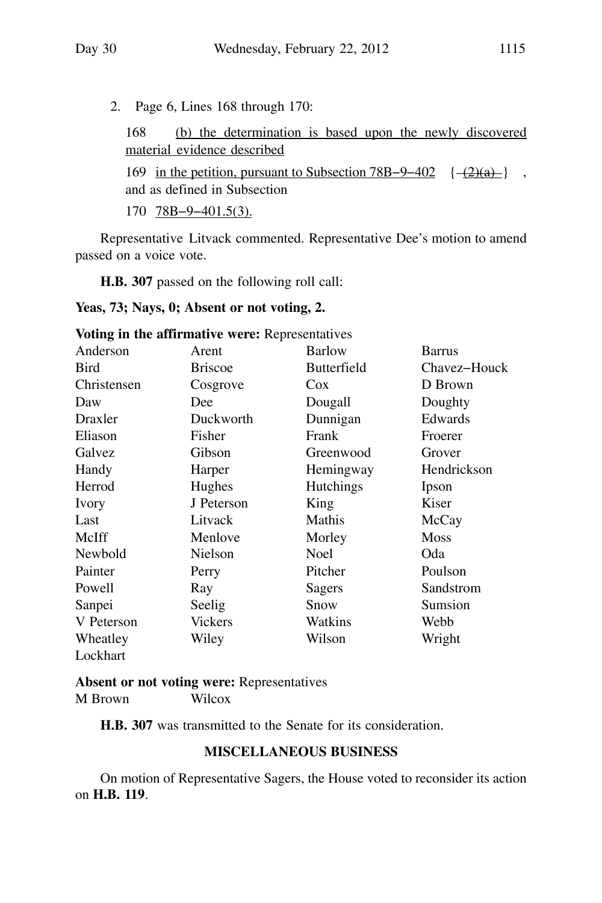2. Page 6, Lines 168 through 170:

168 (b) the determination is based upon the newly discovered material evidence described

169 in the petition, pursuant to Subsection 78B–9–402 {  $-$ (2)(a) } , and as defined in Subsection

170 78B−9−401.5(3).

Representative Litvack commented. Representative Dee's motion to amend passed on a voice vote.

**H.B. 307** passed on the following roll call:

### **Yeas, 73; Nays, 0; Absent or not voting, 2.**

|             | <b>voung in the animitative were:</b> Representatives |                    |              |
|-------------|-------------------------------------------------------|--------------------|--------------|
| Anderson    | Arent                                                 | <b>Barlow</b>      | Barrus       |
| Bird        | <b>Briscoe</b>                                        | <b>Butterfield</b> | Chavez-Houck |
| Christensen | Cosgrove                                              | Cox.               | D Brown      |
| Daw         | Dee                                                   | Dougall            | Doughty      |
| Draxler     | Duckworth                                             | Dunnigan           | Edwards      |
| Eliason     | Fisher                                                | Frank              | Froerer      |
| Galvez      | Gibson                                                | Greenwood          | Grover       |
| Handy       | Harper                                                | Hemingway          | Hendrickson  |
| Herrod      | Hughes                                                | Hutchings          | Ipson        |
| Ivory       | J Peterson                                            | King               | Kiser        |
| Last        | Litvack                                               | Mathis             | McCay        |
| McIff       | Menlove                                               | Morley             | <b>Moss</b>  |
| Newbold     | Nielson                                               | <b>Noel</b>        | Oda          |
| Painter     | Perry                                                 | Pitcher            | Poulson      |
| Powell      | Ray                                                   | Sagers             | Sandstrom    |
| Sanpei      | Seelig                                                | Snow               | Sumsion      |
| V Peterson  | Vickers                                               | Watkins            | Webb         |
| Wheatley    | Wiley                                                 | Wilson             | Wright       |
| Lockhart    |                                                       |                    |              |

**Voting in the affirmative were:** Representatives

**Absent or not voting were:** Representatives

M Brown Wilcox

**H.B. 307** was transmitted to the Senate for its consideration.

### **MISCELLANEOUS BUSINESS**

On motion of Representative Sagers, the House voted to reconsider its action on **H.B. 119**.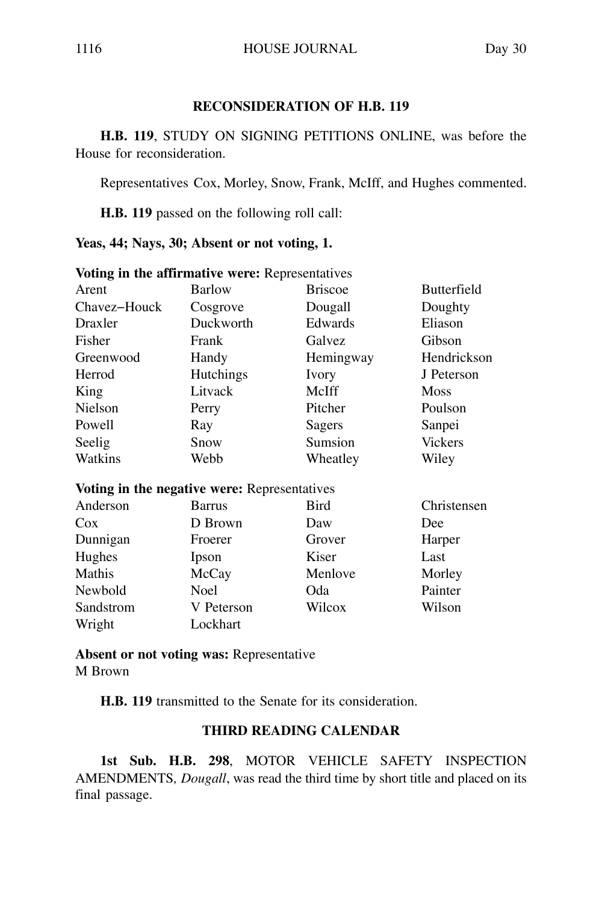#### **RECONSIDERATION OF H.B. 119**

**H.B. 119**, STUDY ON SIGNING PETITIONS ONLINE, was before the House for reconsideration.

Representatives Cox, Morley, Snow, Frank, McIff, and Hughes commented.

**H.B. 119** passed on the following roll call:

**Yeas, 44; Nays, 30; Absent or not voting, 1.**

|              | Voting in the affirmative were: Representatives |                |                    |
|--------------|-------------------------------------------------|----------------|--------------------|
| Arent        | Barlow                                          | <b>Briscoe</b> | <b>Butterfield</b> |
| Chavez-Houck | Cosgrove                                        | Dougall        | Doughty            |
| Draxler      | Duckworth                                       | Edwards        | Eliason            |
| Fisher       | Frank                                           | Galvez         | Gibson             |
| Greenwood    | Handy                                           | Hemingway      | Hendrickson        |
| Herrod       | <b>Hutchings</b>                                | Ivory          | J Peterson         |
| King         | Litvack                                         | McIff          | <b>Moss</b>        |
| Nielson      | Perry                                           | Pitcher        | Poulson            |
| Powell       | Ray                                             | Sagers         | Sanpei             |
| Seelig       | Snow                                            | Sumsion        | <b>Vickers</b>     |
| Watkins      | Webb                                            | Wheatley       | Wiley              |
|              | Voting in the negative were: Representatives    |                |                    |
| Anderson     | <b>Barrus</b>                                   | <b>Bird</b>    | Christensen        |
| $\cos$       | D Brown                                         | Daw            | Dee                |
| Dunnigan     | Froerer                                         | Grover         | Harper             |
| Hughes       | Ipson                                           | Kiser          | Last               |
| Mathis       | McCay                                           | Menlove        | Morley             |
| Newbold      | <b>Noel</b>                                     | Oda            | Painter            |
| Sandstrom    | V Peterson                                      | Wilcox         | Wilson             |
| Wright       | Lockhart                                        |                |                    |

**Absent or not voting was:** Representative

M Brown

**H.B. 119** transmitted to the Senate for its consideration.

#### **THIRD READING CALENDAR**

**1st Sub. H.B. 298**, MOTOR VEHICLE SAFETY INSPECTION AMENDMENTS*, Dougall*, was read the third time by short title and placed on its final passage.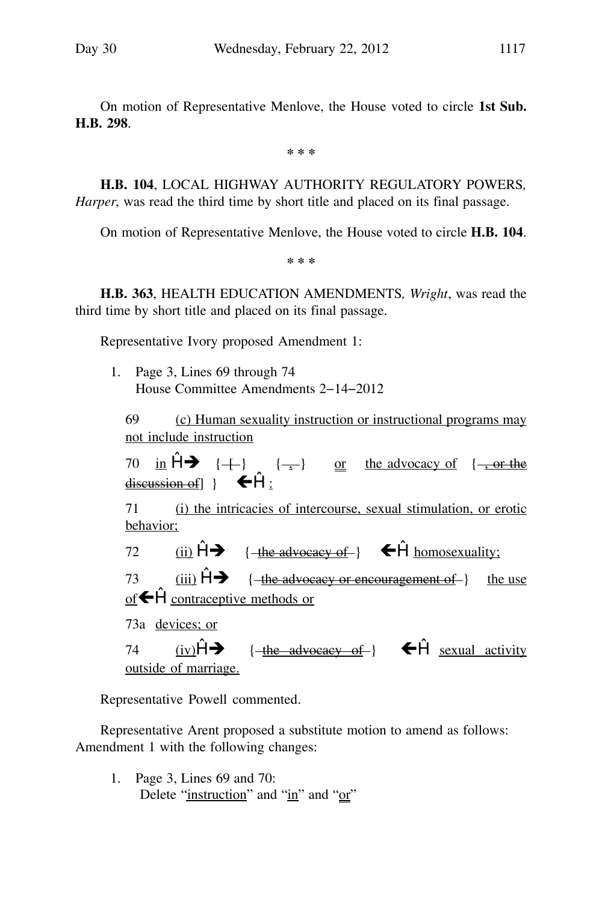On motion of Representative Menlove, the House voted to circle **1st Sub. H.B. 298**.

**\* \* \***

**H.B. 104**, LOCAL HIGHWAY AUTHORITY REGULATORY POWERS*, Harper*, was read the third time by short title and placed on its final passage.

On motion of Representative Menlove, the House voted to circle **H.B. 104**.

**\* \* \***

**H.B. 363**, HEALTH EDUCATION AMENDMENTS*, Wright*, was read the third time by short title and placed on its final passage.

Representative Ivory proposed Amendment 1:

1. Page 3, Lines 69 through 74 House Committee Amendments 2−14−2012

69 (c) Human sexuality instruction or instructional programs may not include instruction

70 in  $\hat{H}$   $\rightarrow$  { $\leftarrow$ } { $\rightarrow$ } or the advocacy of  $\frac{1}{2}$  or the discussion of  $\}$   $\leftarrow$  H :

71 (i) the intricacies of intercourse, sexual stimulation, or erotic behavior;

72 (ii)  $\hat{H}$  + {  $\frac{f_{\text{the advocacy of}}}{f}$  +  $\hat{H}$  homosexuality; 73 (iii)  $\hat{H}$  { the advocacy or encouragement of } the use

of  $\bigoplus$  contraceptive methods or

73a devices; or

74 (iv) $\hat{H} \rightarrow$  ${\overline{\mathsf{t}}}$  the advocacy of  ${\overline{\mathsf{t}}}$   ${\overline{\mathsf{t}}}$  sexual activity outside of marriage.

Representative Powell commented.

Representative Arent proposed a substitute motion to amend as follows: Amendment 1 with the following changes:

1. Page 3, Lines 69 and 70: Delete "instruction" and "in" and "or"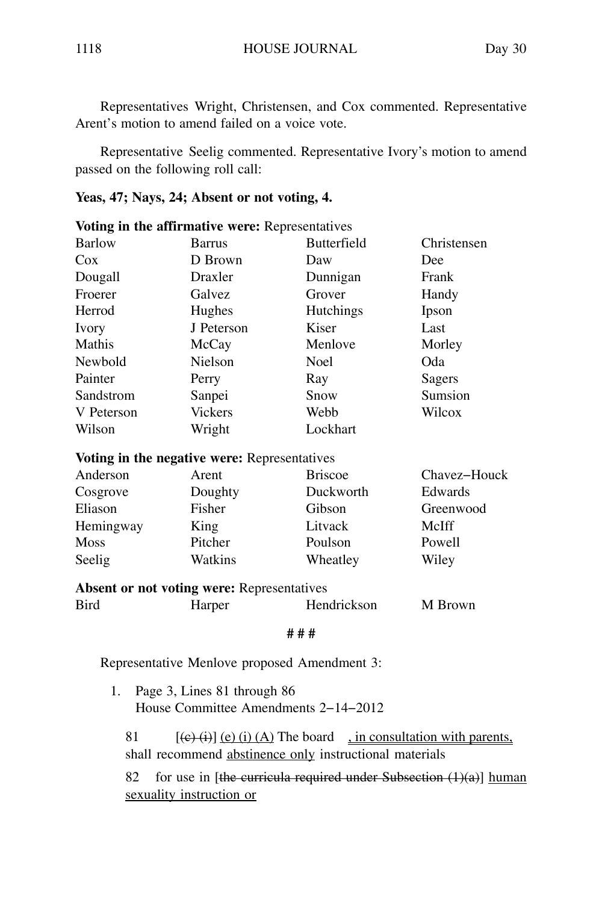Representatives Wright, Christensen, and Cox commented. Representative Arent's motion to amend failed on a voice vote.

Representative Seelig commented. Representative Ivory's motion to amend passed on the following roll call:

#### **Yeas, 47; Nays, 24; Absent or not voting, 4.**

|              | Voting in the affirmative were: Representatives   |                    |              |
|--------------|---------------------------------------------------|--------------------|--------------|
| Barlow       | <b>Barrus</b>                                     | <b>Butterfield</b> | Christensen  |
| $\cos$       | D Brown                                           | Daw                | Dee          |
| Dougall      | Draxler                                           | Dunnigan           | Frank        |
| Froerer      | Galvez                                            | Grover             | Handy        |
| Herrod       | Hughes                                            | <b>Hutchings</b>   | Ipson        |
| <b>Ivory</b> | J Peterson                                        | Kiser              | Last         |
| Mathis       | McCay                                             | Menlove            | Morley       |
| Newbold      | <b>Nielson</b>                                    | <b>Noel</b>        | Oda          |
| Painter      | Perry                                             | Ray                | Sagers       |
| Sandstrom    | Sanpei                                            | Snow               | Sumsion      |
| V Peterson   | <b>Vickers</b>                                    | Webb               | Wilcox       |
| Wilson       | Wright                                            | Lockhart           |              |
|              | Voting in the negative were: Representatives      |                    |              |
| Anderson     | Arent                                             | <b>Briscoe</b>     | Chavez-Houck |
| Cosgrove     | Doughty                                           | Duckworth          | Edwards      |
| Eliason      | Fisher                                            | Gibson             | Greenwood    |
| Hemingway    | King                                              | Litvack            | McIff        |
| <b>Moss</b>  | Pitcher                                           | Poulson            | Powell       |
| Seelig       | Watkins                                           | Wheatley           | Wiley        |
|              | <b>Absent or not voting were: Representatives</b> |                    |              |
| Bird         | Harper                                            | Hendrickson        | M Brown      |
|              |                                                   | ###                |              |

Representative Menlove proposed Amendment 3:

1. Page 3, Lines 81 through 86 House Committee Amendments 2−14−2012

81  $[(e)(i)] (e) (i) (A)$  The board , in consultation with parents, shall recommend abstinence only instructional materials

82 for use in [the curricula required under Subsection  $(1)(a)$ ] human sexuality instruction or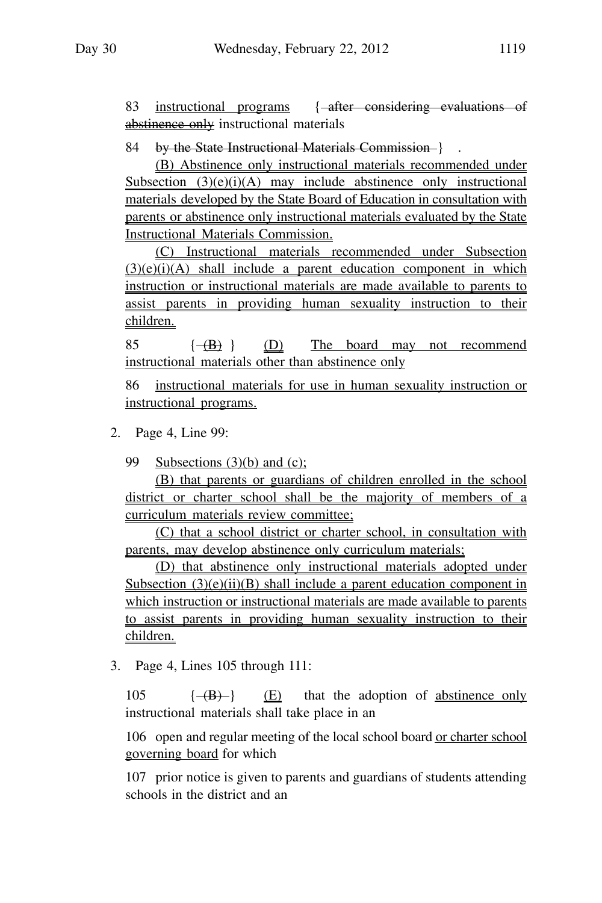83 instructional programs { after considering evaluations of abstinence only instructional materials

84 by the State Instructional Materials Commission-}.

(B) Abstinence only instructional materials recommended under Subsection  $(3)(e)(i)(A)$  may include abstinence only instructional materials developed by the State Board of Education in consultation with parents or abstinence only instructional materials evaluated by the State Instructional Materials Commission.

(C) Instructional materials recommended under Subsection  $(3)(e)(i)(A)$  shall include a parent education component in which instruction or instructional materials are made available to parents to assist parents in providing human sexuality instruction to their children.

 $85 \left( - \left( B \right) \right)$  (D) The board may not recommend instructional materials other than abstinence only

86 instructional materials for use in human sexuality instruction or instructional programs.

2. Page 4, Line 99:

99 Subsections (3)(b) and (c);

(B) that parents or guardians of children enrolled in the school district or charter school shall be the majority of members of a curriculum materials review committee;

(C) that a school district or charter school, in consultation with parents, may develop abstinence only curriculum materials;

(D) that abstinence only instructional materials adopted under Subsection  $(3)(e)(ii)(B)$  shall include a parent education component in which instruction or instructional materials are made available to parents to assist parents in providing human sexuality instruction to their children.

3. Page 4, Lines 105 through 111:

 $105 \left\{ \frac{1}{100} \right\}$  (E) that the adoption of abstinence only instructional materials shall take place in an

106 open and regular meeting of the local school board or charter school governing board for which

107 prior notice is given to parents and guardians of students attending schools in the district and an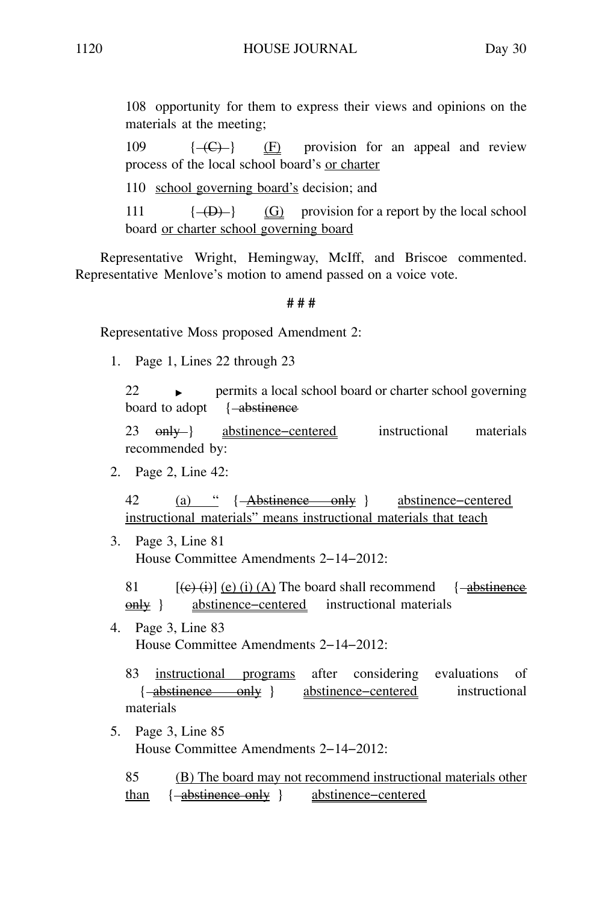108 opportunity for them to express their views and opinions on the materials at the meeting;

109  $\{\overline{-(C)}\}$  (F) provision for an appeal and review process of the local school board's or charter

110 school governing board's decision; and

111  $\{-\Theta\}$  (G) provision for a report by the local school board or charter school governing board

Representative Wright, Hemingway, McIff, and Briscoe commented. Representative Menlove's motion to amend passed on a voice vote.

#### **# # #**

Representative Moss proposed Amendment 2:

1. Page 1, Lines 22 through 23

 $22$  permits a local school board or charter school governing board to adopt { -abstinence

23 only abstinence–centered instructional materials recommended by:

2. Page 2, Line 42:

42 (a) " { Abstinence only } abstinence−centered instructional materials" means instructional materials that teach

3. Page 3, Line 81 House Committee Amendments 2−14−2012:

81  $[(e)(i)] (e) (i) (A)$  The board shall recommend {  $\rightarrow$  abstinence only } abstinence−centered instructional materials

4. Page 3, Line 83 House Committee Amendments 2−14−2012:

83 instructional programs after considering evaluations of { abstinence only } abstinence−centered instructional materials

5. Page 3, Line 85 House Committee Amendments 2−14−2012:

85 (B) The board may not recommend instructional materials other than { abstinence only } abstinence−centered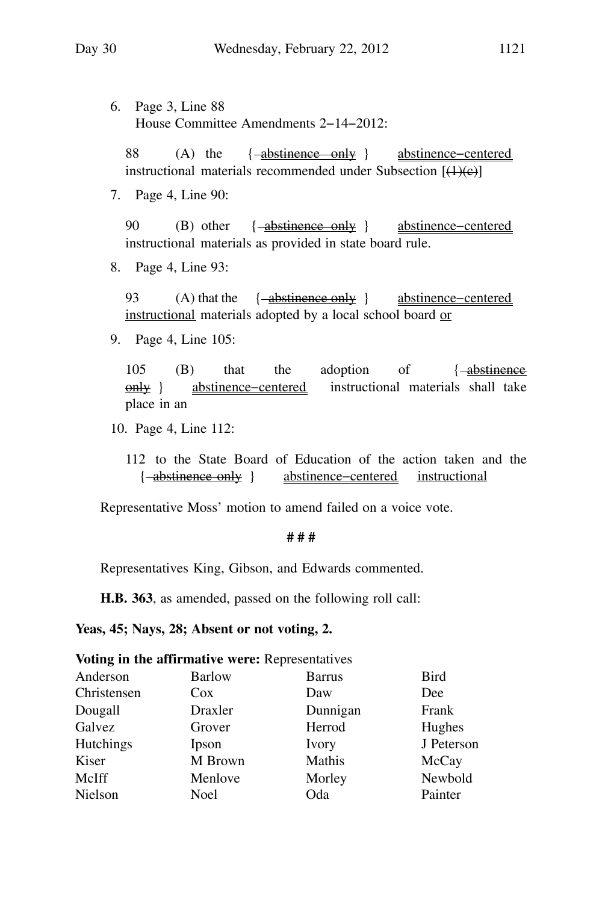6. Page 3, Line 88 House Committee Amendments 2−14−2012:

88 (A) the { abstinence only } abstinence−centered instructional materials recommended under Subsection  $[(1)(e)]$ 

7. Page 4, Line 90:

90 (B) other { abstinence only } abstinence−centered instructional materials as provided in state board rule.

8. Page 4, Line 93:

93 (A) that the { abstinence only } abstinence−centered instructional materials adopted by a local school board or

9. Page 4, Line 105:

105 (B) that the adoption of { abstinence only } abstinence−centered instructional materials shall take place in an

- 10. Page 4, Line 112:
	- 112 to the State Board of Education of the action taken and the { abstinence only } abstinence−centered instructional

Representative Moss' motion to amend failed on a voice vote.

#### **# # #**

Representatives King, Gibson, and Edwards commented.

**H.B. 363**, as amended, passed on the following roll call:

#### **Yeas, 45; Nays, 28; Absent or not voting, 2.**

**Voting in the affirmative were:** Representatives

| Anderson         | <b>Barlow</b> | <b>Barrus</b> | Bird       |
|------------------|---------------|---------------|------------|
| Christensen      | Cox           | Daw           | Dee        |
| Dougall          | Draxler       | Dunnigan      | Frank      |
| Galvez           | Grover        | Herrod        | Hughes     |
| <b>Hutchings</b> | Ipson         | Ivory         | J Peterson |
| Kiser            | M Brown       | Mathis        | McCay      |
| McIff            | Menlove       | Morley        | Newbold    |
| Nielson          | <b>Noel</b>   | Oda           | Painter    |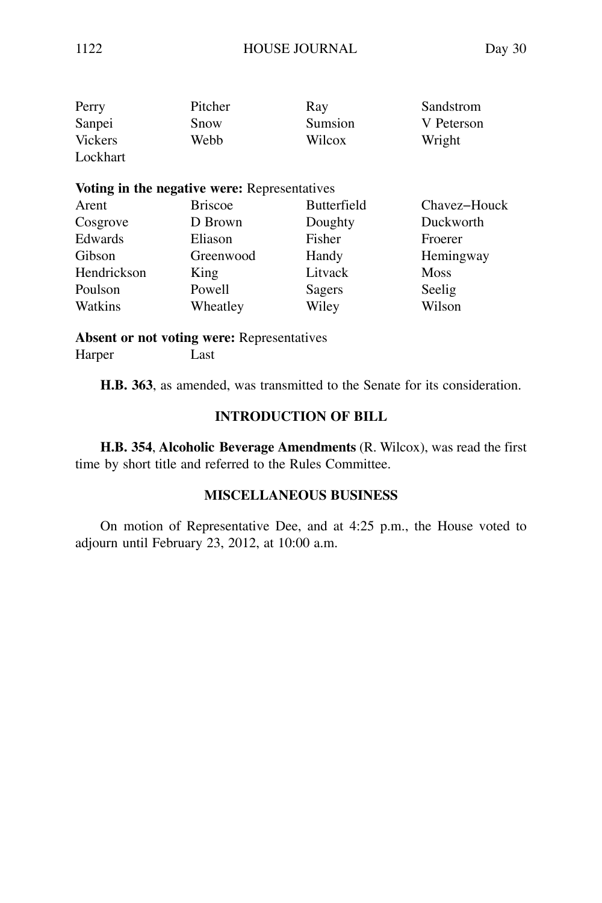| Perry          | Pitcher                                      | Ray                | Sandstrom    |
|----------------|----------------------------------------------|--------------------|--------------|
| Sanpei         | Snow                                         | Sumsion            | V Peterson   |
| <b>Vickers</b> | Webb                                         | Wilcox             | Wright       |
| Lockhart       |                                              |                    |              |
|                | Voting in the negative were: Representatives |                    |              |
| Arent          | <b>Briscoe</b>                               | <b>Butterfield</b> | Chavez-Houck |
| Cosgrove       | D Brown                                      | Doughty            | Duckworth    |
| Edwards        | Eliason                                      | Fisher             | Froerer      |
| Gibson         | Greenwood                                    | Handy              | Hemingway    |

Hendrickson King Litvack Moss Poulson Powell Sagers Seelig Watkins Wheatley Wiley Wilson

**Absent or not voting were:** Representatives Harper Last

**H.B. 363**, as amended, was transmitted to the Senate for its consideration.

#### **INTRODUCTION OF BILL**

**H.B. 354**, **Alcoholic Beverage Amendments** (R. Wilcox), was read the first time by short title and referred to the Rules Committee.

#### **MISCELLANEOUS BUSINESS**

On motion of Representative Dee, and at 4:25 p.m., the House voted to adjourn until February 23, 2012, at 10:00 a.m.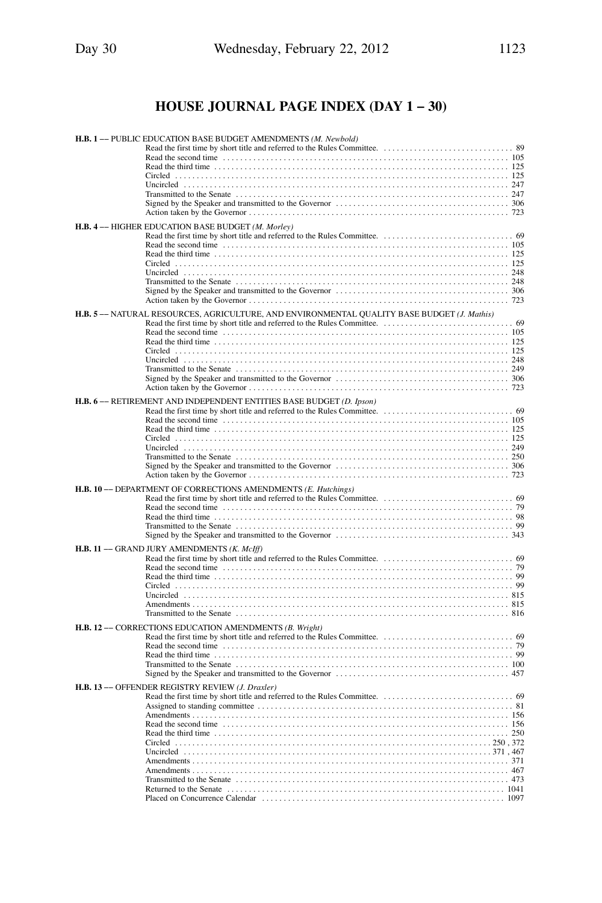# **HOUSE JOURNAL PAGE INDEX (DAY 1 − 30)**

| H.B. 1 -- PUBLIC EDUCATION BASE BUDGET AMENDMENTS (M. Newbold)                                                                                                                                    |
|---------------------------------------------------------------------------------------------------------------------------------------------------------------------------------------------------|
|                                                                                                                                                                                                   |
|                                                                                                                                                                                                   |
| H.B. 4 -- HIGHER EDUCATION BASE BUDGET (M. Morley)                                                                                                                                                |
|                                                                                                                                                                                                   |
| H.B. 5- NATURAL RESOURCES, AGRICULTURE, AND ENVIRONMENTAL QUALITY BASE BUDGET (J. Mathis)                                                                                                         |
|                                                                                                                                                                                                   |
| H.B. 6- RETIREMENT AND INDEPENDENT ENTITIES BASE BUDGET (D. Ipson)                                                                                                                                |
| Read the third time $\ldots$ , $\ldots$ , $\ldots$ , $\ldots$ , $\ldots$ , $\ldots$ , $\ldots$ , $\ldots$ , $\ldots$ , $\ldots$ , $\ldots$ , $\ldots$ , $\ldots$ , $\ldots$ , $\ldots$ , $\ldots$ |
| H.B. 10 -- DEPARTMENT OF CORRECTIONS AMENDMENTS (E. Hutchings)                                                                                                                                    |
|                                                                                                                                                                                                   |
| H.B. 11 -- GRAND JURY AMENDMENTS (K. McIff)                                                                                                                                                       |
| Read the third time $\ldots$ , $\ldots$ , $\ldots$ , $\ldots$ , $\ldots$ , $\ldots$ , $\ldots$ , $\ldots$ , $\ldots$ , $\ldots$ , $\ldots$ , $\ldots$ , $\ldots$ , $\ldots$ , $\ldots$ , $\ldots$ |
| H.B. 12 -- CORRECTIONS EDUCATION AMENDMENTS (B. Wright)                                                                                                                                           |
|                                                                                                                                                                                                   |
| H.B. 13 -- OFFENDER REGISTRY REVIEW (J. Draxler)                                                                                                                                                  |
|                                                                                                                                                                                                   |
|                                                                                                                                                                                                   |
|                                                                                                                                                                                                   |
|                                                                                                                                                                                                   |
|                                                                                                                                                                                                   |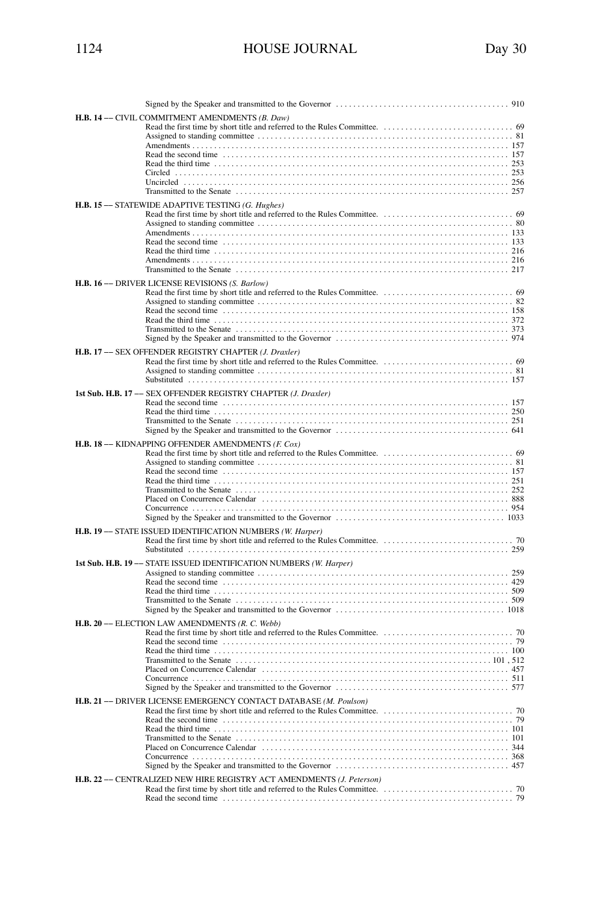| 1124 | <b>HOUSE JOURNAL</b> | Day 30 |
|------|----------------------|--------|
|      |                      |        |

| H.B. 14 -- CIVIL COMMITMENT AMENDMENTS (B. Daw)<br>Read the second time contained and the contact of the second time in the second time contact the second time contact the second time contact the second time contact the second time second time second time second time secon |
|-----------------------------------------------------------------------------------------------------------------------------------------------------------------------------------------------------------------------------------------------------------------------------------|
| H.B. 15 -- STATEWIDE ADAPTIVE TESTING (G. Hughes)                                                                                                                                                                                                                                 |
|                                                                                                                                                                                                                                                                                   |
| H.B. 16 -- DRIVER LICENSE REVISIONS (S. Barlow)                                                                                                                                                                                                                                   |
|                                                                                                                                                                                                                                                                                   |
| H.B. 17 -- SEX OFFENDER REGISTRY CHAPTER (J. Draxler)                                                                                                                                                                                                                             |
|                                                                                                                                                                                                                                                                                   |
| 1st Sub. H.B. 17 - SEX OFFENDER REGISTRY CHAPTER (J. Draxler)                                                                                                                                                                                                                     |
|                                                                                                                                                                                                                                                                                   |
| <b>H.B. 18 -- KIDNAPPING OFFENDER AMENDMENTS (F. Cox)</b>                                                                                                                                                                                                                         |
|                                                                                                                                                                                                                                                                                   |
| H.B. 19 -- STATE ISSUED IDENTIFICATION NUMBERS (W. Harper)                                                                                                                                                                                                                        |
|                                                                                                                                                                                                                                                                                   |
| 1st Sub. H.B. 19 -- STATE ISSUED IDENTIFICATION NUMBERS (W. Harper)                                                                                                                                                                                                               |
| Read the second time contained and the contact of the second time of the second time contact and the second time                                                                                                                                                                  |
| H.B. 20 -- ELECTION LAW AMENDMENTS (R. C. Webb)                                                                                                                                                                                                                                   |
| Read the second time contained and the contact of the Read the second time of the second time of the second time                                                                                                                                                                  |
| H.B. 21 -- DRIVER LICENSE EMERGENCY CONTACT DATABASE (M. Poulson)                                                                                                                                                                                                                 |
|                                                                                                                                                                                                                                                                                   |
| H.B. 22 -- CENTRALIZED NEW HIRE REGISTRY ACT AMENDMENTS (J. Peterson)                                                                                                                                                                                                             |
|                                                                                                                                                                                                                                                                                   |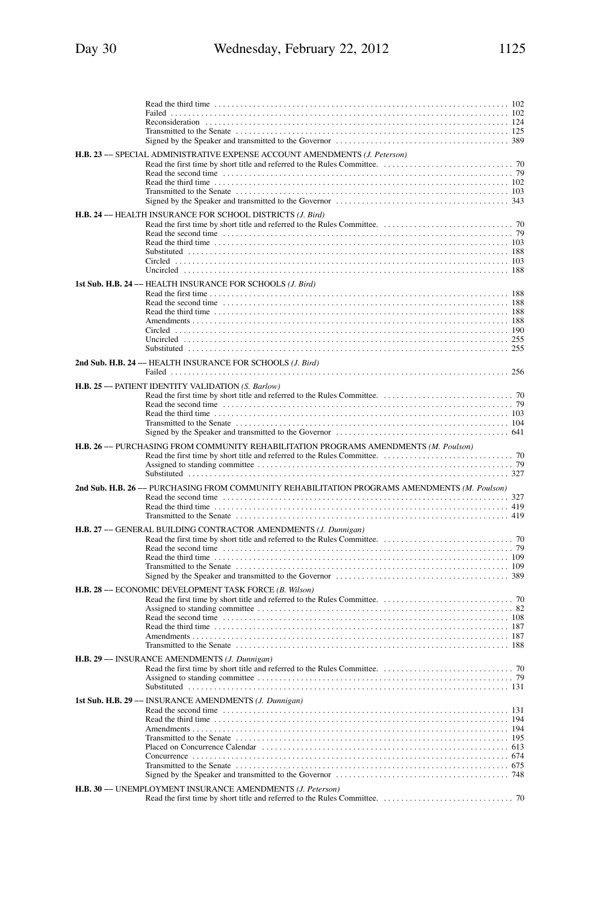| H.B. 23 -- SPECIAL ADMINISTRATIVE EXPENSE ACCOUNT AMENDMENTS (J. Peterson)                                                                                                                                                                                                                  |
|---------------------------------------------------------------------------------------------------------------------------------------------------------------------------------------------------------------------------------------------------------------------------------------------|
| H.B. 24 -- HEALTH INSURANCE FOR SCHOOL DISTRICTS (J. Bird)<br>Read the second time contained and the contact of the second time contact the second time contact the second time contact the second time contact the second time contact the second time contact the second time contact the |
| 1st Sub. H.B. 24 -- HEALTH INSURANCE FOR SCHOOLS (J. Bird)                                                                                                                                                                                                                                  |
| 2nd Sub. H.B. 24 - HEALTH INSURANCE FOR SCHOOLS (J. Bird)                                                                                                                                                                                                                                   |
| H.B. 25 -- PATIENT IDENTITY VALIDATION (S. Barlow)                                                                                                                                                                                                                                          |
| H.B. 26 -- PURCHASING FROM COMMUNITY REHABILITATION PROGRAMS AMENDMENTS (M. Poulson)                                                                                                                                                                                                        |
| 2nd Sub. H.B. 26 -- PURCHASING FROM COMMUNITY REHABILITATION PROGRAMS AMENDMENTS (M. Poulson)                                                                                                                                                                                               |
| H.B. 27 -- GENERAL BUILDING CONTRACTOR AMENDMENTS (J. Dunnigan)<br>Read the second time contained and the contact of the second time contact the second time contact the second time contact the second time contact the second time contact the second time of $\sim$ 79                   |
| H.B. 28 -- ECONOMIC DEVELOPMENT TASK FORCE (B. Wilson)                                                                                                                                                                                                                                      |
| H.B. 29 -- INSURANCE AMENDMENTS (J. Dunnigan)                                                                                                                                                                                                                                               |
| 1st Sub. H.B. 29 -- INSURANCE AMENDMENTS (J. Dunnigan)<br>Read the second time contained and the contact of the second time contact the second time contact and the second time contact and the second time contact and the second time contact and the second time contact and the seco    |
| H.B. 30 - UNEMPLOYMENT INSURANCE AMENDMENTS (J. Peterson)                                                                                                                                                                                                                                   |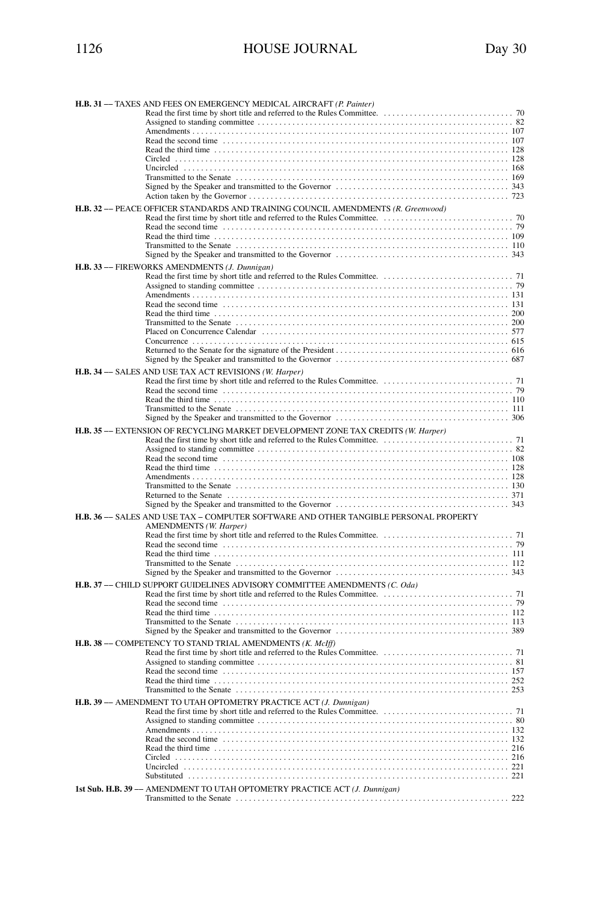| H.B. 31 -- TAXES AND FEES ON EMERGENCY MEDICAL AIRCRAFT (P. Painter)                                                                                                                              |
|---------------------------------------------------------------------------------------------------------------------------------------------------------------------------------------------------|
|                                                                                                                                                                                                   |
|                                                                                                                                                                                                   |
|                                                                                                                                                                                                   |
| Read the third time $\ldots$ , $\ldots$ , $\ldots$ , $\ldots$ , $\ldots$ , $\ldots$ , $\ldots$ , $\ldots$ , $\ldots$ , $\ldots$ , $\ldots$ , $\ldots$ , $\ldots$ , $\ldots$ , $\ldots$ , $\ldots$ |
|                                                                                                                                                                                                   |
|                                                                                                                                                                                                   |
|                                                                                                                                                                                                   |
|                                                                                                                                                                                                   |
|                                                                                                                                                                                                   |
| H.B. 32 -- PEACE OFFICER STANDARDS AND TRAINING COUNCIL AMENDMENTS (R. Greenwood)                                                                                                                 |
|                                                                                                                                                                                                   |
|                                                                                                                                                                                                   |
|                                                                                                                                                                                                   |
|                                                                                                                                                                                                   |
| H.B. 33 -- FIREWORKS AMENDMENTS (J. Dunnigan)                                                                                                                                                     |
|                                                                                                                                                                                                   |
|                                                                                                                                                                                                   |
|                                                                                                                                                                                                   |
|                                                                                                                                                                                                   |
|                                                                                                                                                                                                   |
|                                                                                                                                                                                                   |
|                                                                                                                                                                                                   |
|                                                                                                                                                                                                   |
|                                                                                                                                                                                                   |
|                                                                                                                                                                                                   |
| H.B. 34 -- SALES AND USE TAX ACT REVISIONS (W. Harper)                                                                                                                                            |
|                                                                                                                                                                                                   |
|                                                                                                                                                                                                   |
|                                                                                                                                                                                                   |
|                                                                                                                                                                                                   |
|                                                                                                                                                                                                   |
| H.B. 35 -- EXTENSION OF RECYCLING MARKET DEVELOPMENT ZONE TAX CREDITS (W. Harper)                                                                                                                 |
|                                                                                                                                                                                                   |
|                                                                                                                                                                                                   |
|                                                                                                                                                                                                   |
|                                                                                                                                                                                                   |
|                                                                                                                                                                                                   |
|                                                                                                                                                                                                   |
|                                                                                                                                                                                                   |
| H.B. 36 -- SALES AND USE TAX - COMPUTER SOFTWARE AND OTHER TANGIBLE PERSONAL PROPERTY                                                                                                             |
| <b>AMENDMENTS</b> (W. Harper)                                                                                                                                                                     |
|                                                                                                                                                                                                   |
|                                                                                                                                                                                                   |
|                                                                                                                                                                                                   |
|                                                                                                                                                                                                   |
|                                                                                                                                                                                                   |
| H.B. 37 -- CHILD SUPPORT GUIDELINES ADVISORY COMMITTEE AMENDMENTS (C. Oda)                                                                                                                        |
|                                                                                                                                                                                                   |
|                                                                                                                                                                                                   |
|                                                                                                                                                                                                   |
|                                                                                                                                                                                                   |
|                                                                                                                                                                                                   |
| H.B. 38 - COMPETENCY TO STAND TRIAL AMENDMENTS (K. McIff)                                                                                                                                         |
|                                                                                                                                                                                                   |
|                                                                                                                                                                                                   |
|                                                                                                                                                                                                   |
|                                                                                                                                                                                                   |
|                                                                                                                                                                                                   |
| H.B. 39 - AMENDMENT TO UTAH OPTOMETRY PRACTICE ACT (J. Dunnigan)                                                                                                                                  |
|                                                                                                                                                                                                   |
|                                                                                                                                                                                                   |
|                                                                                                                                                                                                   |
|                                                                                                                                                                                                   |
|                                                                                                                                                                                                   |
|                                                                                                                                                                                                   |
|                                                                                                                                                                                                   |
| 1st Sub. H.B. 39 -- AMENDMENT TO UTAH OPTOMETRY PRACTICE ACT (J. Dunnigan)                                                                                                                        |
|                                                                                                                                                                                                   |
|                                                                                                                                                                                                   |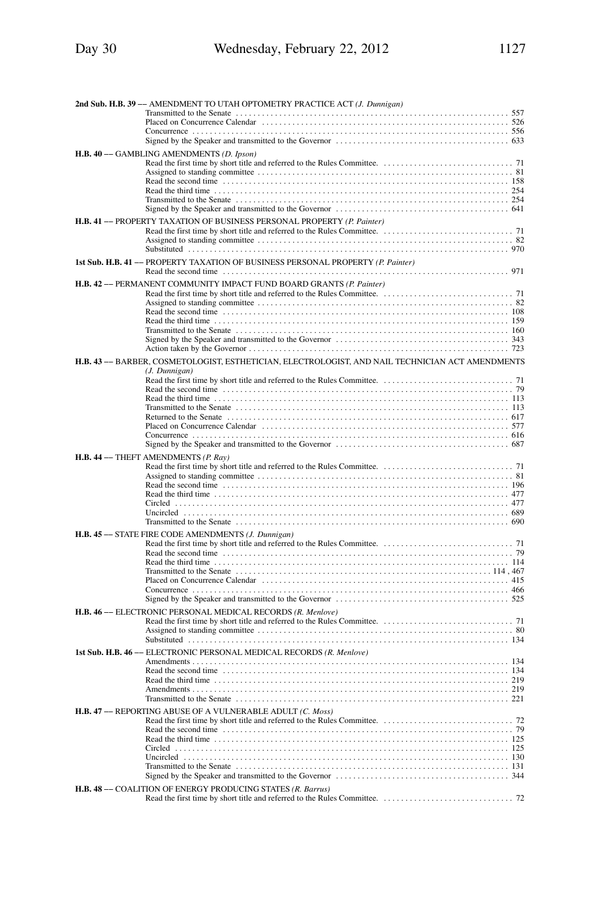| 2nd Sub. H.B. 39 -- AMENDMENT TO UTAH OPTOMETRY PRACTICE ACT (J. Dunnigan)                                                                                                                        |
|---------------------------------------------------------------------------------------------------------------------------------------------------------------------------------------------------|
|                                                                                                                                                                                                   |
|                                                                                                                                                                                                   |
|                                                                                                                                                                                                   |
| H.B. 40 - GAMBLING AMENDMENTS (D. Ipson)                                                                                                                                                          |
|                                                                                                                                                                                                   |
|                                                                                                                                                                                                   |
|                                                                                                                                                                                                   |
|                                                                                                                                                                                                   |
|                                                                                                                                                                                                   |
| H.B. 41 - PROPERTY TAXATION OF BUSINESS PERSONAL PROPERTY (P. Painter)                                                                                                                            |
|                                                                                                                                                                                                   |
|                                                                                                                                                                                                   |
|                                                                                                                                                                                                   |
| 1st Sub. H.B. 41 -- PROPERTY TAXATION OF BUSINESS PERSONAL PROPERTY (P. Painter)                                                                                                                  |
|                                                                                                                                                                                                   |
| H.B. 42 - PERMANENT COMMUNITY IMPACT FUND BOARD GRANTS (P. Painter)                                                                                                                               |
|                                                                                                                                                                                                   |
|                                                                                                                                                                                                   |
|                                                                                                                                                                                                   |
|                                                                                                                                                                                                   |
|                                                                                                                                                                                                   |
|                                                                                                                                                                                                   |
| H.B. 43 -- BARBER, COSMETOLOGIST, ESTHETICIAN, ELECTROLOGIST, AND NAIL TECHNICIAN ACT AMENDMENTS                                                                                                  |
| (J. Dunnigan)                                                                                                                                                                                     |
|                                                                                                                                                                                                   |
| Read the third time $\ldots$ , $\ldots$ , $\ldots$ , $\ldots$ , $\ldots$ , $\ldots$ , $\ldots$ , $\ldots$ , $\ldots$ , $\ldots$ , $\ldots$ , $\ldots$ , $\ldots$ , $\ldots$ , $\ldots$ , $\ldots$ |
|                                                                                                                                                                                                   |
|                                                                                                                                                                                                   |
|                                                                                                                                                                                                   |
|                                                                                                                                                                                                   |
| H.B. 44 -- THEFT AMENDMENTS (P. Ray)                                                                                                                                                              |
|                                                                                                                                                                                                   |
|                                                                                                                                                                                                   |
|                                                                                                                                                                                                   |
|                                                                                                                                                                                                   |
|                                                                                                                                                                                                   |
|                                                                                                                                                                                                   |
| H.B. 45 -- STATE FIRE CODE AMENDMENTS (J. Dunnigan)                                                                                                                                               |
|                                                                                                                                                                                                   |
|                                                                                                                                                                                                   |
| Read the third time $\ldots$ , $\ldots$ , $\ldots$ , $\ldots$ , $\ldots$ , $\ldots$ , $\ldots$ , $\ldots$ , $\ldots$ , $\ldots$ , $\ldots$ , $\ldots$ , $\ldots$ , $\ldots$ , $\ldots$            |
|                                                                                                                                                                                                   |
|                                                                                                                                                                                                   |
|                                                                                                                                                                                                   |
| H.B. 46 -- ELECTRONIC PERSONAL MEDICAL RECORDS (R. Menlove)                                                                                                                                       |
|                                                                                                                                                                                                   |
|                                                                                                                                                                                                   |
|                                                                                                                                                                                                   |
| 1st Sub. H.B. 46 - ELECTRONIC PERSONAL MEDICAL RECORDS (R. Menlove)                                                                                                                               |
|                                                                                                                                                                                                   |
|                                                                                                                                                                                                   |
|                                                                                                                                                                                                   |
|                                                                                                                                                                                                   |
| H.B. 47 -- REPORTING ABUSE OF A VULNERABLE ADULT (C. Moss)                                                                                                                                        |
|                                                                                                                                                                                                   |
|                                                                                                                                                                                                   |
|                                                                                                                                                                                                   |
|                                                                                                                                                                                                   |
|                                                                                                                                                                                                   |
|                                                                                                                                                                                                   |
| H.B. 48 -- COALITION OF ENERGY PRODUCING STATES (R. Barrus)                                                                                                                                       |
|                                                                                                                                                                                                   |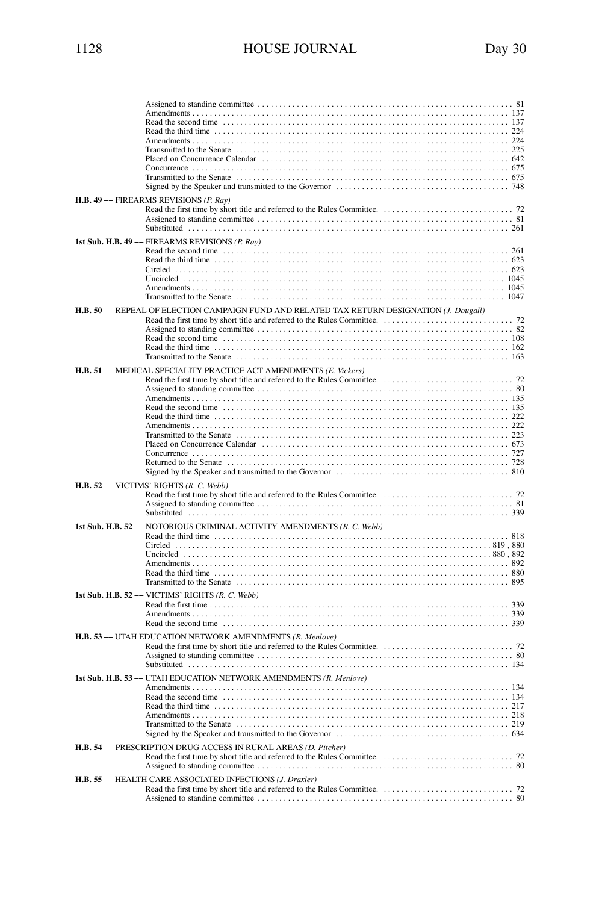| H.B. 49 -- FIREARMS REVISIONS (P. Ray)                                                      |
|---------------------------------------------------------------------------------------------|
| 1st Sub. H.B. 49 - FIREARMS REVISIONS (P. Ray)                                              |
| H.B. 50 -- REPEAL OF ELECTION CAMPAIGN FUND AND RELATED TAX RETURN DESIGNATION (J. Dougall) |
| H.B. 51 -- MEDICAL SPECIALITY PRACTICE ACT AMENDMENTS (E. Vickers)                          |
| H.B. 52 - VICTIMS' RIGHTS (R. C. Webb)                                                      |
| 1st Sub. H.B. 52 -- NOTORIOUS CRIMINAL ACTIVITY AMENDMENTS (R. C. Webb)                     |
| 1st Sub. H.B. 52 -- VICTIMS' RIGHTS (R. C. Webb)                                            |
| H.B. 53 -- UTAH EDUCATION NETWORK AMENDMENTS (R. Menlove)                                   |
| 1st Sub. H.B. 53 -- UTAH EDUCATION NETWORK AMENDMENTS (R. Menlove)                          |
| H.B. 54 -- PRESCRIPTION DRUG ACCESS IN RURAL AREAS (D. Pitcher)                             |
| H.B. 55 -- HEALTH CARE ASSOCIATED INFECTIONS (J. Draxler)                                   |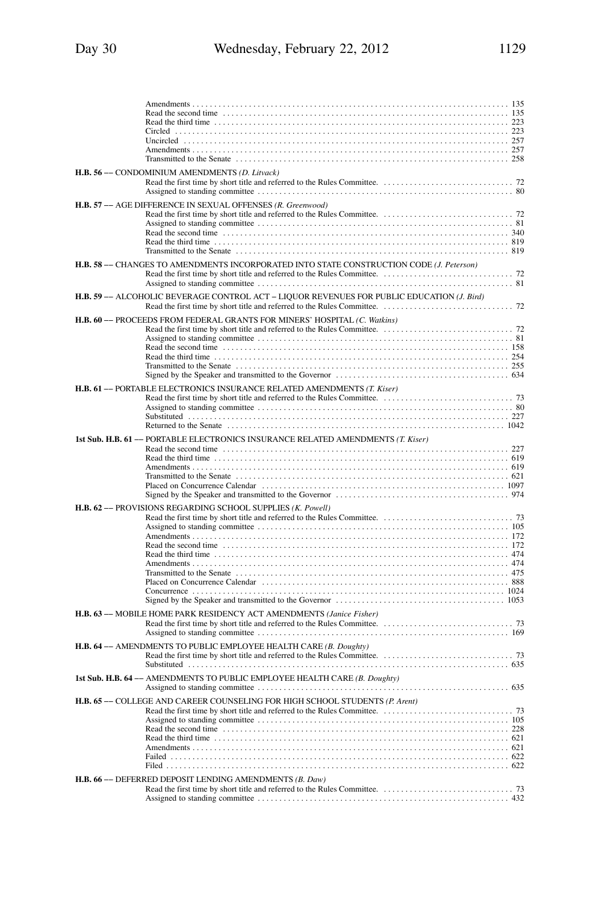| H.B. 56 - CONDOMINIUM AMENDMENTS (D. Litvack)                                              |  |
|--------------------------------------------------------------------------------------------|--|
| H.B. 57 -- AGE DIFFERENCE IN SEXUAL OFFENSES (R. Greenwood)                                |  |
| H.B. 58 -- CHANGES TO AMENDMENTS INCORPORATED INTO STATE CONSTRUCTION CODE (J. Peterson)   |  |
| H.B. 59 -- ALCOHOLIC BEVERAGE CONTROL ACT - LIQUOR REVENUES FOR PUBLIC EDUCATION (J. Bird) |  |
| H.B. 60 -- PROCEEDS FROM FEDERAL GRANTS FOR MINERS' HOSPITAL (C. Watkins)                  |  |
| H.B. 61 -- PORTABLE ELECTRONICS INSURANCE RELATED AMENDMENTS (T. Kiser)                    |  |
| 1st Sub. H.B. 61 -- PORTABLE ELECTRONICS INSURANCE RELATED AMENDMENTS (T. Kiser)           |  |
| H.B. 62 -- PROVISIONS REGARDING SCHOOL SUPPLIES (K. Powell)                                |  |
| H.B. 63 - MOBILE HOME PARK RESIDENCY ACT AMENDMENTS (Janice Fisher)                        |  |
| H.B. 64 - AMENDMENTS TO PUBLIC EMPLOYEE HEALTH CARE (B. Doughty)                           |  |
| 1st Sub. H.B. 64 -- AMENDMENTS TO PUBLIC EMPLOYEE HEALTH CARE (B. Doughty)                 |  |
| H.B. 65 -- COLLEGE AND CAREER COUNSELING FOR HIGH SCHOOL STUDENTS (P. Arent)               |  |
| H.B. 66 -- DEFERRED DEPOSIT LENDING AMENDMENTS (B. Daw)                                    |  |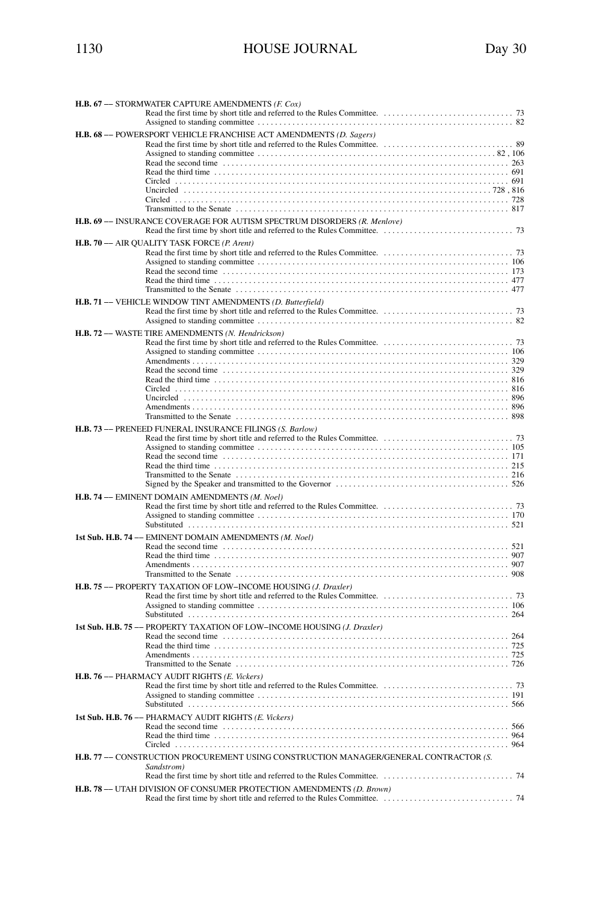| <b>H.B. 67 --- STORMWATER CAPTURE AMENDMENTS (F. Cox)</b>                             |  |  |
|---------------------------------------------------------------------------------------|--|--|
|                                                                                       |  |  |
|                                                                                       |  |  |
| H.B. 68 -- POWERSPORT VEHICLE FRANCHISE ACT AMENDMENTS (D. Sagers)                    |  |  |
|                                                                                       |  |  |
|                                                                                       |  |  |
|                                                                                       |  |  |
|                                                                                       |  |  |
|                                                                                       |  |  |
|                                                                                       |  |  |
|                                                                                       |  |  |
|                                                                                       |  |  |
| H.B. 69 -- INSURANCE COVERAGE FOR AUTISM SPECTRUM DISORDERS (R. Menlove)              |  |  |
| H.B. 70 - AIR QUALITY TASK FORCE (P. Arent)                                           |  |  |
|                                                                                       |  |  |
|                                                                                       |  |  |
|                                                                                       |  |  |
|                                                                                       |  |  |
|                                                                                       |  |  |
| H.B. 71 -- VEHICLE WINDOW TINT AMENDMENTS (D. Butterfield)                            |  |  |
|                                                                                       |  |  |
|                                                                                       |  |  |
|                                                                                       |  |  |
| H.B. 72 -- WASTE TIRE AMENDMENTS (N. Hendrickson)                                     |  |  |
|                                                                                       |  |  |
|                                                                                       |  |  |
|                                                                                       |  |  |
|                                                                                       |  |  |
|                                                                                       |  |  |
|                                                                                       |  |  |
|                                                                                       |  |  |
|                                                                                       |  |  |
|                                                                                       |  |  |
| H.B. 73 -- PRENEED FUNERAL INSURANCE FILINGS (S. Barlow)                              |  |  |
|                                                                                       |  |  |
|                                                                                       |  |  |
|                                                                                       |  |  |
|                                                                                       |  |  |
|                                                                                       |  |  |
|                                                                                       |  |  |
| H.B. 74 -- EMINENT DOMAIN AMENDMENTS (M. Noel)                                        |  |  |
|                                                                                       |  |  |
|                                                                                       |  |  |
|                                                                                       |  |  |
| 1st Sub. H.B. 74 -- EMINENT DOMAIN AMENDMENTS (M. Noel)                               |  |  |
|                                                                                       |  |  |
|                                                                                       |  |  |
|                                                                                       |  |  |
|                                                                                       |  |  |
| H.B. 75 - PROPERTY TAXATION OF LOW-INCOME HOUSING (J. Draxler)                        |  |  |
|                                                                                       |  |  |
|                                                                                       |  |  |
|                                                                                       |  |  |
|                                                                                       |  |  |
| 1st Sub. H.B. 75 -- PROPERTY TAXATION OF LOW-INCOME HOUSING (J. Draxler)              |  |  |
|                                                                                       |  |  |
|                                                                                       |  |  |
|                                                                                       |  |  |
|                                                                                       |  |  |
| H.B. 76 -- PHARMACY AUDIT RIGHTS (E. Vickers)                                         |  |  |
|                                                                                       |  |  |
|                                                                                       |  |  |
|                                                                                       |  |  |
| 1st Sub. H.B. 76 -- PHARMACY AUDIT RIGHTS (E. Vickers)                                |  |  |
|                                                                                       |  |  |
|                                                                                       |  |  |
|                                                                                       |  |  |
| H.B. 77 -- CONSTRUCTION PROCUREMENT USING CONSTRUCTION MANAGER/GENERAL CONTRACTOR (S. |  |  |
| Sandstrom)                                                                            |  |  |
|                                                                                       |  |  |
|                                                                                       |  |  |
| <b>H.B. 78 --- UTAH DIVISION OF CONSUMER PROTECTION AMENDMENTS (D. Brown)</b>         |  |  |
|                                                                                       |  |  |
|                                                                                       |  |  |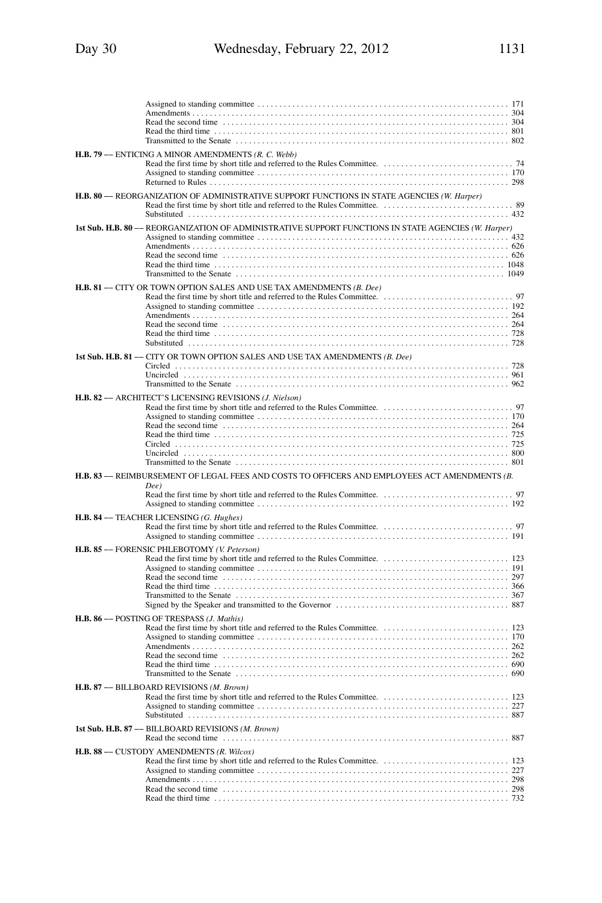| H.B. 79 -- ENTICING A MINOR AMENDMENTS (R. C. Webb)                                                                                                                                                                                                                                                       |
|-----------------------------------------------------------------------------------------------------------------------------------------------------------------------------------------------------------------------------------------------------------------------------------------------------------|
|                                                                                                                                                                                                                                                                                                           |
| H.B. 80 -- REORGANIZATION OF ADMINISTRATIVE SUPPORT FUNCTIONS IN STATE AGENCIES (W. Harder)                                                                                                                                                                                                               |
| 1st Sub. H.B. 80 -- REORGANIZATION OF ADMINISTRATIVE SUPPORT FUNCTIONS IN STATE AGENCIES (W. Harper)<br>Read the third time $\ldots$ , $\ldots$ , $\ldots$ , $\ldots$ , $\ldots$ , $\ldots$ , $\ldots$ , $\ldots$ , $\ldots$ , $\ldots$ , $\ldots$ , $\ldots$ , $\ldots$ , $\ldots$ , $\ldots$ , $\ldots$ |
| <b>H.B. 81 -- CITY OR TOWN OPTION SALES AND USE TAX AMENDMENTS (B. Dee)</b>                                                                                                                                                                                                                               |
|                                                                                                                                                                                                                                                                                                           |
| 1st Sub. H.B. 81 -- CITY OR TOWN OPTION SALES AND USE TAX AMENDMENTS (B. Dee)                                                                                                                                                                                                                             |
| H.B. 82 -- ARCHITECT'S LICENSING REVISIONS (J. Nielson)                                                                                                                                                                                                                                                   |
| H.B. 83 -- REIMBURSEMENT OF LEGAL FEES AND COSTS TO OFFICERS AND EMPLOYEES ACT AMENDMENTS (B.<br>Dee)                                                                                                                                                                                                     |
|                                                                                                                                                                                                                                                                                                           |
| H.B. 84 - TEACHER LICENSING (G. Hughes)                                                                                                                                                                                                                                                                   |
| H.B. 85 -- FORENSIC PHLEBOTOMY (V. Peterson)<br>Read the third time $\ldots$ , $\ldots$ , $\ldots$ , $\ldots$ , $\ldots$ , $\ldots$ , $\ldots$ , $\ldots$ , $\ldots$ , $\ldots$ , $\ldots$ , $\ldots$ , $\ldots$ , $\ldots$ , $\ldots$ , $\ldots$ , $\ldots$                                              |
| H.B. 86 - POSTING OF TRESPASS (J. Mathis)<br>Read the second time contained and the contact of the second time in the second time contact and the second time                                                                                                                                             |
| H.B. 87 -- BILLBOARD REVISIONS (M. Brown)                                                                                                                                                                                                                                                                 |
| 1st Sub. H.B. 87 - BILLBOARD REVISIONS (M. Brown)<br>Read the second time contained and set of the second time contained a second time contained as a second time of $887$                                                                                                                                |
| H.B. 88 - CUSTODY AMENDMENTS (R. Wilcox)                                                                                                                                                                                                                                                                  |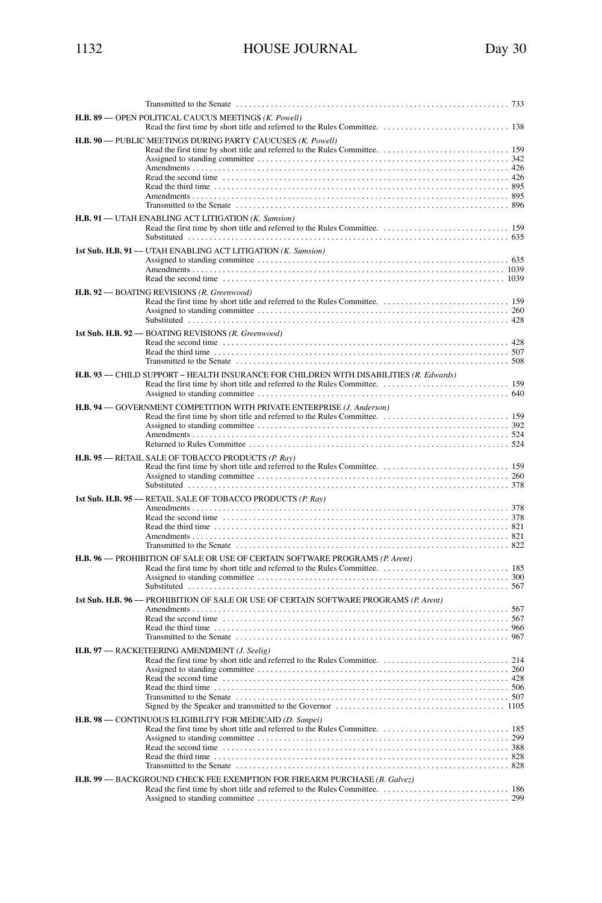| Transmitted to the Senate                                                               |  |
|-----------------------------------------------------------------------------------------|--|
| H.B. 89 -- OPEN POLITICAL CAUCUS MEETINGS (K. Powell)                                   |  |
| H.B. 90 -- PUBLIC MEETINGS DURING PARTY CAUCUSES (K. Powell)                            |  |
| H.B. 91 -- UTAH ENABLING ACT LITIGATION (K. Sumsion)                                    |  |
| 1st Sub. H.B. 91 - UTAH ENABLING ACT LITIGATION (K. Sumsion)                            |  |
| H.B. 92 -- BOATING REVISIONS (R. Greenwood)                                             |  |
| 1st Sub. H.B. 92 -- BOATING REVISIONS (R. Greenwood)                                    |  |
| H.B. 93 -- CHILD SUPPORT - HEALTH INSURANCE FOR CHILDREN WITH DISABILITIES (R. Edwards) |  |
| H.B. 94 -- GOVERNMENT COMPETITION WITH PRIVATE ENTERPRISE (J. Anderson)                 |  |
| H.B. 95 -- RETAIL SALE OF TOBACCO PRODUCTS (P. Ray)                                     |  |
| 1st Sub. H.B. 95 - RETAIL SALE OF TOBACCO PRODUCTS (P. Ray)                             |  |
| <b>H.B. 96 -- PROHIBITION OF SALE OR USE OF CERTAIN SOFTWARE PROGRAMS (P. Arent)</b>    |  |
| 1st Sub. H.B. 96 -- PROHIBITION OF SALE OR USE OF CERTAIN SOFTWARE PROGRAMS (P. Arent)  |  |
| H.B. 97 - RACKETEERING AMENDMENT (J. Seelig)                                            |  |
| H.B. 98 - CONTINUOUS ELIGIBILITY FOR MEDICAID (D. Sanpei)                               |  |
| H.B. 99 -- BACKGROUND CHECK FEE EXEMPTION FOR FIREARM PURCHASE (B. Galvez)              |  |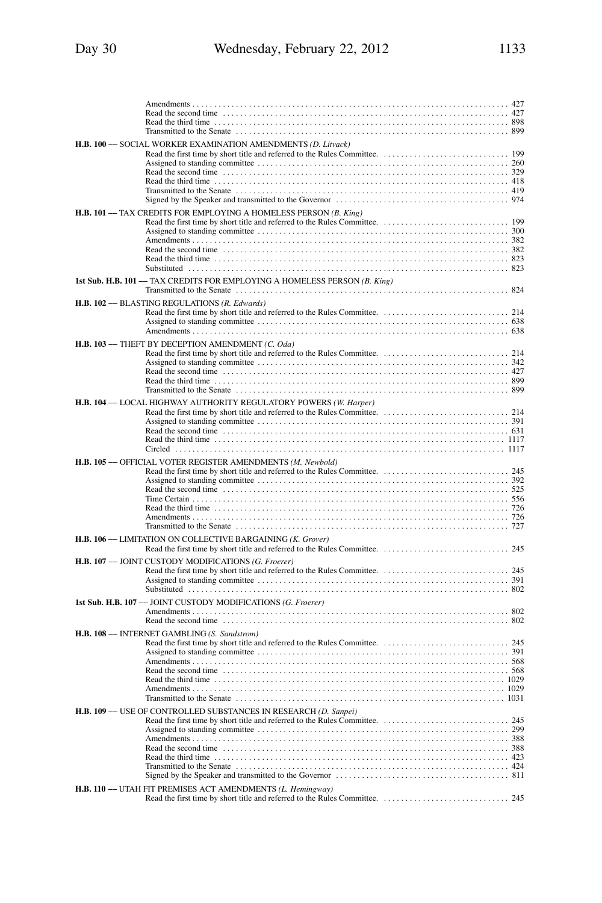| H.B. 100 -- SOCIAL WORKER EXAMINATION AMENDMENTS (D. Litvack)                                                                                                                           |
|-----------------------------------------------------------------------------------------------------------------------------------------------------------------------------------------|
| H.B. 101 -- TAX CREDITS FOR EMPLOYING A HOMELESS PERSON (B. King)<br>1st Sub. H.B. 101 - TAX CREDITS FOR EMPLOYING A HOMELESS PERSON (B. King)                                          |
| H.B. 102 -- BLASTING REGULATIONS (R. Edwards)                                                                                                                                           |
| H.B. 103 - THEFT BY DECEPTION AMENDMENT (C. Oda)                                                                                                                                        |
| H.B. 104 -- LOCAL HIGHWAY AUTHORITY REGULATORY POWERS (W. Harper)<br>Read the second time contained and the contact of the second time contact the second time contact time second time |
| H.B. 105 -- OFFICIAL VOTER REGISTER AMENDMENTS (M. Newbold)                                                                                                                             |
| H.B. 106 -- LIMITATION ON COLLECTIVE BARGAINING (K. Grover)                                                                                                                             |
| H.B. 107 -- JOINT CUSTODY MODIFICATIONS (G. Froerer)                                                                                                                                    |
| 1st Sub. H.B. 107 -- JOINT CUSTODY MODIFICATIONS (G. Froerer)                                                                                                                           |
| H.B. 108 - INTERNET GAMBLING (S. Sandstrom)                                                                                                                                             |
| H.B. 109 -- USE OF CONTROLLED SUBSTANCES IN RESEARCH (D. Sanpei)                                                                                                                        |
| H.B. 110 - UTAH FIT PREMISES ACT AMENDMENTS (L. Hemingway)                                                                                                                              |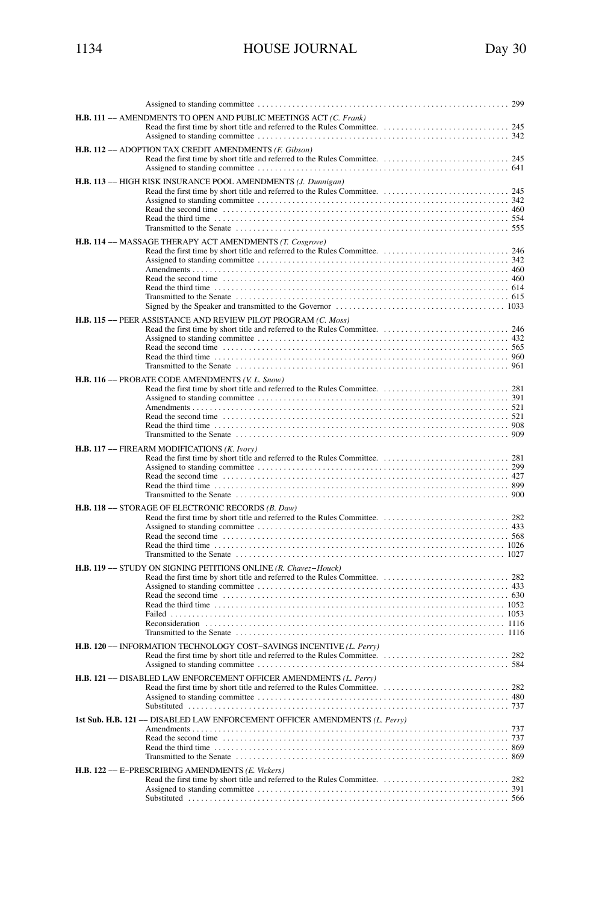|  | <b>HOUSE</b> |
|--|--------------|
|  |              |
|  |              |
|  |              |

| <b>H.B. 111 -- AMENDMENTS TO OPEN AND PUBLIC MEETINGS ACT (C. Frank)</b>                                                                                                                                                                                                                                      |
|---------------------------------------------------------------------------------------------------------------------------------------------------------------------------------------------------------------------------------------------------------------------------------------------------------------|
| H.B. 112 - ADOPTION TAX CREDIT AMENDMENTS (F. Gibson)                                                                                                                                                                                                                                                         |
| H.B. 113 -- HIGH RISK INSURANCE POOL AMENDMENTS (J. Dunnigan)                                                                                                                                                                                                                                                 |
| H.B. 114 -- MASSAGE THERAPY ACT AMENDMENTS (T. Cosgrove)                                                                                                                                                                                                                                                      |
| H.B. 115 -- PEER ASSISTANCE AND REVIEW PILOT PROGRAM (C. Moss)                                                                                                                                                                                                                                                |
| H.B. 116 - PROBATE CODE AMENDMENTS (V. L. Snow)                                                                                                                                                                                                                                                               |
| H.B. 117 -- FIREARM MODIFICATIONS (K. Ivory)                                                                                                                                                                                                                                                                  |
| H.B. 118 -- STORAGE OF ELECTRONIC RECORDS (B. Daw)                                                                                                                                                                                                                                                            |
| H.B. 119 -- STUDY ON SIGNING PETITIONS ONLINE (R. Chavez-Houck)                                                                                                                                                                                                                                               |
| H.B. 120 -- INFORMATION TECHNOLOGY COST-SAVINGS INCENTIVE (L. Perry)                                                                                                                                                                                                                                          |
| H.B. 121 - DISABLED LAW ENFORCEMENT OFFICER AMENDMENTS (L. Perry)                                                                                                                                                                                                                                             |
| 1st Sub. H.B. 121 -- DISABLED LAW ENFORCEMENT OFFICER AMENDMENTS (L. Perry)<br>Read the second time contained and the contact of the second time contact the second time contact and the second time contact and the second time contact and the second time contact and the second time second time second t |
| H.B. 122 - E-PRESCRIBING AMENDMENTS (E. Vickers)                                                                                                                                                                                                                                                              |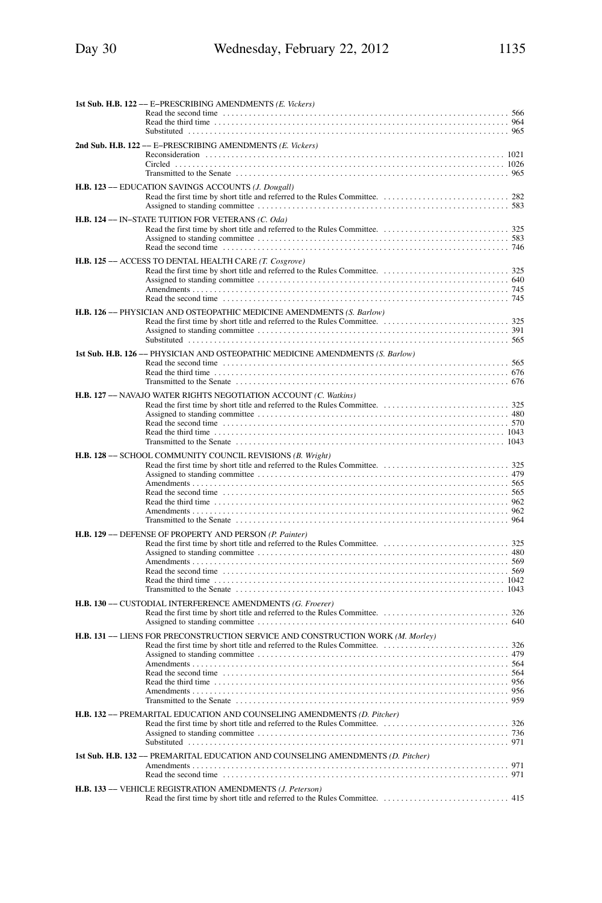| 1st Sub. H.B. 122 -- E-PRESCRIBING AMENDMENTS (E. Vickers)                                                                                                                                                                         |
|------------------------------------------------------------------------------------------------------------------------------------------------------------------------------------------------------------------------------------|
|                                                                                                                                                                                                                                    |
| 2nd Sub. H.B. 122 -- E-PRESCRIBING AMENDMENTS (E. Vickers)                                                                                                                                                                         |
|                                                                                                                                                                                                                                    |
|                                                                                                                                                                                                                                    |
| H.B. 123 -- EDUCATION SAVINGS ACCOUNTS (J. Dougall)                                                                                                                                                                                |
| H.B. 124 - IN-STATE TUITION FOR VETERANS (C. Oda)                                                                                                                                                                                  |
|                                                                                                                                                                                                                                    |
| H.B. 125 - ACCESS TO DENTAL HEALTH CARE (T. Cosgrove)                                                                                                                                                                              |
|                                                                                                                                                                                                                                    |
|                                                                                                                                                                                                                                    |
| Read the second time contained and the contact of the second time contact the second time contact and the second time contact and the second time contact and the second time contact and the second time contact and the seco     |
| <b>H.B. 126 --- PHYSICIAN AND OSTEOPATHIC MEDICINE AMENDMENTS (S. Barlow)</b>                                                                                                                                                      |
|                                                                                                                                                                                                                                    |
| 1st Sub. H.B. 126 -- PHYSICIAN AND OSTEOPATHIC MEDICINE AMENDMENTS (S. Barlow)                                                                                                                                                     |
|                                                                                                                                                                                                                                    |
| Read the third time $\ldots$ , $\ldots$ , $\ldots$ , $\ldots$ , $\ldots$ , $\ldots$ , $\ldots$ , $\ldots$ , $\ldots$ , $\ldots$ , $\ldots$ , $\ldots$ , $\ldots$ , $\ldots$ , $\ldots$ , $\ldots$ , $\ldots$ , $\ldots$ , $\ldots$ |
| H.B. 127 -- NAVAJO WATER RIGHTS NEGOTIATION ACCOUNT (C. Watkins)                                                                                                                                                                   |
|                                                                                                                                                                                                                                    |
|                                                                                                                                                                                                                                    |
|                                                                                                                                                                                                                                    |
|                                                                                                                                                                                                                                    |
| H.B. 128 -- SCHOOL COMMUNITY COUNCIL REVISIONS (B. Wright)                                                                                                                                                                         |
|                                                                                                                                                                                                                                    |
|                                                                                                                                                                                                                                    |
|                                                                                                                                                                                                                                    |
|                                                                                                                                                                                                                                    |
|                                                                                                                                                                                                                                    |
| H.B. 129 -- DEFENSE OF PROPERTY AND PERSON (P. Painter)                                                                                                                                                                            |
|                                                                                                                                                                                                                                    |
| Read the second time contained and the contact of the second time contact the second time contact time second time                                                                                                                 |
|                                                                                                                                                                                                                                    |
|                                                                                                                                                                                                                                    |
| H.B. 130 -- CUSTODIAL INTERFERENCE AMENDMENTS (G. Froerer)                                                                                                                                                                         |
|                                                                                                                                                                                                                                    |
| H.B. 131 -- LIENS FOR PRECONSTRUCTION SERVICE AND CONSTRUCTION WORK (M. Morley)                                                                                                                                                    |
|                                                                                                                                                                                                                                    |
|                                                                                                                                                                                                                                    |
| Read the third time $\ldots$ , $\ldots$ , $\ldots$ , $\ldots$ , $\ldots$ , $\ldots$ , $\ldots$ , $\ldots$ , $\ldots$ , $\ldots$ , $\ldots$ , $\ldots$ , $\ldots$ , $\ldots$ , $\ldots$ , $\ldots$ , $\ldots$ , $\ldots$            |
|                                                                                                                                                                                                                                    |
|                                                                                                                                                                                                                                    |
| H.B. 132 - PREMARITAL EDUCATION AND COUNSELING AMENDMENTS (D. Pitcher)                                                                                                                                                             |
|                                                                                                                                                                                                                                    |
| 1st Sub. H.B. 132 -- PREMARITAL EDUCATION AND COUNSELING AMENDMENTS (D. Pitcher)                                                                                                                                                   |
| Read the second time contained and the contact of the second time of the second time contact the second time of the second time of the second time of the second time of the second time of the second time of the second time     |
| H.B. 133 - VEHICLE REGISTRATION AMENDMENTS (J. Peterson)                                                                                                                                                                           |
|                                                                                                                                                                                                                                    |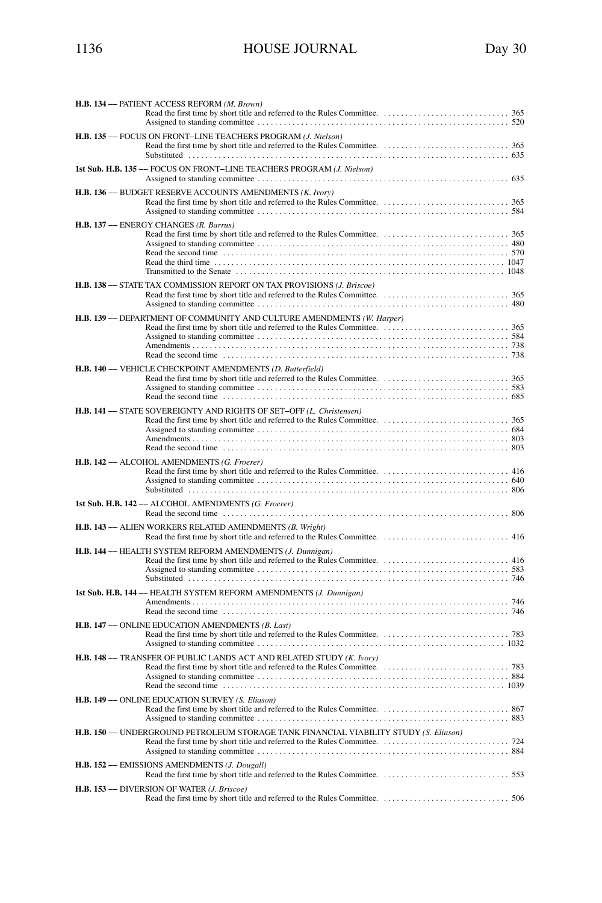| H.B. 134 - PATIENT ACCESS REFORM (M. Brown)                                                                                                                                                                                                           |  |
|-------------------------------------------------------------------------------------------------------------------------------------------------------------------------------------------------------------------------------------------------------|--|
| H.B. 135 -- FOCUS ON FRONT-LINE TEACHERS PROGRAM (J. Nielson)                                                                                                                                                                                         |  |
| 1st Sub. H.B. 135 -- FOCUS ON FRONT-LINE TEACHERS PROGRAM (J. Nielson)                                                                                                                                                                                |  |
| H.B. 136 - BUDGET RESERVE ACCOUNTS AMENDMENTS (K. Ivory)                                                                                                                                                                                              |  |
| H.B. 137 - ENERGY CHANGES (R. Barrus)<br>Read the third time $\ldots$ , $\ldots$ , $\ldots$ , $\ldots$ , $\ldots$ , $\ldots$ , $\ldots$ , $\ldots$ , $\ldots$ , $\ldots$ , $\ldots$ , $\ldots$ , $\ldots$ , $\ldots$ , $\ldots$ , $\ldots$ , $\ldots$ |  |
| <b>H.B. 138 -- STATE TAX COMMISSION REPORT ON TAX PROVISIONS (J. Briscoe)</b>                                                                                                                                                                         |  |
| H.B. 139 -- DEPARTMENT OF COMMUNITY AND CULTURE AMENDMENTS (W. Harper)                                                                                                                                                                                |  |
| H.B. 140 - VEHICLE CHECKPOINT AMENDMENTS (D. Butterfield)<br>Read the second time contained and the contact of the second time of the second time contact the second time of $685$                                                                    |  |
| H.B. 141 -- STATE SOVEREIGNTY AND RIGHTS OF SET-OFF (L. Christensen)                                                                                                                                                                                  |  |
| H.B. 142 - ALCOHOL AMENDMENTS (G. Froerer)                                                                                                                                                                                                            |  |
| 1st Sub. H.B. 142 -- ALCOHOL AMENDMENTS (G. Froerer)                                                                                                                                                                                                  |  |
| H.B. 143 - ALIEN WORKERS RELATED AMENDMENTS (B. Wright)                                                                                                                                                                                               |  |
| H.B. 144 -- HEALTH SYSTEM REFORM AMENDMENTS (J. Dunnigan)                                                                                                                                                                                             |  |
| 1st Sub. H.B. 144 -- HEALTH SYSTEM REFORM AMENDMENTS (J. Dunnigan)                                                                                                                                                                                    |  |
| H.B. 147 - ONLINE EDUCATION AMENDMENTS (B. Last)                                                                                                                                                                                                      |  |
| H.B. 148 -- TRANSFER OF PUBLIC LANDS ACT AND RELATED STUDY (K. Ivory)                                                                                                                                                                                 |  |

| H.B. 149 - ONLINE EDUCATION SURVEY (S. Eliason)                                       |  |
|---------------------------------------------------------------------------------------|--|
| H.B. 150 -- UNDERGROUND PETROLEUM STORAGE TANK FINANCIAL VIABILITY STUDY (S. Eliason) |  |
| H.B. 152 - EMISSIONS AMENDMENTS (J. Dougall)                                          |  |
| H.B. 153 - DIVERSION OF WATER ( <i>J. Briscoe</i> )                                   |  |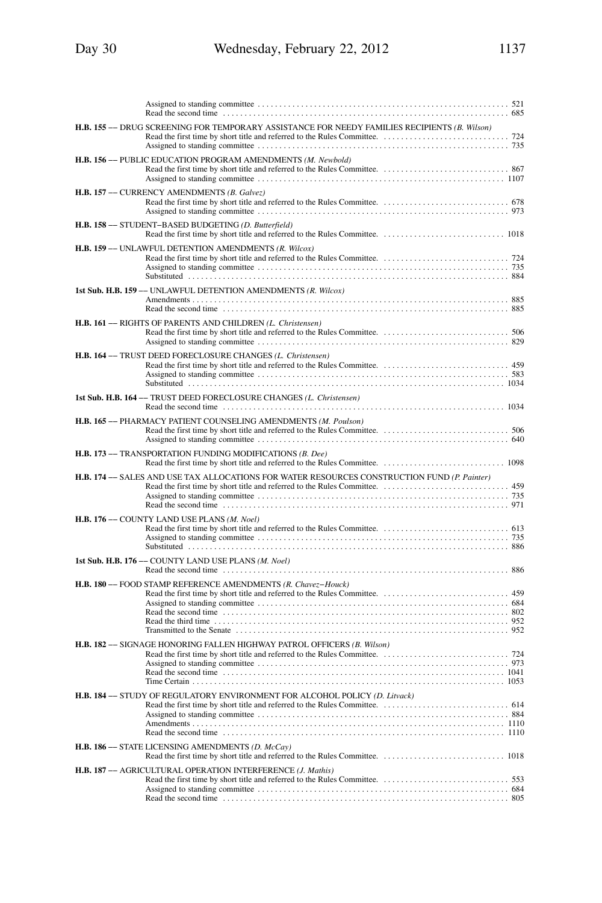| H.B. 155 -- DRUG SCREENING FOR TEMPORARY ASSISTANCE FOR NEEDY FAMILIES RECIPIENTS (B. Wilson)                                                                                                                                                                                                                                  |
|--------------------------------------------------------------------------------------------------------------------------------------------------------------------------------------------------------------------------------------------------------------------------------------------------------------------------------|
| H.B. 156 - PUBLIC EDUCATION PROGRAM AMENDMENTS (M. Newbold)                                                                                                                                                                                                                                                                    |
| H.B. 157 -- CURRENCY AMENDMENTS (B. Galvez)                                                                                                                                                                                                                                                                                    |
| H.B. 158 - STUDENT-BASED BUDGETING (D. Butterfield)                                                                                                                                                                                                                                                                            |
| H.B. 159 -- UNLAWFUL DETENTION AMENDMENTS (R. Wilcox)                                                                                                                                                                                                                                                                          |
| 1st Sub. H.B. 159 -- UNLAWFUL DETENTION AMENDMENTS (R. Wilcox)<br>Read the second time contained and set of the second time contained a second time contained a second time contained a second time contained a second time contained a second time contained a second second second second seco                               |
| H.B. 161 - RIGHTS OF PARENTS AND CHILDREN (L. Christensen)                                                                                                                                                                                                                                                                     |
| H.B. 164 -- TRUST DEED FORECLOSURE CHANGES (L. Christensen)                                                                                                                                                                                                                                                                    |
| 1st Sub. H.B. 164 -- TRUST DEED FORECLOSURE CHANGES (L. Christensen)                                                                                                                                                                                                                                                           |
| H.B. 165 - PHARMACY PATIENT COUNSELING AMENDMENTS (M. Poulson)                                                                                                                                                                                                                                                                 |
| H.B. 173 - TRANSPORTATION FUNDING MODIFICATIONS (B. Dee)                                                                                                                                                                                                                                                                       |
| H.B. 174 -- SALES AND USE TAX ALLOCATIONS FOR WATER RESOURCES CONSTRUCTION FUND (P. Painter)<br>Read the second time contained and the contact of the second time of the second time contact the second time of the second time of the second time of the second time of the second time of the second time of the second time |
| H.B. 176 - COUNTY LAND USE PLANS (M. Noel)                                                                                                                                                                                                                                                                                     |
| 1st Sub. H.B. 176 -- COUNTY LAND USE PLANS (M. Noel)<br>Read the second time contained and the second time contained a second time contained a second time contained a second time contained a second time contained a second time contained a second time contained a second second s                                         |
| H.B. 180 - FOOD STAMP REFERENCE AMENDMENTS (R. Chavez-Houck)                                                                                                                                                                                                                                                                   |
| H.B. 182 - SIGNAGE HONORING FALLEN HIGHWAY PATROL OFFICERS (B. Wilson)                                                                                                                                                                                                                                                         |
| H.B. 184 -- STUDY OF REGULATORY ENVIRONMENT FOR ALCOHOL POLICY (D. Litvack)<br>Read the second time contained and the contact of the second time in the second time contact the second time contact the second time contact the second time contact the second time of the second time second time second tim                  |
| H.B. 186 -- STATE LICENSING AMENDMENTS (D. McCay)                                                                                                                                                                                                                                                                              |
| H.B. 187 - AGRICULTURAL OPERATION INTERFERENCE (J. Mathis)                                                                                                                                                                                                                                                                     |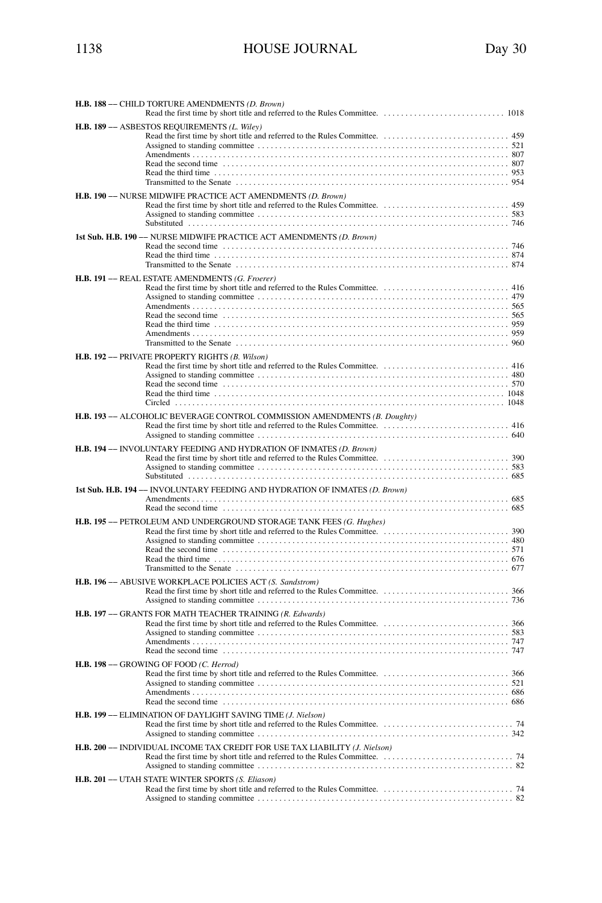| H.B. 188 - CHILD TORTURE AMENDMENTS (D. Brown)                                                                                                                                                                                                                             |
|----------------------------------------------------------------------------------------------------------------------------------------------------------------------------------------------------------------------------------------------------------------------------|
| H.B. 189 -- ASBESTOS REQUIREMENTS (L. Wiley)                                                                                                                                                                                                                               |
| H.B. 190 -- NURSE MIDWIFE PRACTICE ACT AMENDMENTS (D. Brown)                                                                                                                                                                                                               |
| 1st Sub. H.B. 190 -- NURSE MIDWIFE PRACTICE ACT AMENDMENTS (D. Brown)                                                                                                                                                                                                      |
| H.B. 191 -- REAL ESTATE AMENDMENTS (G. Froerer)<br>Read the third time $\ldots$ , $\ldots$ , $\ldots$ , $\ldots$ , $\ldots$ , $\ldots$ , $\ldots$ , $\ldots$ , $\ldots$ , $\ldots$ , $\ldots$ , $\ldots$ , $\ldots$ , $\ldots$ , $\ldots$ , $\ldots$ , $\ldots$ , $\ldots$ |
| H.B. 192 -- PRIVATE PROPERTY RIGHTS (B. Wilson)                                                                                                                                                                                                                            |
| H.B. 193 -- ALCOHOLIC BEVERAGE CONTROL COMMISSION AMENDMENTS (B. Doughty)                                                                                                                                                                                                  |
|                                                                                                                                                                                                                                                                            |
| 1st Sub. H.B. 194 -- INVOLUNTARY FEEDING AND HYDRATION OF INMATES (D. Brown)                                                                                                                                                                                               |
| H.B. 195 -- PETROLEUM AND UNDERGROUND STORAGE TANK FEES (G. Hughes)                                                                                                                                                                                                        |
| H.B. 196 -- ABUSIVE WORKPLACE POLICIES ACT (S. Sandstrom)                                                                                                                                                                                                                  |
| H.B. 197 - GRANTS FOR MATH TEACHER TRAINING (R. Edwards)                                                                                                                                                                                                                   |
| H.B. 198 -- GROWING OF FOOD (C. Herrod)                                                                                                                                                                                                                                    |
| H.B. 199 -- ELIMINATION OF DAYLIGHT SAVING TIME (J. Nielson)                                                                                                                                                                                                               |
| H.B. 200 -- INDIVIDUAL INCOME TAX CREDIT FOR USE TAX LIABILITY (J. Nielson)                                                                                                                                                                                                |
| H.B. 201 -- UTAH STATE WINTER SPORTS (S. Eliason)                                                                                                                                                                                                                          |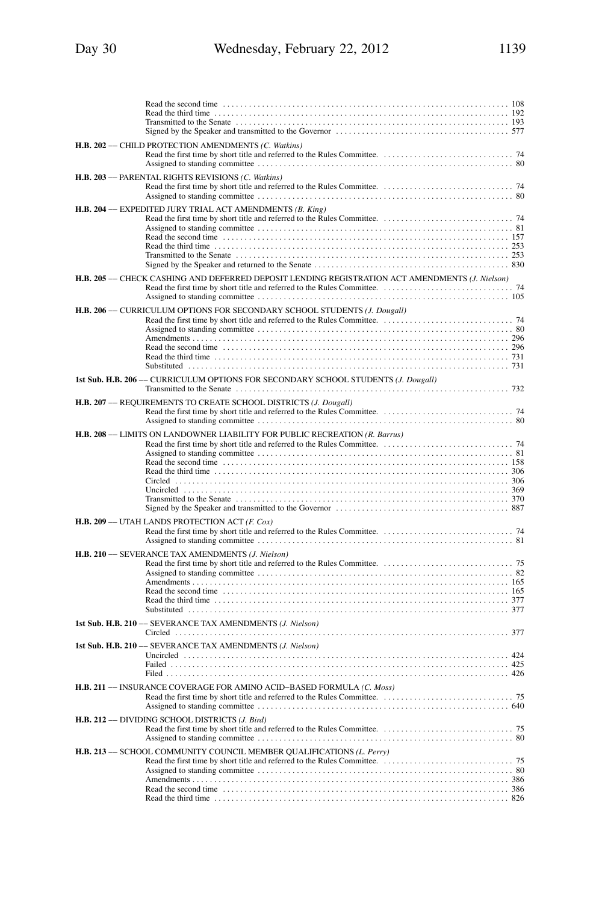| H.B. 202 - CHILD PROTECTION AMENDMENTS (C. Watkins)                                             |
|-------------------------------------------------------------------------------------------------|
| H.B. 203 - PARENTAL RIGHTS REVISIONS (C. Watkins)                                               |
| H.B. 204 -- EXPEDITED JURY TRIAL ACT AMENDMENTS (B. King)                                       |
| H.B. 205 -- CHECK CASHING AND DEFERRED DEPOSIT LENDING REGISTRATION ACT AMENDMENTS (J. Nielson) |
| H.B. 206 -- CURRICULUM OPTIONS FOR SECONDARY SCHOOL STUDENTS (J. Dougall)                       |
| 1st Sub. H.B. 206 -- CURRICULUM OPTIONS FOR SECONDARY SCHOOL STUDENTS (J. Dougall)              |
| H.B. 207 - REQUIREMENTS TO CREATE SCHOOL DISTRICTS (J. Dougall)                                 |
| H.B. 208 -- LIMITS ON LANDOWNER LIABILITY FOR PUBLIC RECREATION (R. Barrus)                     |
| H.B. 209 - UTAH LANDS PROTECTION ACT (F. Cox)                                                   |
| H.B. 210 - SEVERANCE TAX AMENDMENTS (J. Nielson)                                                |
| 1st Sub. H.B. 210 -- SEVERANCE TAX AMENDMENTS (J. Nielson)                                      |
| 1st Sub. H.B. 210 -- SEVERANCE TAX AMENDMENTS (J. Nielson)                                      |
| H.B. 211 -- INSURANCE COVERAGE FOR AMINO ACID-BASED FORMULA (C. Moss)                           |
| H.B. 212 - DIVIDING SCHOOL DISTRICTS (J. Bird)                                                  |
| H.B. 213 -- SCHOOL COMMUNITY COUNCIL MEMBER QUALIFICATIONS (L. Perry)                           |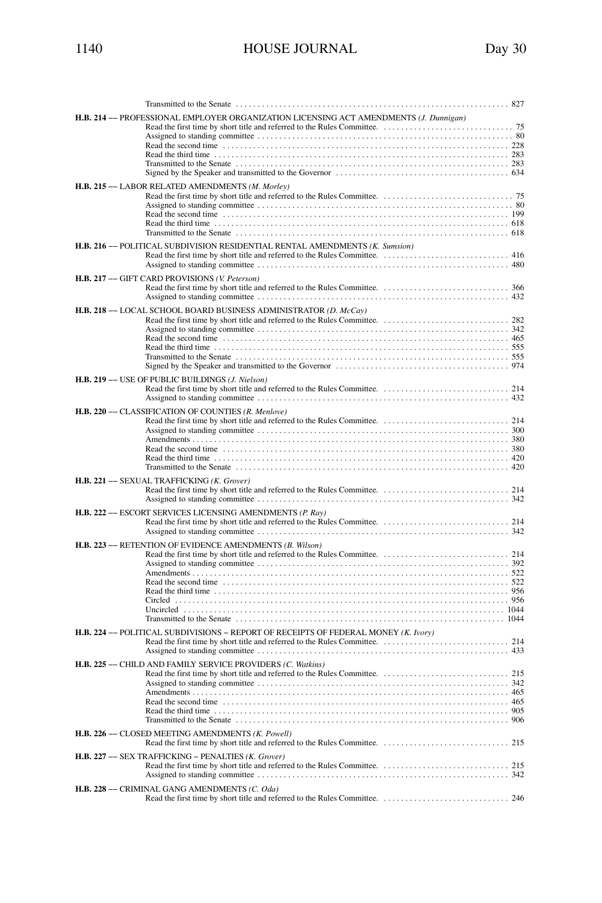| ۰. |  |
|----|--|

| H.B. 214 -- PROFESSIONAL EMPLOYER ORGANIZATION LICENSING ACT AMENDMENTS (J. Dunnigan)<br>H.B. 215 - LABOR RELATED AMENDMENTS (M. Morley)<br>H.B. 216 -- POLITICAL SUBDIVISION RESIDENTIAL RENTAL AMENDMENTS (K. Sumsion)                                                             |  |
|--------------------------------------------------------------------------------------------------------------------------------------------------------------------------------------------------------------------------------------------------------------------------------------|--|
| H.B. 217 -- GIFT CARD PROVISIONS (V. Peterson)                                                                                                                                                                                                                                       |  |
| H.B. 218 -- LOCAL SCHOOL BOARD BUSINESS ADMINISTRATOR (D. McCay)                                                                                                                                                                                                                     |  |
| H.B. 219 -- USE OF PUBLIC BUILDINGS (J. Nielson)                                                                                                                                                                                                                                     |  |
| H.B. 220 - CLASSIFICATION OF COUNTIES (R. Menlove)<br>Read the second time influence in the contract of the second time in the second time in the second time in the second time in the second time in the second time in the second time in the second time in the second time in t |  |
| H.B. 221 - SEXUAL TRAFFICKING (K. Grover)                                                                                                                                                                                                                                            |  |
| H.B. 222 - ESCORT SERVICES LICENSING AMENDMENTS (P. Ray)                                                                                                                                                                                                                             |  |
| H.B. 223 - RETENTION OF EVIDENCE AMENDMENTS (B. Wilson)                                                                                                                                                                                                                              |  |
| H.B. 224 -- POLITICAL SUBDIVISIONS - REPORT OF RECEIPTS OF FEDERAL MONEY (K. Ivory)                                                                                                                                                                                                  |  |
| H.B. 225 - CHILD AND FAMILY SERVICE PROVIDERS (C. Watkins)                                                                                                                                                                                                                           |  |
| H.B. 226 - CLOSED MEETING AMENDMENTS (K. Powell)<br>H.B. 227 - SEX TRAFFICKING - PENALTIES (K. Grover)                                                                                                                                                                               |  |
|                                                                                                                                                                                                                                                                                      |  |
| H.B. 228 - CRIMINAL GANG AMENDMENTS (C. Oda)                                                                                                                                                                                                                                         |  |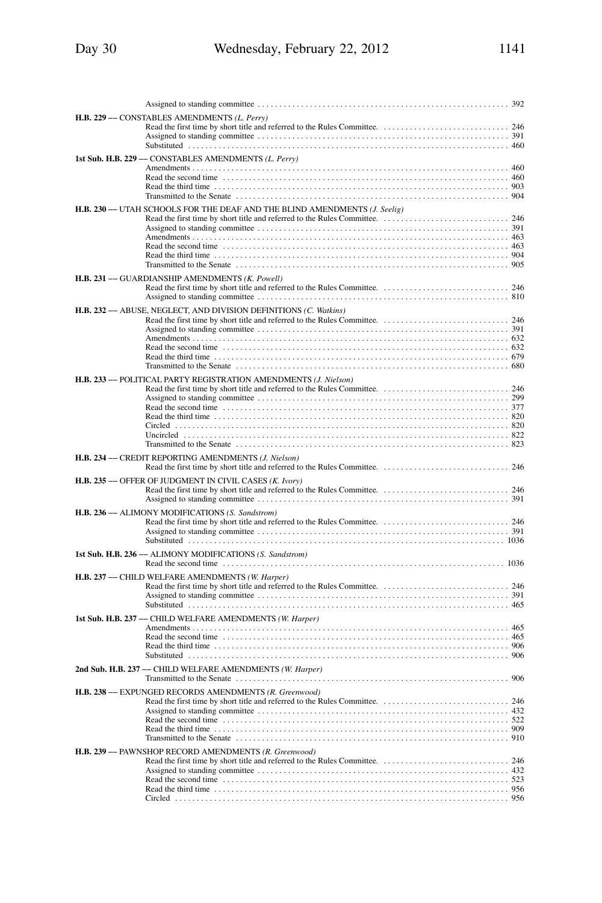| 392                                                                                                                   |
|-----------------------------------------------------------------------------------------------------------------------|
| H.B. 229 -- CONSTABLES AMENDMENTS (L. Perry)                                                                          |
|                                                                                                                       |
|                                                                                                                       |
|                                                                                                                       |
| 1st Sub. H.B. 229 -- CONSTABLES AMENDMENTS (L. Perry)                                                                 |
|                                                                                                                       |
|                                                                                                                       |
|                                                                                                                       |
| H.B. 230 -- UTAH SCHOOLS FOR THE DEAF AND THE BLIND AMENDMENTS (J. Seelig)                                            |
|                                                                                                                       |
|                                                                                                                       |
| Read the second time contained and the contact of the second time contact the second time contact and the second time |
|                                                                                                                       |
|                                                                                                                       |
| H.B. 231 - GUARDIANSHIP AMENDMENTS (K. Powell)                                                                        |
|                                                                                                                       |
|                                                                                                                       |
| H.B. 232 - ABUSE, NEGLECT, AND DIVISION DEFINITIONS (C. Watkins)                                                      |
|                                                                                                                       |
|                                                                                                                       |
|                                                                                                                       |
|                                                                                                                       |
|                                                                                                                       |
| H.B. 233 - POLITICAL PARTY REGISTRATION AMENDMENTS (J. Nielson)                                                       |
|                                                                                                                       |
|                                                                                                                       |
|                                                                                                                       |
|                                                                                                                       |
|                                                                                                                       |
|                                                                                                                       |
| H.B. 234 - CREDIT REPORTING AMENDMENTS (J. Nielson)                                                                   |
| H.B. 235 -- OFFER OF JUDGMENT IN CIVIL CASES (K. Ivory)                                                               |
|                                                                                                                       |
|                                                                                                                       |
| H.B. 236 - ALIMONY MODIFICATIONS (S. Sandstrom)                                                                       |
|                                                                                                                       |
|                                                                                                                       |
| 1st Sub. H.B. 236 -- ALIMONY MODIFICATIONS (S. Sandstrom)                                                             |
|                                                                                                                       |
| H.B. 237 - CHILD WELFARE AMENDMENTS (W. Harper)                                                                       |
|                                                                                                                       |
|                                                                                                                       |
|                                                                                                                       |
| 1st Sub. H.B. 237 -- CHILD WELFARE AMENDMENTS (W. Harper)                                                             |
|                                                                                                                       |
|                                                                                                                       |
|                                                                                                                       |
| 2nd Sub. H.B. 237 - CHILD WELFARE AMENDMENTS (W. Harper)                                                              |
|                                                                                                                       |
| H.B. 238 -- EXPUNGED RECORDS AMENDMENTS (R. Greenwood)                                                                |
|                                                                                                                       |
|                                                                                                                       |
|                                                                                                                       |
|                                                                                                                       |
|                                                                                                                       |
| H.B. 239 - PAWNSHOP RECORD AMENDMENTS (R. Greenwood)                                                                  |
|                                                                                                                       |
|                                                                                                                       |
|                                                                                                                       |
| 956                                                                                                                   |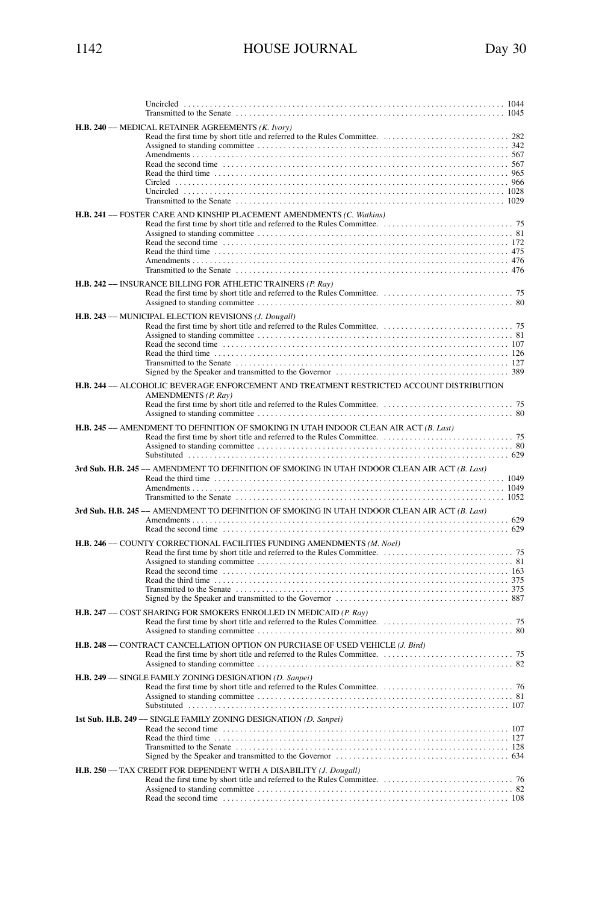| H.B. 240 - MEDICAL RETAINER AGREEMENTS (K. Ivory)                                                               |
|-----------------------------------------------------------------------------------------------------------------|
| H.B. 241 -- FOSTER CARE AND KINSHIP PLACEMENT AMENDMENTS (C. Watkins)                                           |
| H.B. 242 -- INSURANCE BILLING FOR ATHLETIC TRAINERS (P. Ray)                                                    |
| H.B. 243 -- MUNICIPAL ELECTION REVISIONS (J. Dougall)                                                           |
| H.B. 244 -- ALCOHOLIC BEVERAGE ENFORCEMENT AND TREATMENT RESTRICTED ACCOUNT DISTRIBUTION<br>AMENDMENTS (P. Ray) |
| H.B. 245 - AMENDMENT TO DEFINITION OF SMOKING IN UTAH INDOOR CLEAN AIR ACT (B. Last)                            |
| 3rd Sub. H.B. 245 -- AMENDMENT TO DEFINITION OF SMOKING IN UTAH INDOOR CLEAN AIR ACT (B. Last)                  |
| 3rd Sub. H.B. 245 -- AMENDMENT TO DEFINITION OF SMOKING IN UTAH INDOOR CLEAN AIR ACT (B. Last)                  |
| H.B. 246 -- COUNTY CORRECTIONAL FACILITIES FUNDING AMENDMENTS (M. Noel)                                         |
| H.B. 247 -- COST SHARING FOR SMOKERS ENROLLED IN MEDICAID (P. Ray)                                              |
| H.B. 248 -- CONTRACT CANCELLATION OPTION ON PURCHASE OF USED VEHICLE (J. Bird)                                  |
| H.B. 249 -- SINGLE FAMILY ZONING DESIGNATION (D. Sanpei)                                                        |
| 1st Sub. H.B. 249 -- SINGLE FAMILY ZONING DESIGNATION (D. Sanpei)                                               |
| H.B. 250 -- TAX CREDIT FOR DEPENDENT WITH A DISABILITY (J. Dougall)                                             |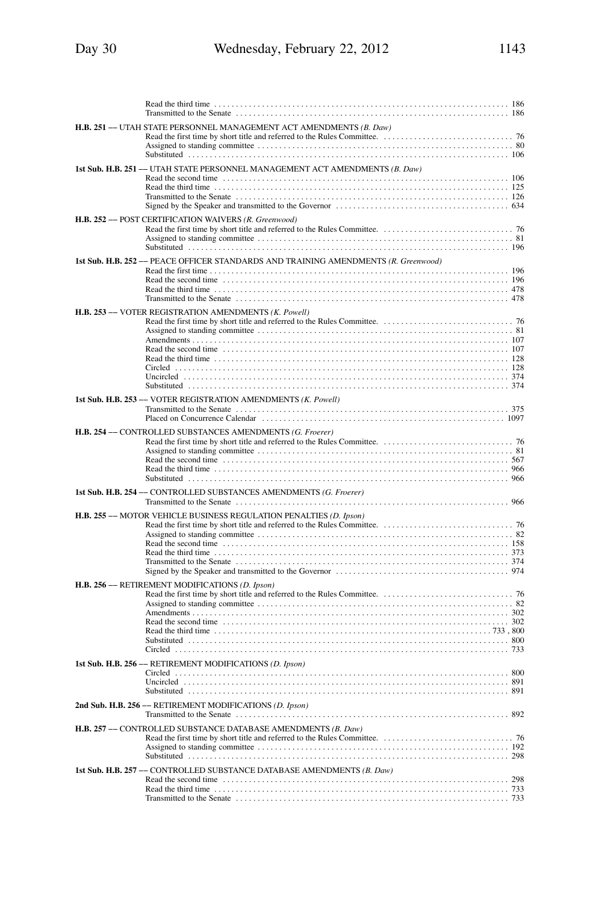|                     | H.B. 251 -- UTAH STATE PERSONNEL MANAGEMENT ACT AMENDMENTS (B. Daw)                                                                                                                                                                                                                                           |  |
|---------------------|---------------------------------------------------------------------------------------------------------------------------------------------------------------------------------------------------------------------------------------------------------------------------------------------------------------|--|
|                     | 1st Sub. H.B. 251 -- UTAH STATE PERSONNEL MANAGEMENT ACT AMENDMENTS (B. Daw)<br>Read the second time contained and the contact of the second time contact the second time contact to the Read the second time contact to the Read the second time contact to the Read the second time contact the Read to the |  |
|                     | H.B. 252 - POST CERTIFICATION WAIVERS (R. Greenwood)                                                                                                                                                                                                                                                          |  |
|                     | 1st Sub. H.B. 252 -- PEACE OFFICER STANDARDS AND TRAINING AMENDMENTS (R. Greenwood)                                                                                                                                                                                                                           |  |
|                     | H.B. 253 - VOTER REGISTRATION AMENDMENTS (K. Powell)                                                                                                                                                                                                                                                          |  |
| 1st Sub. H.B. 253 - | - VOTER REGISTRATION AMENDMENTS (K. Powell)                                                                                                                                                                                                                                                                   |  |
|                     | H.B. 254 - CONTROLLED SUBSTANCES AMENDMENTS (G. Froerer)                                                                                                                                                                                                                                                      |  |
|                     | 1st Sub. H.B. 254 -- CONTROLLED SUBSTANCES AMENDMENTS (G. Froerer)                                                                                                                                                                                                                                            |  |
|                     | H.B. 255 -- MOTOR VEHICLE BUSINESS REGULATION PENALTIES (D. Ipson)                                                                                                                                                                                                                                            |  |
|                     | H.B. 256 - RETIREMENT MODIFICATIONS (D. Ipson)                                                                                                                                                                                                                                                                |  |
|                     | 1st Sub. H.B. 256 -- RETIREMENT MODIFICATIONS (D. Ipson)                                                                                                                                                                                                                                                      |  |
|                     | 2nd Sub. H.B. 256 - RETIREMENT MODIFICATIONS (D. Ipson)                                                                                                                                                                                                                                                       |  |
|                     | H.B. 257 - CONTROLLED SUBSTANCE DATABASE AMENDMENTS (B. Daw)                                                                                                                                                                                                                                                  |  |
|                     | 1st Sub. H.B. 257 -- CONTROLLED SUBSTANCE DATABASE AMENDMENTS (B. Daw)<br>733                                                                                                                                                                                                                                 |  |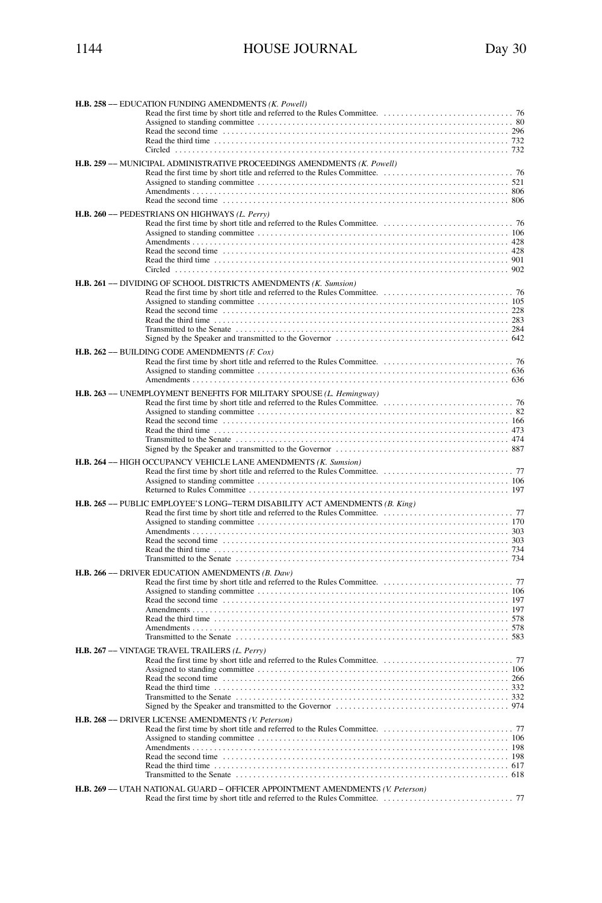| H.B. 258 -- EDUCATION FUNDING AMENDMENTS (K. Powell)                                                                                                                                                                               |  |
|------------------------------------------------------------------------------------------------------------------------------------------------------------------------------------------------------------------------------------|--|
|                                                                                                                                                                                                                                    |  |
|                                                                                                                                                                                                                                    |  |
| Read the third time $\ldots$ , $\ldots$ , $\ldots$ , $\ldots$ , $\ldots$ , $\ldots$ , $\ldots$ , $\ldots$ , $\ldots$ , $\ldots$ , $\ldots$ , $\ldots$ , $\ldots$ , $\ldots$ , $\ldots$ , $\ldots$ , $\ldots$ , $\ldots$            |  |
|                                                                                                                                                                                                                                    |  |
| H.B. 259 -- MUNICIPAL ADMINISTRATIVE PROCEEDINGS AMENDMENTS (K. Powell)                                                                                                                                                            |  |
|                                                                                                                                                                                                                                    |  |
|                                                                                                                                                                                                                                    |  |
|                                                                                                                                                                                                                                    |  |
|                                                                                                                                                                                                                                    |  |
| H.B. 260 - PEDESTRIANS ON HIGHWAYS (L. Perry)                                                                                                                                                                                      |  |
|                                                                                                                                                                                                                                    |  |
|                                                                                                                                                                                                                                    |  |
|                                                                                                                                                                                                                                    |  |
|                                                                                                                                                                                                                                    |  |
|                                                                                                                                                                                                                                    |  |
|                                                                                                                                                                                                                                    |  |
| H.B. 261 -- DIVIDING OF SCHOOL DISTRICTS AMENDMENTS (K. Sumsion)                                                                                                                                                                   |  |
|                                                                                                                                                                                                                                    |  |
|                                                                                                                                                                                                                                    |  |
|                                                                                                                                                                                                                                    |  |
|                                                                                                                                                                                                                                    |  |
|                                                                                                                                                                                                                                    |  |
| <b>H.B. 262 --- BUILDING CODE AMENDMENTS (F. Cox)</b>                                                                                                                                                                              |  |
|                                                                                                                                                                                                                                    |  |
|                                                                                                                                                                                                                                    |  |
|                                                                                                                                                                                                                                    |  |
| H.B. 263 -- UNEMPLOYMENT BENEFITS FOR MILITARY SPOUSE (L. Hemingway)                                                                                                                                                               |  |
|                                                                                                                                                                                                                                    |  |
|                                                                                                                                                                                                                                    |  |
|                                                                                                                                                                                                                                    |  |
|                                                                                                                                                                                                                                    |  |
|                                                                                                                                                                                                                                    |  |
| H.B. 264 - HIGH OCCUPANCY VEHICLE LANE AMENDMENTS (K. Sumsion)                                                                                                                                                                     |  |
|                                                                                                                                                                                                                                    |  |
|                                                                                                                                                                                                                                    |  |
|                                                                                                                                                                                                                                    |  |
|                                                                                                                                                                                                                                    |  |
| H.B. 265 -- PUBLIC EMPLOYEE'S LONG-TERM DISABILITY ACT AMENDMENTS (B. King)                                                                                                                                                        |  |
|                                                                                                                                                                                                                                    |  |
|                                                                                                                                                                                                                                    |  |
|                                                                                                                                                                                                                                    |  |
|                                                                                                                                                                                                                                    |  |
|                                                                                                                                                                                                                                    |  |
|                                                                                                                                                                                                                                    |  |
| H.B. 266 - DRIVER EDUCATION AMENDMENTS (B. Daw)                                                                                                                                                                                    |  |
|                                                                                                                                                                                                                                    |  |
|                                                                                                                                                                                                                                    |  |
|                                                                                                                                                                                                                                    |  |
| Read the third time $\ldots$ , $\ldots$ , $\ldots$ , $\ldots$ , $\ldots$ , $\ldots$ , $\ldots$ , $\ldots$ , $\ldots$ , $\ldots$ , $\ldots$ , $\ldots$ , $\ldots$ , $\ldots$ , $\ldots$ , $\ldots$ , $\ldots$ , $\ldots$ , $\ldots$ |  |
|                                                                                                                                                                                                                                    |  |
|                                                                                                                                                                                                                                    |  |
| H.B. 267 -- VINTAGE TRAVEL TRAILERS (L. Perry)                                                                                                                                                                                     |  |
|                                                                                                                                                                                                                                    |  |
|                                                                                                                                                                                                                                    |  |
|                                                                                                                                                                                                                                    |  |
|                                                                                                                                                                                                                                    |  |
|                                                                                                                                                                                                                                    |  |
| H.B. 268 - DRIVER LICENSE AMENDMENTS (V. Peterson)                                                                                                                                                                                 |  |
|                                                                                                                                                                                                                                    |  |
|                                                                                                                                                                                                                                    |  |
|                                                                                                                                                                                                                                    |  |
|                                                                                                                                                                                                                                    |  |
|                                                                                                                                                                                                                                    |  |
|                                                                                                                                                                                                                                    |  |
| H.B. 269 -- UTAH NATIONAL GUARD - OFFICER APPOINTMENT AMENDMENTS (V. Peterson)                                                                                                                                                     |  |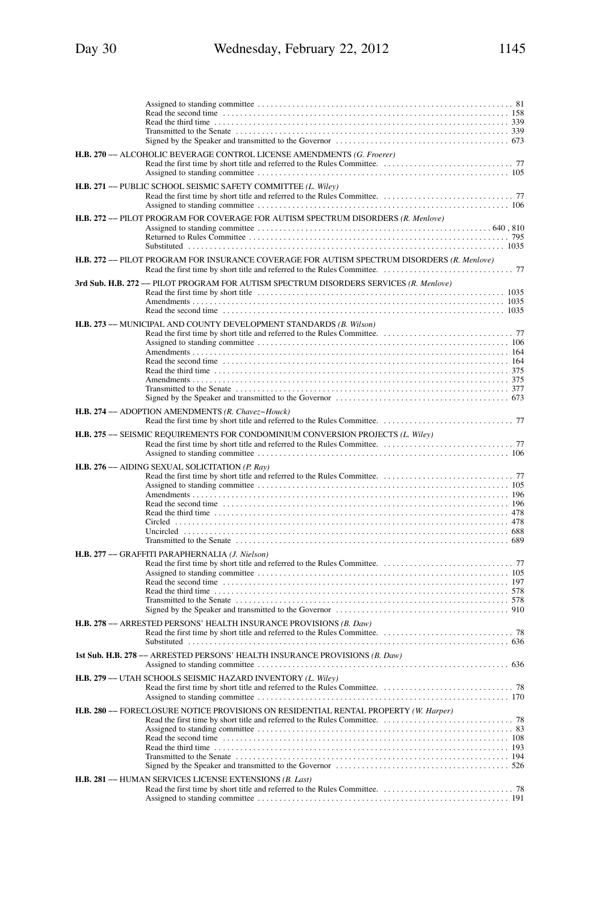| H.B. 270 -- ALCOHOLIC BEVERAGE CONTROL LICENSE AMENDMENTS (G. Froerer)                                                                                                                                                                                                                                                   |
|--------------------------------------------------------------------------------------------------------------------------------------------------------------------------------------------------------------------------------------------------------------------------------------------------------------------------|
| H.B. 271 -- PUBLIC SCHOOL SEISMIC SAFETY COMMITTEE (L. Wiley)                                                                                                                                                                                                                                                            |
| H.B. 272 -- PILOT PROGRAM FOR COVERAGE FOR AUTISM SPECTRUM DISORDERS (R. Menlove)                                                                                                                                                                                                                                        |
| H.B. 272 -- PILOT PROGRAM FOR INSURANCE COVERAGE FOR AUTISM SPECTRUM DISORDERS (R. Menlove)                                                                                                                                                                                                                              |
| 3rd Sub. H.B. 272 -- PILOT PROGRAM FOR AUTISM SPECTRUM DISORDERS SERVICES (R. Menlove)<br>Read the second time contained and the contact of the second time of the second time contact the second time of the second time of the second time of the second time of the second time of the second time of the second time |
| H.B. 273 -- MUNICIPAL AND COUNTY DEVELOPMENT STANDARDS (B. Wilson)                                                                                                                                                                                                                                                       |
| H.B. 274 - ADOPTION AMENDMENTS (R. Chavez-Houck)                                                                                                                                                                                                                                                                         |
| H.B. 275 -- SEISMIC REQUIREMENTS FOR CONDOMINIUM CONVERSION PROJECTS (L. Wiley)                                                                                                                                                                                                                                          |
| H.B. 276 - AIDING SEXUAL SOLICITATION (P. Ray)<br>Read the second time increases in the contract of the second time in the second time in the second time in the second time in the second time in the second time in the second time in the second time in the second time in t                                         |
| H.B. 277 - GRAFFITI PARAPHERNALIA (J. Nielson)                                                                                                                                                                                                                                                                           |
| H.B. 278 -- ARRESTED PERSONS' HEALTH INSURANCE PROVISIONS (B. Daw)                                                                                                                                                                                                                                                       |
| 1st Sub. H.B. 278 -- ARRESTED PERSONS' HEALTH INSURANCE PROVISIONS (B. Daw)                                                                                                                                                                                                                                              |
| H.B. 279 -- UTAH SCHOOLS SEISMIC HAZARD INVENTORY (L. Wiley)                                                                                                                                                                                                                                                             |
| H.B. 280 -- FORECLOSURE NOTICE PROVISIONS ON RESIDENTIAL RENTAL PROPERTY (W. Harper)                                                                                                                                                                                                                                     |
| H.B. 281 - HUMAN SERVICES LICENSE EXTENSIONS (B. Last)                                                                                                                                                                                                                                                                   |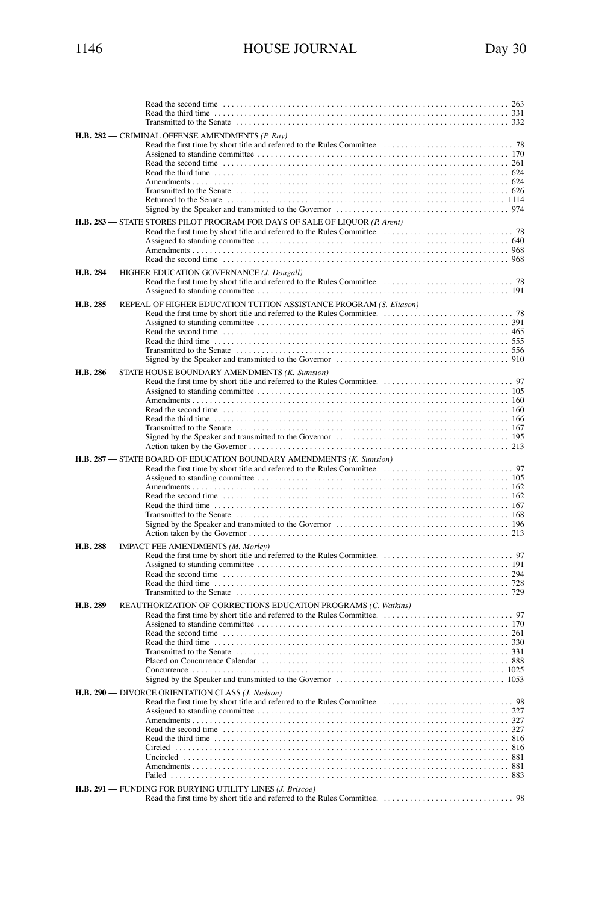| Read the second time $\ldots$ , $\ldots$ , $\ldots$ , $\ldots$ , $\ldots$ , $\ldots$ , $\ldots$ , $\ldots$ , $\ldots$ , $\ldots$ , $\ldots$ , $\ldots$ , $\ldots$ , $\ldots$ , $\ldots$ , $\ldots$ , $\ldots$ |  |
|---------------------------------------------------------------------------------------------------------------------------------------------------------------------------------------------------------------|--|
|                                                                                                                                                                                                               |  |
| H.B. 282 - CRIMINAL OFFENSE AMENDMENTS (P. Ray)                                                                                                                                                               |  |
|                                                                                                                                                                                                               |  |
|                                                                                                                                                                                                               |  |
|                                                                                                                                                                                                               |  |
|                                                                                                                                                                                                               |  |
|                                                                                                                                                                                                               |  |
|                                                                                                                                                                                                               |  |
| H.B. 283 -- STATE STORES PILOT PROGRAM FOR DAYS OF SALE OF LIQUOR (P. Arent)                                                                                                                                  |  |
|                                                                                                                                                                                                               |  |
|                                                                                                                                                                                                               |  |
| H.B. 284 - HIGHER EDUCATION GOVERNANCE (J. Dougall)                                                                                                                                                           |  |
|                                                                                                                                                                                                               |  |
| H.B. 285 - REPEAL OF HIGHER EDUCATION TUITION ASSISTANCE PROGRAM (S. Eliason)                                                                                                                                 |  |
|                                                                                                                                                                                                               |  |
|                                                                                                                                                                                                               |  |
|                                                                                                                                                                                                               |  |
|                                                                                                                                                                                                               |  |
| H.B. 286 -- STATE HOUSE BOUNDARY AMENDMENTS (K. Sumsion)                                                                                                                                                      |  |
|                                                                                                                                                                                                               |  |
|                                                                                                                                                                                                               |  |
|                                                                                                                                                                                                               |  |
|                                                                                                                                                                                                               |  |
|                                                                                                                                                                                                               |  |
|                                                                                                                                                                                                               |  |
| H.B. 287 -- STATE BOARD OF EDUCATION BOUNDARY AMENDMENTS (K. Sumsion)                                                                                                                                         |  |
|                                                                                                                                                                                                               |  |
|                                                                                                                                                                                                               |  |
|                                                                                                                                                                                                               |  |
|                                                                                                                                                                                                               |  |
|                                                                                                                                                                                                               |  |
| H.B. 288 -- IMPACT FEE AMENDMENTS (M. Morley)                                                                                                                                                                 |  |
|                                                                                                                                                                                                               |  |
|                                                                                                                                                                                                               |  |
|                                                                                                                                                                                                               |  |
| H.B. 289 - REAUTHORIZATION OF CORRECTIONS EDUCATION PROGRAMS (C. Watkins)                                                                                                                                     |  |
|                                                                                                                                                                                                               |  |
|                                                                                                                                                                                                               |  |
|                                                                                                                                                                                                               |  |
|                                                                                                                                                                                                               |  |
|                                                                                                                                                                                                               |  |
|                                                                                                                                                                                                               |  |
| H.B. 290 - DIVORCE ORIENTATION CLASS (J. Nielson)                                                                                                                                                             |  |
|                                                                                                                                                                                                               |  |
|                                                                                                                                                                                                               |  |
|                                                                                                                                                                                                               |  |
|                                                                                                                                                                                                               |  |
|                                                                                                                                                                                                               |  |
| H.B. 291 -- FUNDING FOR BURYING UTILITY LINES (J. Briscoe)                                                                                                                                                    |  |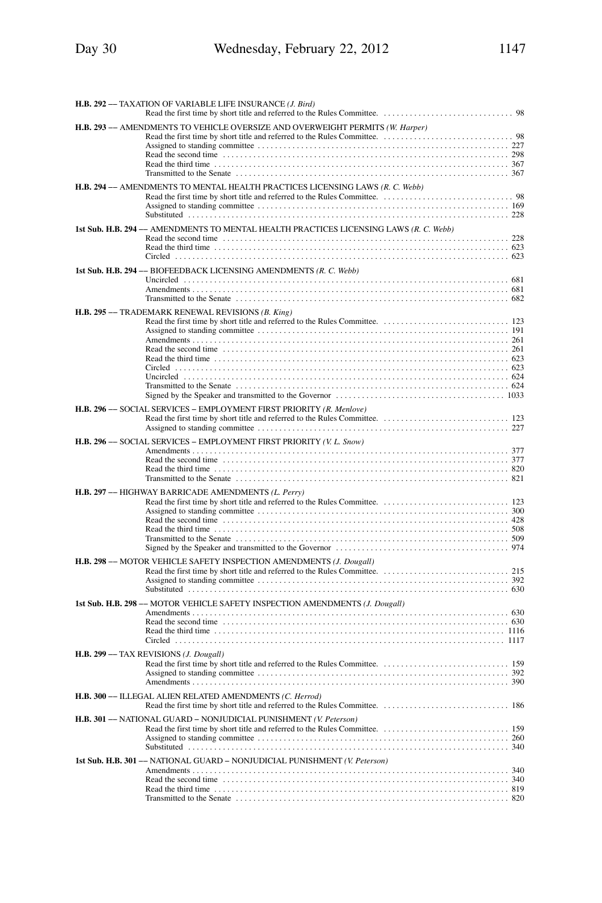| H.B. 292 - TAXATION OF VARIABLE LIFE INSURANCE (J. Bird)                               |
|----------------------------------------------------------------------------------------|
| H.B. 293 - AMENDMENTS TO VEHICLE OVERSIZE AND OVERWEIGHT PERMITS (W. Harper)           |
| H.B. 294 -- AMENDMENTS TO MENTAL HEALTH PRACTICES LICENSING LAWS (R. C. Webb)          |
| 1st Sub. H.B. 294 -- AMENDMENTS TO MENTAL HEALTH PRACTICES LICENSING LAWS (R. C. Webb) |
| 1st Sub. H.B. 294 -- BIOFEEDBACK LICENSING AMENDMENTS (R. C. Webb)                     |
| H.B. 295 - TRADEMARK RENEWAL REVISIONS (B. King)                                       |
| H.B. 296 -- SOCIAL SERVICES - EMPLOYMENT FIRST PRIORITY (R. Menlove)                   |
| H.B. 296 - SOCIAL SERVICES - EMPLOYMENT FIRST PRIORITY (V. L. Snow)                    |
| H.B. 297 -- HIGHWAY BARRICADE AMENDMENTS (L. Perry)                                    |
| H.B. 298 - MOTOR VEHICLE SAFETY INSPECTION AMENDMENTS (J. Dougall)                     |
| 1st Sub. H.B. 298 -- MOTOR VEHICLE SAFETY INSPECTION AMENDMENTS (J. Dougall)           |
| H.B. 299 - TAX REVISIONS (J. Dougall)                                                  |
| H.B. 300 - ILLEGAL ALIEN RELATED AMENDMENTS (C. Herrod)                                |
| H.B. 301 -- NATIONAL GUARD - NONJUDICIAL PUNISHMENT (V. Peterson)                      |
| 1st Sub. H.B. 301 -- NATIONAL GUARD - NONJUDICIAL PUNISHMENT (V. Peterson)             |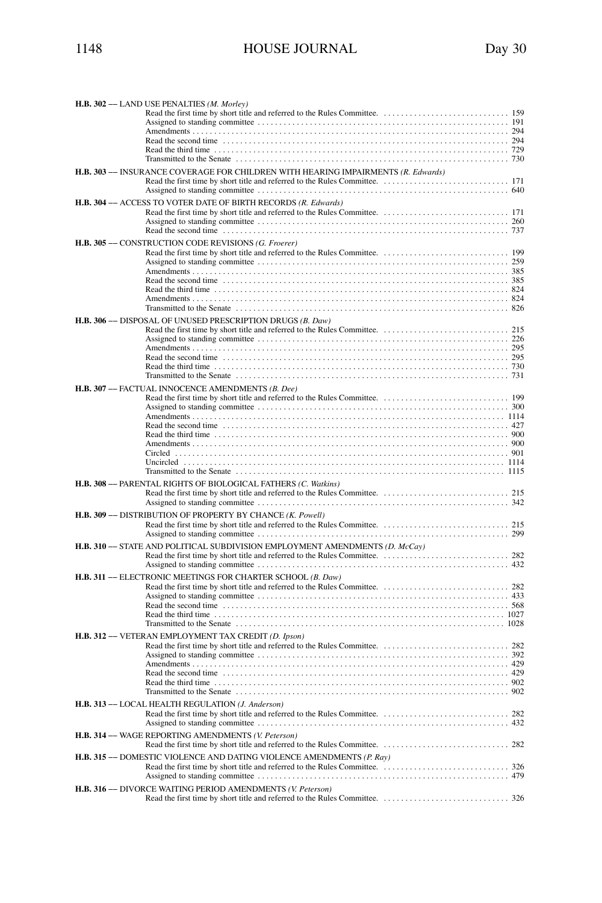| H.B. 302 - LAND USE PENALTIES (M. Morley)                                                        |  |
|--------------------------------------------------------------------------------------------------|--|
|                                                                                                  |  |
|                                                                                                  |  |
|                                                                                                  |  |
|                                                                                                  |  |
| H.B. 303 -- INSURANCE COVERAGE FOR CHILDREN WITH HEARING IMPAIRMENTS (R. Edwards)                |  |
|                                                                                                  |  |
| H.B. 304 - ACCESS TO VOTER DATE OF BIRTH RECORDS (R. Edwards)                                    |  |
|                                                                                                  |  |
|                                                                                                  |  |
| H.B. 305 -- CONSTRUCTION CODE REVISIONS (G. Froerer)                                             |  |
|                                                                                                  |  |
|                                                                                                  |  |
|                                                                                                  |  |
|                                                                                                  |  |
| H.B. 306 -- DISPOSAL OF UNUSED PRESCRIPTION DRUGS (B. Daw)                                       |  |
|                                                                                                  |  |
|                                                                                                  |  |
|                                                                                                  |  |
|                                                                                                  |  |
| H.B. 307 -- FACTUAL INNOCENCE AMENDMENTS (B. Dee)                                                |  |
|                                                                                                  |  |
|                                                                                                  |  |
|                                                                                                  |  |
|                                                                                                  |  |
|                                                                                                  |  |
|                                                                                                  |  |
| H.B. 308 -- PARENTAL RIGHTS OF BIOLOGICAL FATHERS (C. Watkins)                                   |  |
|                                                                                                  |  |
| H.B. 309 -- DISTRIBUTION OF PROPERTY BY CHANCE (K. Powell)                                       |  |
|                                                                                                  |  |
| <b>H.B. 310 -- STATE AND POLITICAL SUBDIVISION EMPLOYMENT AMENDMENTS (D. <math>McCay</math>)</b> |  |
|                                                                                                  |  |
| H.B. 311 -- ELECTRONIC MEETINGS FOR CHARTER SCHOOL (B. Daw)                                      |  |
|                                                                                                  |  |
|                                                                                                  |  |
|                                                                                                  |  |
|                                                                                                  |  |
| H.B. 312 - VETERAN EMPLOYMENT TAX CREDIT (D. Ipson)                                              |  |
|                                                                                                  |  |
|                                                                                                  |  |
|                                                                                                  |  |
| H.B. 313 - LOCAL HEALTH REGULATION (J. Anderson)                                                 |  |
|                                                                                                  |  |
|                                                                                                  |  |
| H.B. 314 -- WAGE REPORTING AMENDMENTS (V. Peterson)                                              |  |
| <b>H.B. 315</b> -- DOMESTIC VIOLENCE AND DATING VIOLENCE AMENDMENTS $(P, Ray)$                   |  |
|                                                                                                  |  |
| H.B. 316 - DIVORCE WAITING PERIOD AMENDMENTS (V. Peterson)                                       |  |
|                                                                                                  |  |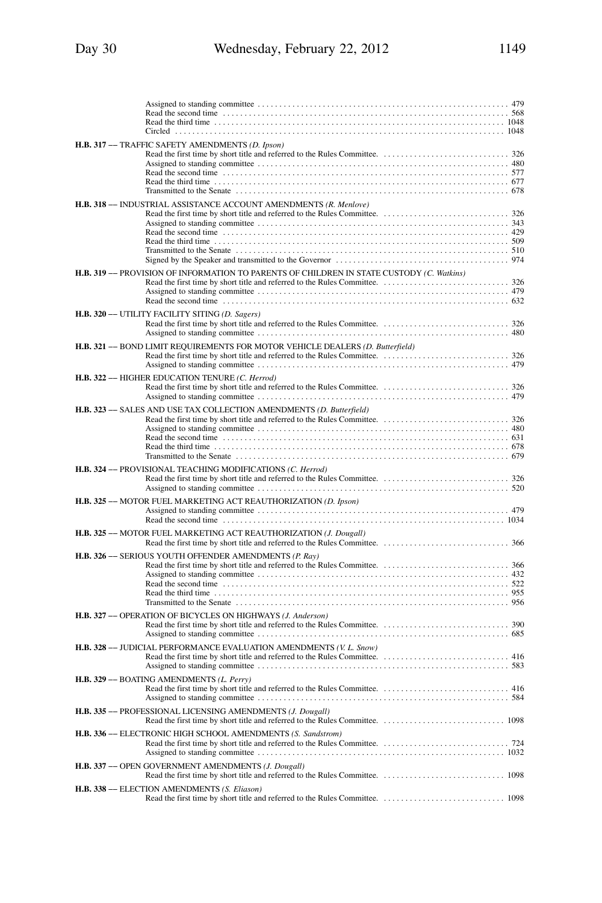| H.B. 317 - TRAFFIC SAFETY AMENDMENTS (D. Ipson)                                           |  |
|-------------------------------------------------------------------------------------------|--|
| H.B. 318 - INDUSTRIAL ASSISTANCE ACCOUNT AMENDMENTS (R. Menlove)                          |  |
| H.B. 319 -- PROVISION OF INFORMATION TO PARENTS OF CHILDREN IN STATE CUSTODY (C. Watkins) |  |
| H.B. 320 -- UTILITY FACILITY SITING (D. Sagers)                                           |  |
| H.B. 321 -- BOND LIMIT REQUIREMENTS FOR MOTOR VEHICLE DEALERS (D. Butterfield)            |  |
| H.B. 322 - HIGHER EDUCATION TENURE (C. Herrod)                                            |  |
| H.B. 323 - SALES AND USE TAX COLLECTION AMENDMENTS (D. Butterfield)                       |  |
| H.B. 324 -- PROVISIONAL TEACHING MODIFICATIONS (C. Herrod)                                |  |
| H.B. 325 -- MOTOR FUEL MARKETING ACT REAUTHORIZATION (D. Ipson)                           |  |
| H.B. 325 -- MOTOR FUEL MARKETING ACT REAUTHORIZATION (J. Dougall)                         |  |
| H.B. 326 -- SERIOUS YOUTH OFFENDER AMENDMENTS (P. Ray)                                    |  |
| H.B. 327 - OPERATION OF BICYCLES ON HIGHWAYS (J. Anderson)                                |  |
| H.B. 328 -- JUDICIAL PERFORMANCE EVALUATION AMENDMENTS (V. L. Snow)                       |  |
| H.B. 329 -- BOATING AMENDMENTS (L. Perry)                                                 |  |
| H.B. 335 -- PROFESSIONAL LICENSING AMENDMENTS (J. Dougall)                                |  |
| H.B. 336 -- ELECTRONIC HIGH SCHOOL AMENDMENTS (S. Sandstrom)                              |  |
| H.B. 337 - OPEN GOVERNMENT AMENDMENTS (J. Dougall)                                        |  |
| H.B. 338 - ELECTION AMENDMENTS (S. Eliason)                                               |  |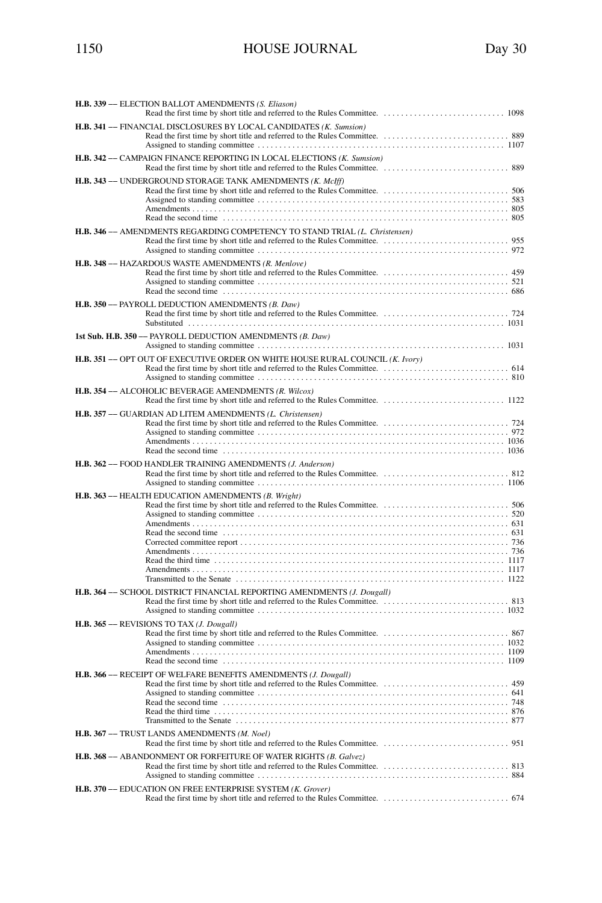| H.B. 339 - ELECTION BALLOT AMENDMENTS (S. Eliason)                                                                                                                                                                                                                                         |
|--------------------------------------------------------------------------------------------------------------------------------------------------------------------------------------------------------------------------------------------------------------------------------------------|
| H.B. 341 -- FINANCIAL DISCLOSURES BY LOCAL CANDIDATES (K. Sumsion)                                                                                                                                                                                                                         |
| H.B. 342 -- CAMPAIGN FINANCE REPORTING IN LOCAL ELECTIONS (K. Sumsion)                                                                                                                                                                                                                     |
| H.B. 343 -- UNDERGROUND STORAGE TANK AMENDMENTS (K. McIff)                                                                                                                                                                                                                                 |
| H.B. 346 -- AMENDMENTS REGARDING COMPETENCY TO STAND TRIAL (L. Christensen)                                                                                                                                                                                                                |
| H.B. 348 - HAZARDOUS WASTE AMENDMENTS (R. Menlove)                                                                                                                                                                                                                                         |
| H.B. 350 -- PAYROLL DEDUCTION AMENDMENTS (B. Daw)                                                                                                                                                                                                                                          |
| 1st Sub. H.B. 350 - PAYROLL DEDUCTION AMENDMENTS (B. Daw)                                                                                                                                                                                                                                  |
| H.B. 351 -- OPT OUT OF EXECUTIVE ORDER ON WHITE HOUSE RURAL COUNCIL (K. Ivory)                                                                                                                                                                                                             |
| H.B. 354 - ALCOHOLIC BEVERAGE AMENDMENTS (R. Wilcox)                                                                                                                                                                                                                                       |
| H.B. 357 - GUARDIAN AD LITEM AMENDMENTS (L. Christensen)<br>Read the second time contained and the contact of the contact the second time of the second time contact the second time of the second time of the second time of the second time of the second time of the second time of the |
| H.B. 362 - FOOD HANDLER TRAINING AMENDMENTS (J. Anderson)                                                                                                                                                                                                                                  |
| H.B. 363 -- HEALTH EDUCATION AMENDMENTS (B. Wright)<br>Read the third time $\ldots$ , $\ldots$ , $\ldots$ , $\ldots$ , $\ldots$ , $\ldots$ , $\ldots$ , $\ldots$ , $\ldots$ , $\ldots$ , $\ldots$ , $\ldots$ , $\ldots$ , $\ldots$ , $\ldots$ , $\ldots$                                   |
| H.B. 364 -- SCHOOL DISTRICT FINANCIAL REPORTING AMENDMENTS (J. Dougall)                                                                                                                                                                                                                    |

| <b>H.B. 364</b> -- SCHOOL DISTRICT FINANCIAL REPORTING AMENDMENTS ( <i>J. Dougall</i> ) |  |
|-----------------------------------------------------------------------------------------|--|
|                                                                                         |  |
|                                                                                         |  |
| H.B. 365 - REVISIONS TO TAX ( <i>J. Dougall</i> )                                       |  |
|                                                                                         |  |
| H.B. 366 - RECEIPT OF WELFARE BENEFITS AMENDMENTS (J. Dougall)                          |  |
| H.B. 367 - TRUST LANDS AMENDMENTS (M. Noel)                                             |  |
|                                                                                         |  |
| H.B. 368 -- ABANDONMENT OR FORFEITURE OF WATER RIGHTS (B. Galvez)                       |  |
| H.B. 370 -- EDUCATION ON FREE ENTERPRISE SYSTEM (K. Grover)                             |  |
|                                                                                         |  |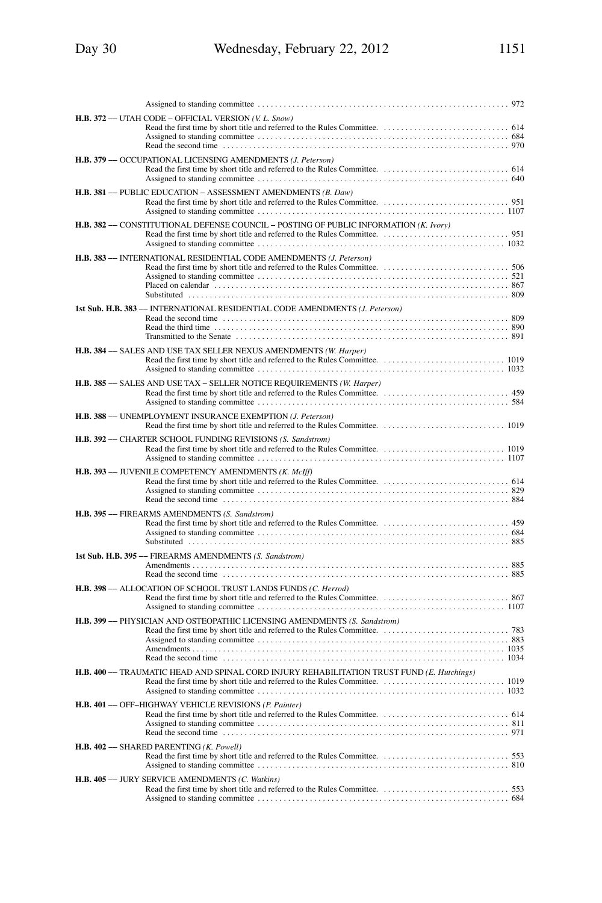| 972                                                                                        |  |
|--------------------------------------------------------------------------------------------|--|
| H.B. 372 -- UTAH CODE - OFFICIAL VERSION (V. L. Snow)                                      |  |
| H.B. 379 - OCCUPATIONAL LICENSING AMENDMENTS (J. Peterson)                                 |  |
| <b>H.B. 381</b> — PUBLIC EDUCATION – ASSESSMENT AMENDMENTS $(B. \text{ Daw})$              |  |
| H.B. 382 -- CONSTITUTIONAL DEFENSE COUNCIL - POSTING OF PUBLIC INFORMATION (K. Ivory)      |  |
| H.B. 383 -- INTERNATIONAL RESIDENTIAL CODE AMENDMENTS (J. Peterson)                        |  |
| 1st Sub. H.B. 383 -- INTERNATIONAL RESIDENTIAL CODE AMENDMENTS (J. Peterson)               |  |
| H.B. 384 -- SALES AND USE TAX SELLER NEXUS AMENDMENTS (W. Harper)                          |  |
| H.B. 385 -- SALES AND USE TAX - SELLER NOTICE REQUIREMENTS (W. Harper)                     |  |
| H.B. 388 - UNEMPLOYMENT INSURANCE EXEMPTION (J. Peterson)                                  |  |
| H.B. 392 - CHARTER SCHOOL FUNDING REVISIONS (S. Sandstrom)                                 |  |
| H.B. 393 - JUVENILE COMPETENCY AMENDMENTS (K. McIff)                                       |  |
| H.B. 395 - FIREARMS AMENDMENTS (S. Sandstrom)                                              |  |
| 1st Sub. H.B. 395 -- FIREARMS AMENDMENTS (S. Sandstrom)                                    |  |
| H.B. 398 -- ALLOCATION OF SCHOOL TRUST LANDS FUNDS (C. Herrod)                             |  |
| H.B. 399 - PHYSICIAN AND OSTEOPATHIC LICENSING AMENDMENTS (S. Sandstrom)                   |  |
| H.B. 400 -- TRAUMATIC HEAD AND SPINAL CORD INJURY REHABILITATION TRUST FUND (E. Hutchings) |  |
| H.B. 401 - OFF-HIGHWAY VEHICLE REVISIONS (P. Painter)                                      |  |
| H.B. 402 - SHARED PARENTING (K. Powell)                                                    |  |
| H.B. 405 -- JURY SERVICE AMENDMENTS (C. Watkins)                                           |  |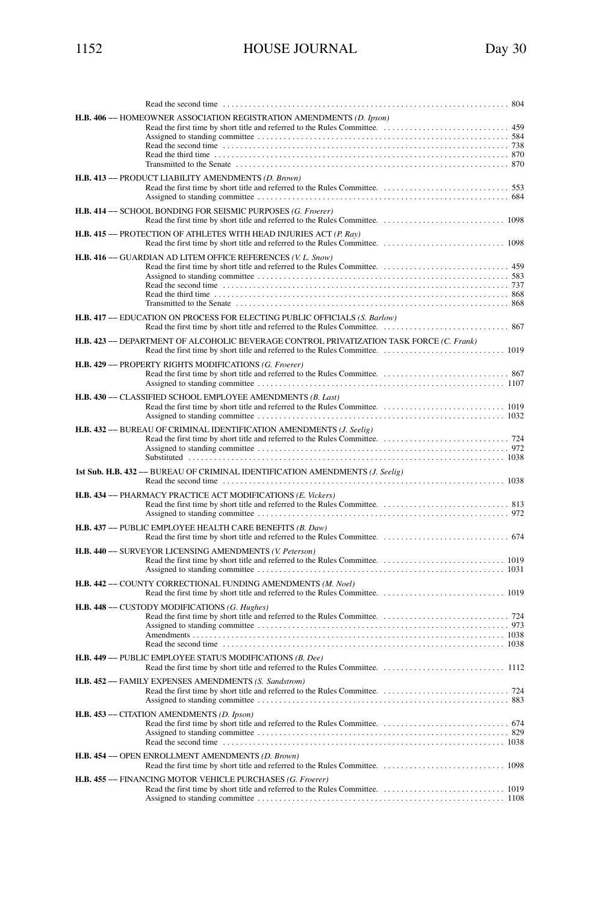| Read the second time $\dots\dots\dots\dots$<br>804                                                                                                              |
|-----------------------------------------------------------------------------------------------------------------------------------------------------------------|
| H.B. 406 -- HOMEOWNER ASSOCIATION REGISTRATION AMENDMENTS (D. Ipson)                                                                                            |
| H.B. 413 - PRODUCT LIABILITY AMENDMENTS (D. Brown)                                                                                                              |
| H.B. 414 -- SCHOOL BONDING FOR SEISMIC PURPOSES (G. Froerer)                                                                                                    |
| H.B. 415 - PROTECTION OF ATHLETES WITH HEAD INJURIES ACT (P. Ray)                                                                                               |
| H.B. 416 -- GUARDIAN AD LITEM OFFICE REFERENCES (V. L. Snow)                                                                                                    |
| <b>H.B. 417 -- EDUCATION ON PROCESS FOR ELECTING PUBLIC OFFICIALS (S. Barlow)</b>                                                                               |
| H.B. 423 -- DEPARTMENT OF ALCOHOLIC BEVERAGE CONTROL PRIVATIZATION TASK FORCE (C. Frank)                                                                        |
| H.B. 429 - PROPERTY RIGHTS MODIFICATIONS (G. Froerer)                                                                                                           |
| H.B. 430 - CLASSIFIED SCHOOL EMPLOYEE AMENDMENTS (B. Last)                                                                                                      |
|                                                                                                                                                                 |
| 1st Sub. H.B. 432 -- BUREAU OF CRIMINAL IDENTIFICATION AMENDMENTS (J. Seelig)                                                                                   |
| H.B. 434 -- PHARMACY PRACTICE ACT MODIFICATIONS (E. Vickers)                                                                                                    |
| H.B. 437 - PUBLIC EMPLOYEE HEALTH CARE BENEFITS (B. Daw)                                                                                                        |
| H.B. 440 -- SURVEYOR LICENSING AMENDMENTS (V. Peterson)                                                                                                         |
| H.B. 442 -- COUNTY CORRECTIONAL FUNDING AMENDMENTS (M. Noel)                                                                                                    |
| H.B. 448 - CUSTODY MODIFICATIONS (G. Hughes)<br>Read the second time                                                                                            |
| H.B. 449 - PUBLIC EMPLOYEE STATUS MODIFICATIONS (B. Dee)                                                                                                        |
| H.B. 452 -- FAMILY EXPENSES AMENDMENTS (S. Sandstrom)                                                                                                           |
| H.B. 453 -- CITATION AMENDMENTS (D. Ipson)<br>Read the second time contained and the contact of the second time contact the second time contact the second time |
| H.B. 454 - OPEN ENROLLMENT AMENDMENTS (D. Brown)                                                                                                                |
| H.B. 455 -- FINANCING MOTOR VEHICLE PURCHASES (G. Froerer)                                                                                                      |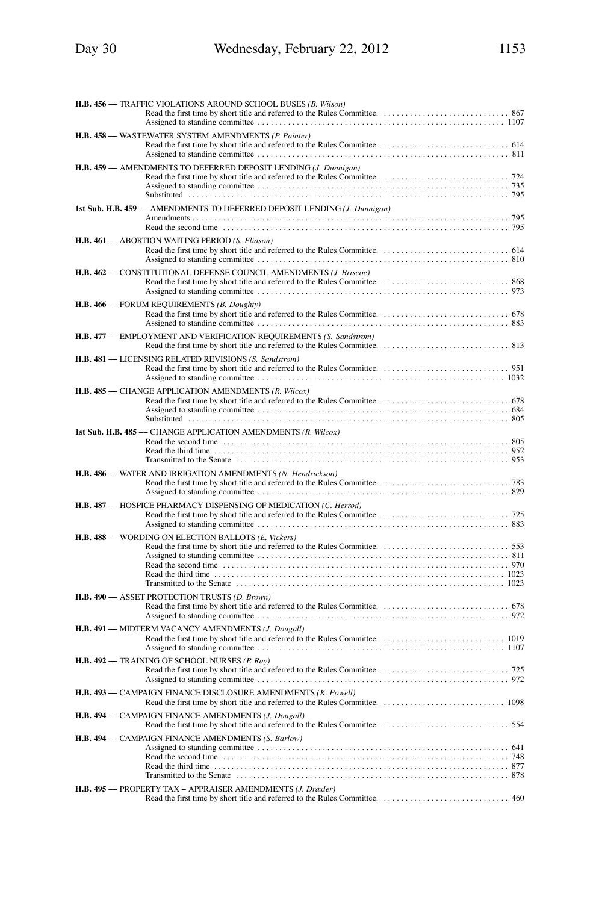| H.B. 456 - TRAFFIC VIOLATIONS AROUND SCHOOL BUSES (B. Wilson)                    |  |
|----------------------------------------------------------------------------------|--|
|                                                                                  |  |
| H.B. 458 - WASTEWATER SYSTEM AMENDMENTS (P. Painter)                             |  |
| H.B. 459 - AMENDMENTS TO DEFERRED DEPOSIT LENDING (J. Dunnigan)                  |  |
| 1st Sub. H.B. 459 -- AMENDMENTS TO DEFERRED DEPOSIT LENDING (J. Dunnigan)        |  |
| H.B. 461 - ABORTION WAITING PERIOD (S. Eliason)                                  |  |
| H.B. 462 - CONSTITUTIONAL DEFENSE COUNCIL AMENDMENTS (J. Briscoe)                |  |
| H.B. 466 - FORUM REQUIREMENTS (B. Doughty)                                       |  |
| H.B. 477 -- EMPLOYMENT AND VERIFICATION REQUIREMENTS (S. Sandstrom)              |  |
| H.B. 481 - LICENSING RELATED REVISIONS (S. Sandstrom)                            |  |
| H.B. 485 - CHANGE APPLICATION AMENDMENTS (R. Wilcox)                             |  |
| 1st Sub. H.B. 485 -- CHANGE APPLICATION AMENDMENTS (R. Wilcox)                   |  |
| H.B. 486 -- WATER AND IRRIGATION AMENDMENTS (N. Hendrickson)                     |  |
| H.B. 487 -- HOSPICE PHARMACY DISPENSING OF MEDICATION (C. Herrod)                |  |
| H.B. 488 - WORDING ON ELECTION BALLOTS (E. Vickers)                              |  |
| H.B. 490 -- ASSET PROTECTION TRUSTS (D. Brown)                                   |  |
| H.B. 491 -- MIDTERM VACANCY AMENDMENTS (J. Dougall)                              |  |
| H.B. 492 -- TRAINING OF SCHOOL NURSES (P. Ray)                                   |  |
| H.B. 493 -- CAMPAIGN FINANCE DISCLOSURE AMENDMENTS (K. Powell)                   |  |
| H.B. 494 -- CAMPAIGN FINANCE AMENDMENTS (J. Dougall)                             |  |
| H.B. 494 -- CAMPAIGN FINANCE AMENDMENTS (S. Barlow)<br>Transmitted to the Senate |  |
| H.B. 495 - PROPERTY TAX - APPRAISER AMENDMENTS (J. Draxler)<br>. .460            |  |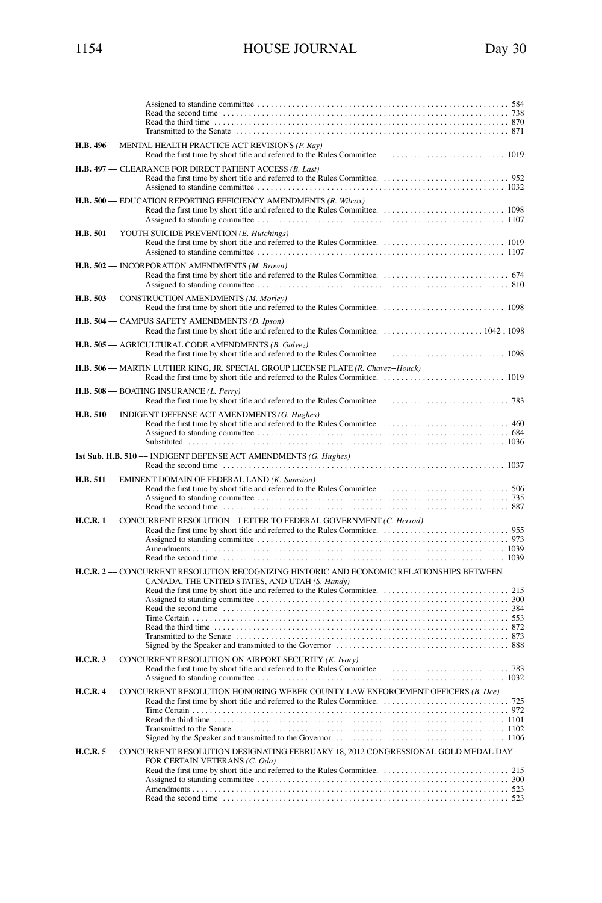| H.B. 496 -- MENTAL HEALTH PRACTICE ACT REVISIONS (P. Rav)                                                                                   |
|---------------------------------------------------------------------------------------------------------------------------------------------|
| H.B. 497 -- CLEARANCE FOR DIRECT PATIENT ACCESS (B. Last)                                                                                   |
| H.B. 500 -- EDUCATION REPORTING EFFICIENCY AMENDMENTS (R. Wilcox)                                                                           |
| H.B. 501 - YOUTH SUICIDE PREVENTION (E. Hutchings)                                                                                          |
| H.B. 502 - INCORPORATION AMENDMENTS (M. Brown)                                                                                              |
| H.B. 503 - CONSTRUCTION AMENDMENTS (M. Morley)                                                                                              |
| H.B. 504 - CAMPUS SAFETY AMENDMENTS (D. Ipson)                                                                                              |
| H.B. 505 - AGRICULTURAL CODE AMENDMENTS (B. Galvez)                                                                                         |
| H.B. 506 -- MARTIN LUTHER KING, JR. SPECIAL GROUP LICENSE PLATE (R. Chavez-Houck)                                                           |
| H.B. 508 -- BOATING INSURANCE (L. Perry)                                                                                                    |
| H.B. 510 - INDIGENT DEFENSE ACT AMENDMENTS (G. Hughes)                                                                                      |
|                                                                                                                                             |
| 1st Sub. H.B. 510 -- INDIGENT DEFENSE ACT AMENDMENTS (G. Hughes)                                                                            |
| H.B. 511 - EMINENT DOMAIN OF FEDERAL LAND (K. Sumsion)                                                                                      |
| H.C.R. 1- CONCURRENT RESOLUTION - LETTER TO FEDERAL GOVERNMENT (C. Herrod)                                                                  |
| H.C.R. 2 -- CONCURRENT RESOLUTION RECOGNIZING HISTORIC AND ECONOMIC RELATIONSHIPS BETWEEN<br>CANADA, THE UNITED STATES, AND UTAH (S. Handy) |
|                                                                                                                                             |
| H.C.R. 3- CONCURRENT RESOLUTION ON AIRPORT SECURITY (K. Ivory)                                                                              |
| H.C.R. 4 -- CONCURRENT RESOLUTION HONORING WEBER COUNTY LAW ENFORCEMENT OFFICERS (B. Dee)                                                   |
|                                                                                                                                             |
| H.C.R. 5 -- CONCURRENT RESOLUTION DESIGNATING FEBRUARY 18, 2012 CONGRESSIONAL GOLD MEDAL DAY                                                |
| FOR CERTAIN VETERANS (C. Oda)                                                                                                               |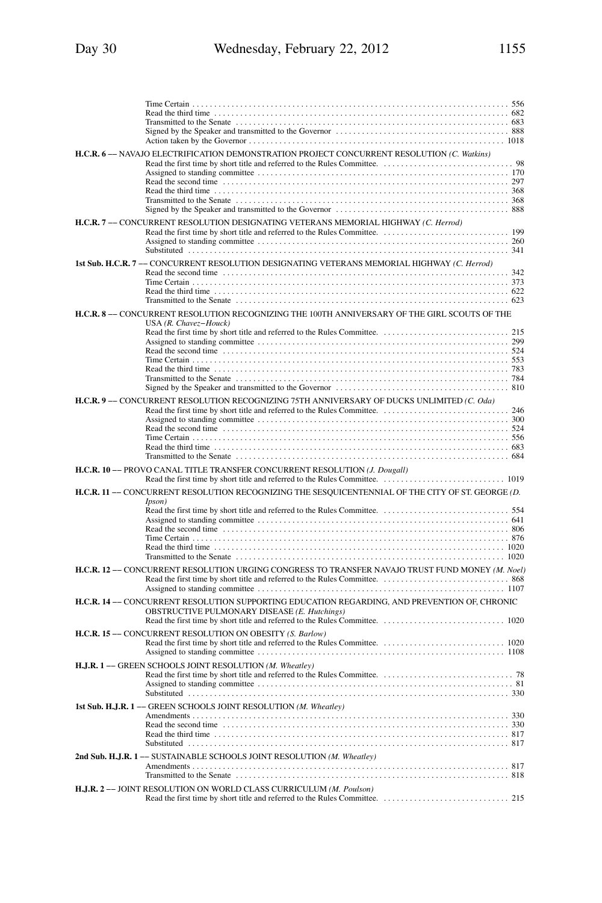| H.C.R. 6- NAVAJO ELECTRIFICATION DEMONSTRATION PROJECT CONCURRENT RESOLUTION (C. Watkins)                                                                                                                                          |  |
|------------------------------------------------------------------------------------------------------------------------------------------------------------------------------------------------------------------------------------|--|
|                                                                                                                                                                                                                                    |  |
|                                                                                                                                                                                                                                    |  |
|                                                                                                                                                                                                                                    |  |
|                                                                                                                                                                                                                                    |  |
| H.C.R. 7 -- CONCURRENT RESOLUTION DESIGNATING VETERANS MEMORIAL HIGHWAY (C. Herrod)                                                                                                                                                |  |
|                                                                                                                                                                                                                                    |  |
|                                                                                                                                                                                                                                    |  |
| 1st Sub. H.C.R. 7 -- CONCURRENT RESOLUTION DESIGNATING VETERANS MEMORIAL HIGHWAY (C. Herrod)                                                                                                                                       |  |
|                                                                                                                                                                                                                                    |  |
|                                                                                                                                                                                                                                    |  |
|                                                                                                                                                                                                                                    |  |
| H.C.R. 8 -- CONCURRENT RESOLUTION RECOGNIZING THE 100TH ANNIVERSARY OF THE GIRL SCOUTS OF THE                                                                                                                                      |  |
| USA (R. Chavez-Houck)                                                                                                                                                                                                              |  |
|                                                                                                                                                                                                                                    |  |
| Read the second time contained and the contact of the second time is set of the second time contact the second                                                                                                                     |  |
|                                                                                                                                                                                                                                    |  |
|                                                                                                                                                                                                                                    |  |
|                                                                                                                                                                                                                                    |  |
| H.C.R. 9- CONCURRENT RESOLUTION RECOGNIZING 75TH ANNIVERSARY OF DUCKS UNLIMITED (C. Oda)                                                                                                                                           |  |
|                                                                                                                                                                                                                                    |  |
|                                                                                                                                                                                                                                    |  |
| Read the third time $\ldots$ , $\ldots$ , $\ldots$ , $\ldots$ , $\ldots$ , $\ldots$ , $\ldots$ , $\ldots$ , $\ldots$ , $\ldots$ , $\ldots$ , $\ldots$ , $\ldots$ , $\ldots$ , $\ldots$ , $\ldots$ , $\ldots$ , $\ldots$ , $\ldots$ |  |
|                                                                                                                                                                                                                                    |  |
|                                                                                                                                                                                                                                    |  |
| H.C.R. 10 -- PROVO CANAL TITLE TRANSFER CONCURRENT RESOLUTION (J. Dougall)                                                                                                                                                         |  |
| H.C.R. 11 - CONCURRENT RESOLUTION RECOGNIZING THE SESQUICENTENNIAL OF THE CITY OF ST. GEORGE (D.                                                                                                                                   |  |
| <i>Ipson</i> )                                                                                                                                                                                                                     |  |
|                                                                                                                                                                                                                                    |  |
| Read the second time contained and the contact of the second time contact and the second time contact and the second time contact and the second time contact and the second time contact and the second time contact and the      |  |
|                                                                                                                                                                                                                                    |  |
|                                                                                                                                                                                                                                    |  |
| H.C.R. 12- CONCURRENT RESOLUTION URGING CONGRESS TO TRANSFER NAVAJO TRUST FUND MONEY (M. Noel)                                                                                                                                     |  |
|                                                                                                                                                                                                                                    |  |
|                                                                                                                                                                                                                                    |  |
| H.C.R. 14 -- CONCURRENT RESOLUTION SUPPORTING EDUCATION REGARDING, AND PREVENTION OF, CHRONIC<br>OBSTRUCTIVE PULMONARY DISEASE (E. Hutchings)                                                                                      |  |
|                                                                                                                                                                                                                                    |  |
| H.C.R. 15 -- CONCURRENT RESOLUTION ON OBESITY (S. Barlow)                                                                                                                                                                          |  |
|                                                                                                                                                                                                                                    |  |
| H.J.R. 1- GREEN SCHOOLS JOINT RESOLUTION (M. Wheatley)                                                                                                                                                                             |  |
|                                                                                                                                                                                                                                    |  |
|                                                                                                                                                                                                                                    |  |
| 1st Sub. H.J.R. 1- GREEN SCHOOLS JOINT RESOLUTION (M. Wheatley)                                                                                                                                                                    |  |
|                                                                                                                                                                                                                                    |  |
|                                                                                                                                                                                                                                    |  |
|                                                                                                                                                                                                                                    |  |
| 2nd Sub. H.J.R. 1-SUSTAINABLE SCHOOLS JOINT RESOLUTION (M. Wheatley)                                                                                                                                                               |  |
|                                                                                                                                                                                                                                    |  |
| H.J.R. 2- JOINT RESOLUTION ON WORLD CLASS CURRICULUM (M. Poulson)                                                                                                                                                                  |  |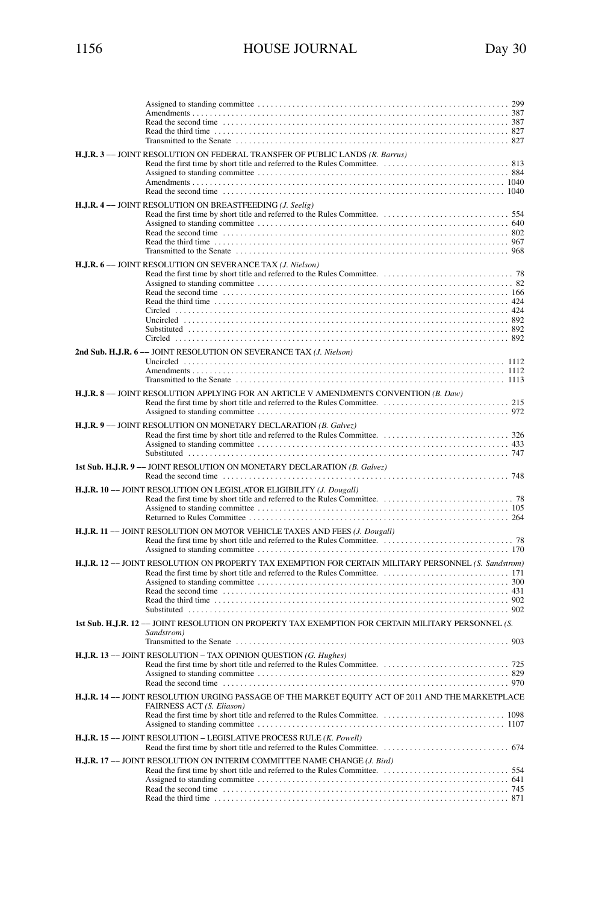| H.J.R. 3- JOINT RESOLUTION ON FEDERAL TRANSFER OF PUBLIC LANDS (R. Barrus)                                                                                                                                                                                                                         |
|----------------------------------------------------------------------------------------------------------------------------------------------------------------------------------------------------------------------------------------------------------------------------------------------------|
| H.J.R. 4- JOINT RESOLUTION ON BREASTFEEDING (J. Seelig)                                                                                                                                                                                                                                            |
| H.J.R. 6- JOINT RESOLUTION ON SEVERANCE TAX (J. Nielson)                                                                                                                                                                                                                                           |
| 2nd Sub. H.J.R. 6-- JOINT RESOLUTION ON SEVERANCE TAX (J. Nielson)                                                                                                                                                                                                                                 |
| H.J.R. 8 -- JOINT RESOLUTION APPLYING FOR AN ARTICLE V AMENDMENTS CONVENTION (B. Daw)                                                                                                                                                                                                              |
| H.J.R. 9- JOINT RESOLUTION ON MONETARY DECLARATION (B. Galvez)                                                                                                                                                                                                                                     |
| 1st Sub. H.J.R. 9 -- JOINT RESOLUTION ON MONETARY DECLARATION (B. Galvez)                                                                                                                                                                                                                          |
| H.J.R. 10 -- JOINT RESOLUTION ON LEGISLATOR ELIGIBILITY (J. Dougall)                                                                                                                                                                                                                               |
| H.J.R. 11- JOINT RESOLUTION ON MOTOR VEHICLE TAXES AND FEES (J. Dougall)                                                                                                                                                                                                                           |
| H.J.R. 12 -- JOINT RESOLUTION ON PROPERTY TAX EXEMPTION FOR CERTAIN MILITARY PERSONNEL (S. Sandstrom)                                                                                                                                                                                              |
| 1st Sub. H.J.R. 12-- JOINT RESOLUTION ON PROPERTY TAX EXEMPTION FOR CERTAIN MILITARY PERSONNEL (S.<br>Sandstrom)                                                                                                                                                                                   |
| H.J.R. 13 -- JOINT RESOLUTION - TAX OPINION QUESTION (G. Hughes)<br>Read the second time contained and the contact of the second time of the second time of the second time of the second time of the second time of the second time of the second time of the second time of the second time of t |
| H.J.R. 14 -- JOINT RESOLUTION URGING PASSAGE OF THE MARKET EQUITY ACT OF 2011 AND THE MARKETPLACE<br>FAIRNESS ACT (S. Eliason)                                                                                                                                                                     |
| H.J.R. 15 -- JOINT RESOLUTION - LEGISLATIVE PROCESS RULE (K. Powell)                                                                                                                                                                                                                               |
| H.J.R. 17-- JOINT RESOLUTION ON INTERIM COMMITTEE NAME CHANGE (J. Bird)                                                                                                                                                                                                                            |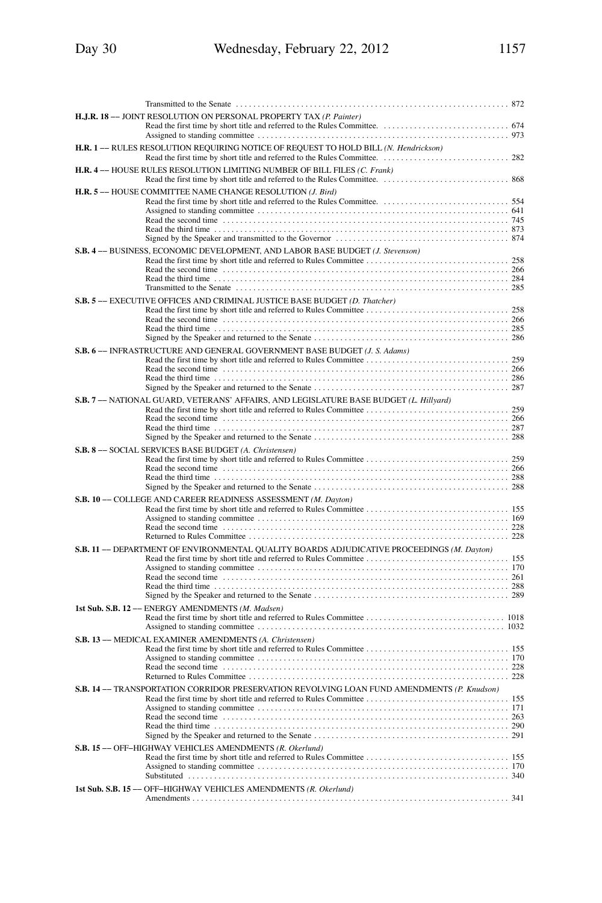| H.J.R. 18 -- JOINT RESOLUTION ON PERSONAL PROPERTY TAX (P. Painter)                         |  |
|---------------------------------------------------------------------------------------------|--|
| H.R. 1- RULES RESOLUTION REQUIRING NOTICE OF REQUEST TO HOLD BILL (N. Hendrickson)          |  |
| H.R. 4-- HOUSE RULES RESOLUTION LIMITING NUMBER OF BILL FILES (C. Frank)                    |  |
| H.R. 5-HOUSE COMMITTEE NAME CHANGE RESOLUTION (J. Bird)                                     |  |
| S.B. 4- BUSINESS, ECONOMIC DEVELOPMENT, AND LABOR BASE BUDGET (J. Stevenson)                |  |
| S.B. 5- EXECUTIVE OFFICES AND CRIMINAL JUSTICE BASE BUDGET (D. Thatcher)                    |  |
| S.B. 6- INFRASTRUCTURE AND GENERAL GOVERNMENT BASE BUDGET (J. S. Adams)                     |  |
| S.B. 7- NATIONAL GUARD, VETERANS' AFFAIRS, AND LEGISLATURE BASE BUDGET (L. Hillyard)        |  |
| S.B. 8- SOCIAL SERVICES BASE BUDGET (A. Christensen)                                        |  |
| S.B. 10 -- COLLEGE AND CAREER READINESS ASSESSMENT (M. Dayton)                              |  |
| S.B. 11 -- DEPARTMENT OF ENVIRONMENTAL QUALITY BOARDS ADJUDICATIVE PROCEEDINGS (M. Dayton)  |  |
| 1st Sub. S.B. 12 -- ENERGY AMENDMENTS (M. Madsen)                                           |  |
| S.B. 13 -- MEDICAL EXAMINER AMENDMENTS (A. Christensen)                                     |  |
| S.B. 14 -- TRANSPORTATION CORRIDOR PRESERVATION REVOLVING LOAN FUND AMENDMENTS (P. Knudson) |  |
| S.B. 15 -- OFF-HIGHWAY VEHICLES AMENDMENTS (R. Okerlund)                                    |  |
| 1st Sub. S.B. 15 -- OFF-HIGHWAY VEHICLES AMENDMENTS (R. Okerlund)                           |  |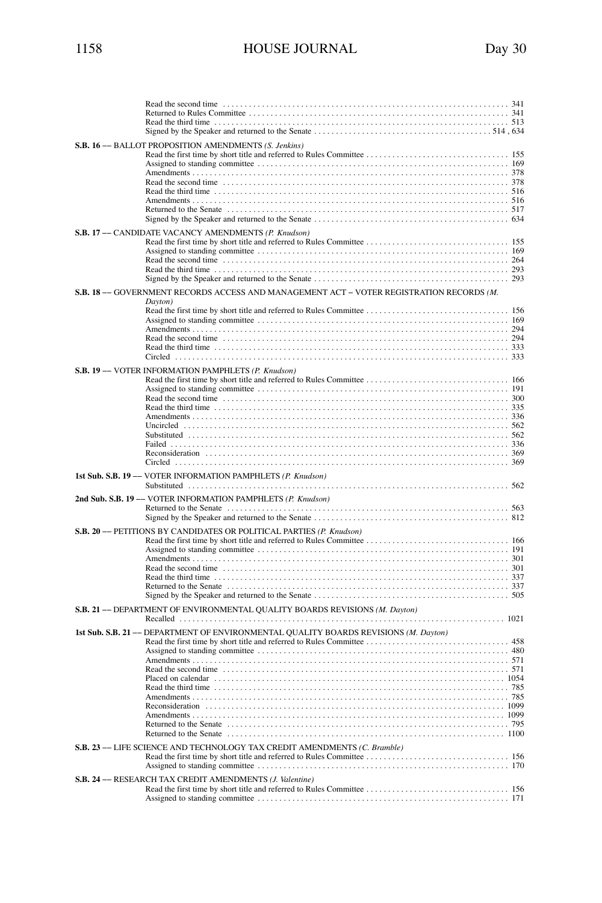| S.B. 16 -- BALLOT PROPOSITION AMENDMENTS (S. Jenkins)                                               |
|-----------------------------------------------------------------------------------------------------|
| S.B. 17 -- CANDIDATE VACANCY AMENDMENTS (P. Knudson)                                                |
| S.B. 18 -- GOVERNMENT RECORDS ACCESS AND MANAGEMENT ACT - VOTER REGISTRATION RECORDS (M.<br>Dayton) |
| S.B. 19 -- VOTER INFORMATION PAMPHLETS (P. Knudson)                                                 |
| 1st Sub. S.B. 19 -- VOTER INFORMATION PAMPHLETS (P. Knudson)                                        |
| 2nd Sub. S.B. 19 -- VOTER INFORMATION PAMPHLETS (P. Knudson)                                        |
| S.B. 20 -- PETITIONS BY CANDIDATES OR POLITICAL PARTIES (P. Knudson)                                |
| S.B. 21 -- DEPARTMENT OF ENVIRONMENTAL QUALITY BOARDS REVISIONS (M. Dayton)                         |
| 1st Sub. S.B. 21 -- DEPARTMENT OF ENVIRONMENTAL QUALITY BOARDS REVISIONS (M. Dayton)                |
| S.B. 23 -- LIFE SCIENCE AND TECHNOLOGY TAX CREDIT AMENDMENTS (C. Bramble)                           |
| S.B. 24 -- RESEARCH TAX CREDIT AMENDMENTS (J. Valentine)                                            |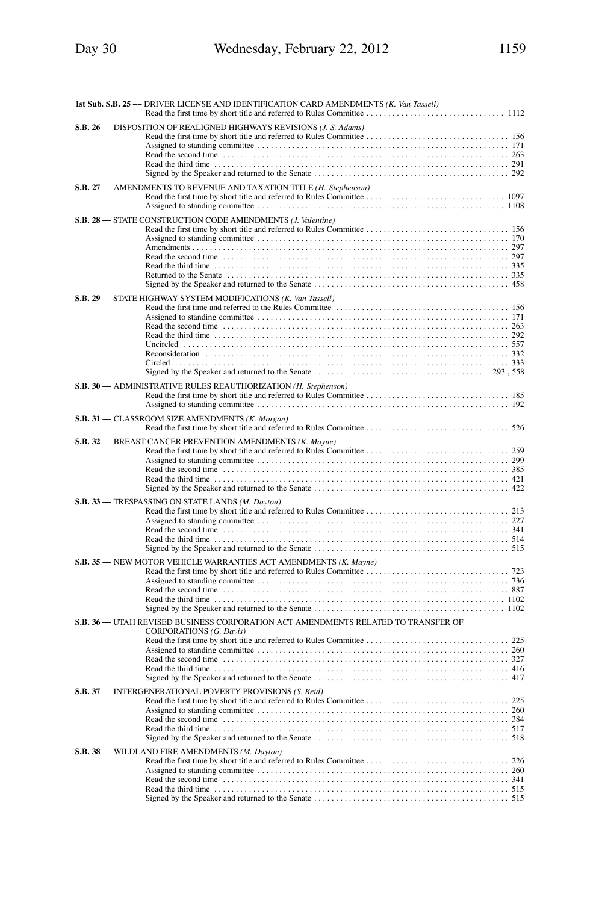| 1st Sub. S.B. 25 -- DRIVER LICENSE AND IDENTIFICATION CARD AMENDMENTS (K. Van Tassell)                                                                                                                                               |
|--------------------------------------------------------------------------------------------------------------------------------------------------------------------------------------------------------------------------------------|
| S.B. 26 -- DISPOSITION OF REALIGNED HIGHWAYS REVISIONS (J. S. Adams)                                                                                                                                                                 |
| S.B. 27 -- AMENDMENTS TO REVENUE AND TAXATION TITLE (H. Stephenson)                                                                                                                                                                  |
| S.B. 28 -- STATE CONSTRUCTION CODE AMENDMENTS (J. Valentine)                                                                                                                                                                         |
| S.B. 29 -- STATE HIGHWAY SYSTEM MODIFICATIONS (K. Van Tassell)                                                                                                                                                                       |
| S.B. 30 -- ADMINISTRATIVE RULES REAUTHORIZATION (H. Stephenson)                                                                                                                                                                      |
| S.B. 31 -- CLASSROOM SIZE AMENDMENTS (K. Morgan)                                                                                                                                                                                     |
| S.B. 32 -- BREAST CANCER PREVENTION AMENDMENTS (K. Mayne)                                                                                                                                                                            |
| S.B. 33 -- TRESPASSING ON STATE LANDS (M. Dayton)                                                                                                                                                                                    |
| S.B. 35 -- NEW MOTOR VEHICLE WARRANTIES ACT AMENDMENTS (K. Mayne)                                                                                                                                                                    |
| S.B. 36 -- UTAH REVISED BUSINESS CORPORATION ACT AMENDMENTS RELATED TO TRANSFER OF<br>CORPORATIONS (G. Davis)<br>Read the second time contained and the contact of the second time is a second time of the second time contact $327$ |
| S.B. 37 -- INTERGENERATIONAL POVERTY PROVISIONS (S. Reid)                                                                                                                                                                            |
| S.B. 38 -- WILDLAND FIRE AMENDMENTS (M. Dayton)                                                                                                                                                                                      |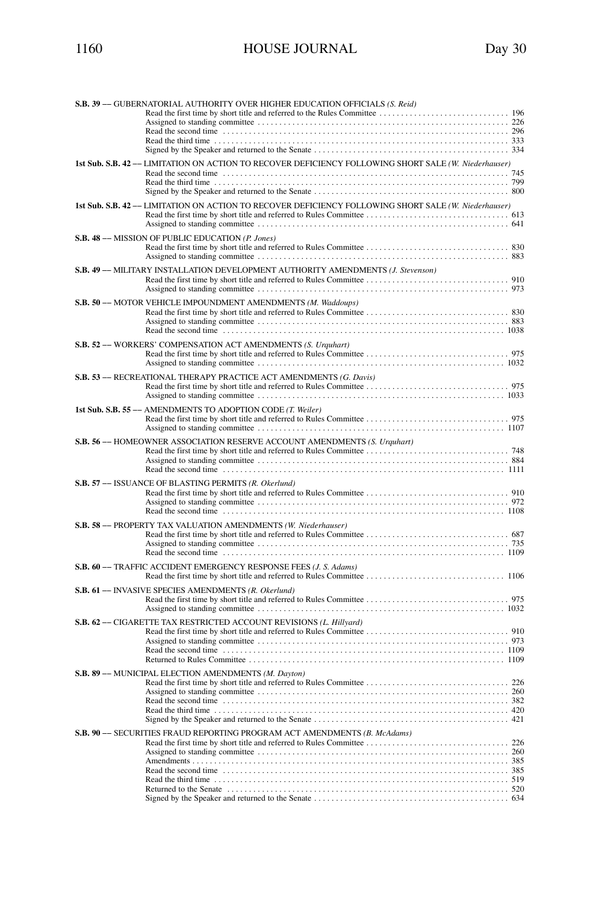| S.B. 39 -- GUBERNATORIAL AUTHORITY OVER HIGHER EDUCATION OFFICIALS (S. Reid)                                                                                                                                                   |
|--------------------------------------------------------------------------------------------------------------------------------------------------------------------------------------------------------------------------------|
|                                                                                                                                                                                                                                |
|                                                                                                                                                                                                                                |
|                                                                                                                                                                                                                                |
|                                                                                                                                                                                                                                |
| 1st Sub. S.B. 42 -- LIMITATION ON ACTION TO RECOVER DEFICIENCY FOLLOWING SHORT SALE (W. Niederhauser)                                                                                                                          |
|                                                                                                                                                                                                                                |
|                                                                                                                                                                                                                                |
|                                                                                                                                                                                                                                |
| 1st Sub. S.B. 42 -- LIMITATION ON ACTION TO RECOVER DEFICIENCY FOLLOWING SHORT SALE (W. Niederhauser)                                                                                                                          |
|                                                                                                                                                                                                                                |
| S.B. 48 -- MISSION OF PUBLIC EDUCATION (P. Jones)                                                                                                                                                                              |
|                                                                                                                                                                                                                                |
| S.B. 49 -- MILITARY INSTALLATION DEVELOPMENT AUTHORITY AMENDMENTS (J. Stevenson)                                                                                                                                               |
|                                                                                                                                                                                                                                |
| S.B. 50 -- MOTOR VEHICLE IMPOUNDMENT AMENDMENTS (M. Waddoups)                                                                                                                                                                  |
|                                                                                                                                                                                                                                |
|                                                                                                                                                                                                                                |
|                                                                                                                                                                                                                                |
| S.B. 52 -- WORKERS' COMPENSATION ACT AMENDMENTS (S. Urquhart)                                                                                                                                                                  |
|                                                                                                                                                                                                                                |
| S.B. 53 -- RECREATIONAL THERAPY PRACTICE ACT AMENDMENTS (G. Davis)                                                                                                                                                             |
|                                                                                                                                                                                                                                |
| 1st Sub. S.B. 55 -- AMENDMENTS TO ADOPTION CODE (T. Weiler)                                                                                                                                                                    |
|                                                                                                                                                                                                                                |
| S.B. 56 -- HOMEOWNER ASSOCIATION RESERVE ACCOUNT AMENDMENTS (S. Urguhart)                                                                                                                                                      |
|                                                                                                                                                                                                                                |
|                                                                                                                                                                                                                                |
|                                                                                                                                                                                                                                |
| S.B. 57 -- ISSUANCE OF BLASTING PERMITS (R. Okerlund)                                                                                                                                                                          |
|                                                                                                                                                                                                                                |
|                                                                                                                                                                                                                                |
| Read the second time contained and the contact of the second time in the second time contact the second time contact the second time contact the second time contact the second time second time second time second time secon |
| S.B. 58 -- PROPERTY TAX VALUATION AMENDMENTS (W. Niederhauser)                                                                                                                                                                 |
|                                                                                                                                                                                                                                |
|                                                                                                                                                                                                                                |
|                                                                                                                                                                                                                                |
| S.B. 60 -- TRAFFIC ACCIDENT EMERGENCY RESPONSE FEES (J. S. Adams)                                                                                                                                                              |
| S.B. 61 -- INVASIVE SPECIES AMENDMENTS (R. Okerlund)                                                                                                                                                                           |
|                                                                                                                                                                                                                                |
|                                                                                                                                                                                                                                |
| S.B. 62 -- CIGARETTE TAX RESTRICTED ACCOUNT REVISIONS (L. Hillyard)                                                                                                                                                            |
|                                                                                                                                                                                                                                |
|                                                                                                                                                                                                                                |
|                                                                                                                                                                                                                                |
| S.B. 89 -- MUNICIPAL ELECTION AMENDMENTS (M. Dayton)                                                                                                                                                                           |
|                                                                                                                                                                                                                                |
|                                                                                                                                                                                                                                |
|                                                                                                                                                                                                                                |
|                                                                                                                                                                                                                                |
|                                                                                                                                                                                                                                |
| S.B. 90 -- SECURITIES FRAUD REPORTING PROGRAM ACT AMENDMENTS (B. McAdams)                                                                                                                                                      |
|                                                                                                                                                                                                                                |
|                                                                                                                                                                                                                                |
|                                                                                                                                                                                                                                |
|                                                                                                                                                                                                                                |
|                                                                                                                                                                                                                                |
|                                                                                                                                                                                                                                |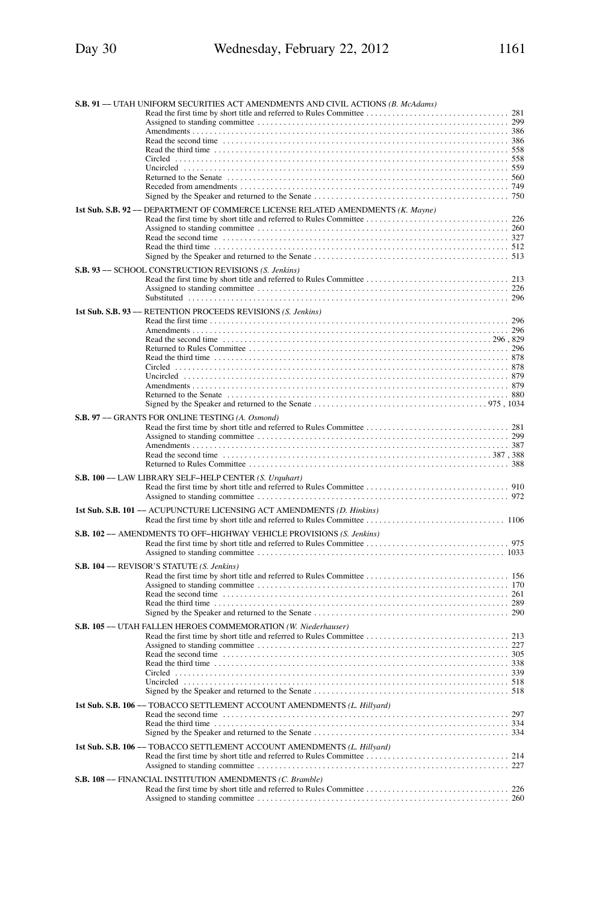| S.B. 91 -- UTAH UNIFORM SECURITIES ACT AMENDMENTS AND CIVIL ACTIONS (B. McAdams)                                                                                                                                               |
|--------------------------------------------------------------------------------------------------------------------------------------------------------------------------------------------------------------------------------|
| Read the second time contained and the contact of the second time contact the second time contact and the second time contact and the second time contact and the second time contact and the second time second time second t |
|                                                                                                                                                                                                                                |
| 1st Sub. S.B. 92 -- DEPARTMENT OF COMMERCE LICENSE RELATED AMENDMENTS (K. Mayne)                                                                                                                                               |
|                                                                                                                                                                                                                                |
| S.B. 93 -- SCHOOL CONSTRUCTION REVISIONS (S. Jenkins)                                                                                                                                                                          |
|                                                                                                                                                                                                                                |
| 1st Sub. S.B. 93 -- RETENTION PROCEEDS REVISIONS (S. Jenkins)                                                                                                                                                                  |
| Read the second time contained as a set of the second time contained as a set of the second time contained as $296, 829$                                                                                                       |
| S.B. 97 -- GRANTS FOR ONLINE TESTING (A. Osmond)                                                                                                                                                                               |
|                                                                                                                                                                                                                                |
| S.B. 100 -- LAW LIBRARY SELF-HELP CENTER (S. Urguhart)                                                                                                                                                                         |
| 1st Sub. S.B. 101 -- ACUPUNCTURE LICENSING ACT AMENDMENTS (D. Hinkins)                                                                                                                                                         |
| S.B. 102 -- AMENDMENTS TO OFF-HIGHWAY VEHICLE PROVISIONS (S. Jenkins)                                                                                                                                                          |
| S.B. 104 -- REVISOR'S STATUTE (S. Jenkins)                                                                                                                                                                                     |
| S.B. 105 -- UTAH FALLEN HEROES COMMEMORATION (W. Niederhauser)                                                                                                                                                                 |
|                                                                                                                                                                                                                                |
| 1st Sub. S.B. 106 -- TOBACCO SETTLEMENT ACCOUNT AMENDMENTS (L. Hillyard)                                                                                                                                                       |
| 1st Sub. S.B. 106 -- TOBACCO SETTLEMENT ACCOUNT AMENDMENTS (L. Hillyard)                                                                                                                                                       |
| S.B. 108 -- FINANCIAL INSTITUTION AMENDMENTS (C. Bramble)                                                                                                                                                                      |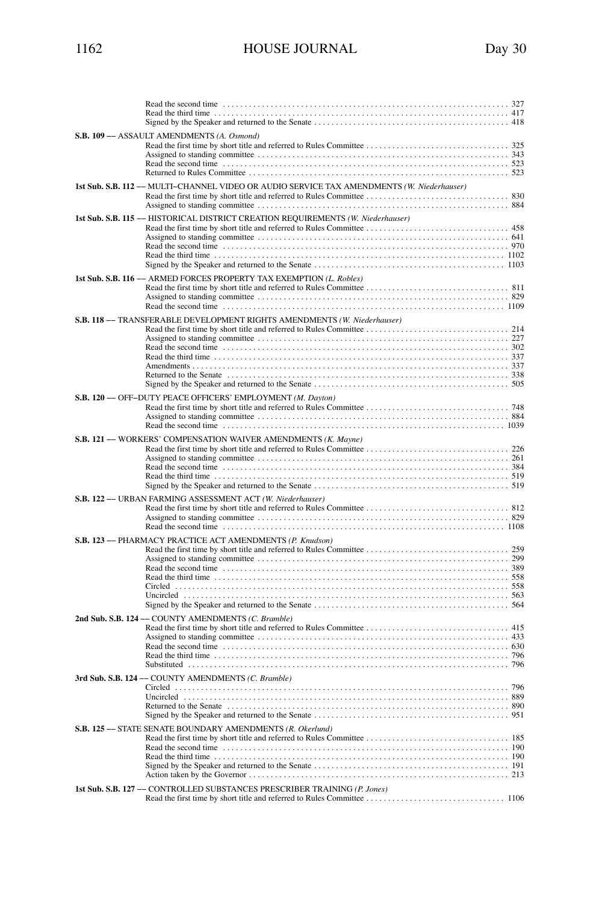| S.B. 109 - ASSAULT AMENDMENTS (A. Osmond)                                                                                                                |  |
|----------------------------------------------------------------------------------------------------------------------------------------------------------|--|
| 1st Sub. S.B. 112 -- MULTI-CHANNEL VIDEO OR AUDIO SERVICE TAX AMENDMENTS (W. Niederhauser)                                                               |  |
| 1st Sub. S.B. 115 -- HISTORICAL DISTRICT CREATION REQUIREMENTS (W. Niederhauser)<br>1st Sub. S.B. 116 -- ARMED FORCES PROPERTY TAX EXEMPTION (L. Robles) |  |
|                                                                                                                                                          |  |
| S.B. 118 -- TRANSFERABLE DEVELOPMENT RIGHTS AMENDMENTS (W. Niederhauser)                                                                                 |  |
| S.B. 120 -- OFF-DUTY PEACE OFFICERS' EMPLOYMENT (M. Dayton)                                                                                              |  |
| S.B. 121 -- WORKERS' COMPENSATION WAIVER AMENDMENTS (K. Mayne)                                                                                           |  |
| S.B. 122 -- URBAN FARMING ASSESSMENT ACT (W. Niederhauser)                                                                                               |  |
| S.B. 123 -- PHARMACY PRACTICE ACT AMENDMENTS (P. Knudson)                                                                                                |  |
| 2nd Sub. S.B. 124 -- COUNTY AMENDMENTS (C. Bramble)                                                                                                      |  |
| 3rd Sub. S.B. 124 -- COUNTY AMENDMENTS (C. Bramble)                                                                                                      |  |
| S.B. 125 -- STATE SENATE BOUNDARY AMENDMENTS (R. Okerlund)                                                                                               |  |
| 1st Sub. S.B. 127 -- CONTROLLED SUBSTANCES PRESCRIBER TRAINING (P. Jones)                                                                                |  |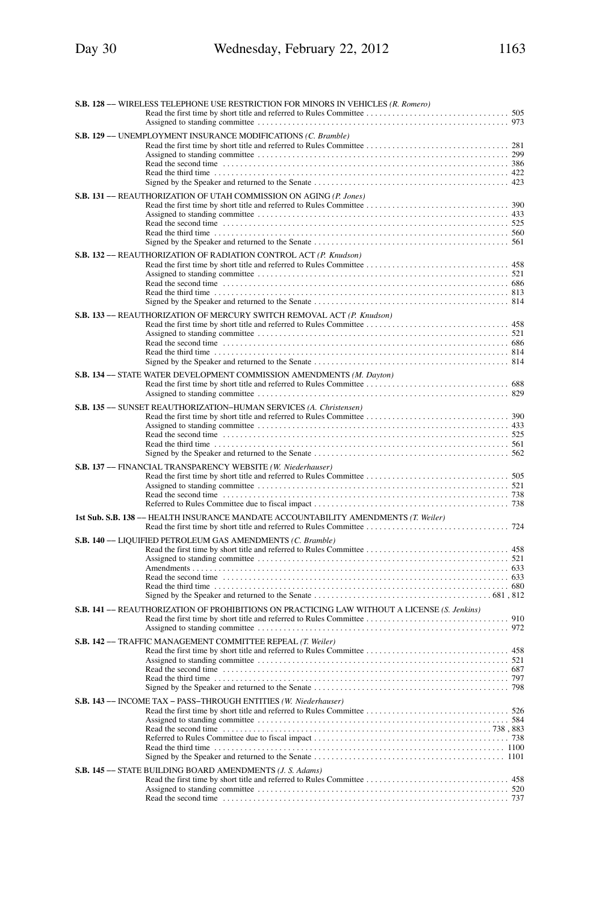| S.B. 128 -- WIRELESS TELEPHONE USE RESTRICTION FOR MINORS IN VEHICLES (R. Romero)                                                                                                                                              |  |
|--------------------------------------------------------------------------------------------------------------------------------------------------------------------------------------------------------------------------------|--|
|                                                                                                                                                                                                                                |  |
| S.B. 129 -- UNEMPLOYMENT INSURANCE MODIFICATIONS (C. Bramble)                                                                                                                                                                  |  |
|                                                                                                                                                                                                                                |  |
|                                                                                                                                                                                                                                |  |
|                                                                                                                                                                                                                                |  |
| S.B. 131 -- REAUTHORIZATION OF UTAH COMMISSION ON AGING (P. Jones)                                                                                                                                                             |  |
|                                                                                                                                                                                                                                |  |
|                                                                                                                                                                                                                                |  |
|                                                                                                                                                                                                                                |  |
|                                                                                                                                                                                                                                |  |
| S.B. 132 -- REAUTHORIZATION OF RADIATION CONTROL ACT (P. Knudson)                                                                                                                                                              |  |
|                                                                                                                                                                                                                                |  |
|                                                                                                                                                                                                                                |  |
|                                                                                                                                                                                                                                |  |
| S.B. 133 -- REAUTHORIZATION OF MERCURY SWITCH REMOVAL ACT (P. Knudson)                                                                                                                                                         |  |
|                                                                                                                                                                                                                                |  |
|                                                                                                                                                                                                                                |  |
|                                                                                                                                                                                                                                |  |
| S.B. 134 -- STATE WATER DEVELOPMENT COMMISSION AMENDMENTS (M. Dayton)                                                                                                                                                          |  |
|                                                                                                                                                                                                                                |  |
|                                                                                                                                                                                                                                |  |
| S.B. 135 -- SUNSET REAUTHORIZATION-HUMAN SERVICES (A. Christensen)                                                                                                                                                             |  |
|                                                                                                                                                                                                                                |  |
| Read the second time contained and the contact of the second time is set of the second time contact time is set of the second time of the second time of the second time of the second time of the second time of the second t |  |
|                                                                                                                                                                                                                                |  |
| S.B. 137 -- FINANCIAL TRANSPARENCY WEBSITE (W. Niederhauser)                                                                                                                                                                   |  |
|                                                                                                                                                                                                                                |  |
|                                                                                                                                                                                                                                |  |
|                                                                                                                                                                                                                                |  |
| 1st Sub. S.B. 138 -- HEALTH INSURANCE MANDATE ACCOUNTABILITY AMENDMENTS (T. Weiler)                                                                                                                                            |  |
| S.B. 140 -- LIQUIFIED PETROLEUM GAS AMENDMENTS (C. Bramble)                                                                                                                                                                    |  |
|                                                                                                                                                                                                                                |  |
|                                                                                                                                                                                                                                |  |
|                                                                                                                                                                                                                                |  |
|                                                                                                                                                                                                                                |  |
| S.B. 141 -- REAUTHORIZATION OF PROHIBITIONS ON PRACTICING LAW WITHOUT A LICENSE (S. Jenkins)                                                                                                                                   |  |
|                                                                                                                                                                                                                                |  |
| S.B. 142 -- TRAFFIC MANAGEMENT COMMITTEE REPEAL (T. Weiler)                                                                                                                                                                    |  |
|                                                                                                                                                                                                                                |  |
|                                                                                                                                                                                                                                |  |
|                                                                                                                                                                                                                                |  |
|                                                                                                                                                                                                                                |  |
| S.B. 143 -- INCOME TAX - PASS-THROUGH ENTITIES (W. Niederhauser)                                                                                                                                                               |  |
|                                                                                                                                                                                                                                |  |
|                                                                                                                                                                                                                                |  |
|                                                                                                                                                                                                                                |  |
|                                                                                                                                                                                                                                |  |
| S.B. 145 -- STATE BUILDING BOARD AMENDMENTS (J. S. Adams)                                                                                                                                                                      |  |
|                                                                                                                                                                                                                                |  |
|                                                                                                                                                                                                                                |  |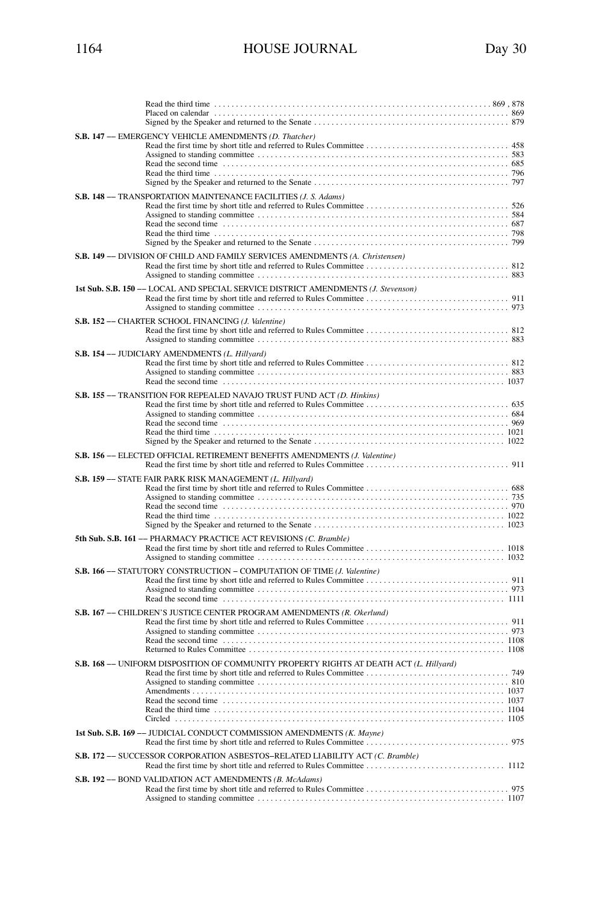| S.B. 147 -- EMERGENCY VEHICLE AMENDMENTS (D. Thatcher)                                                                                                                                                                                                                                                    |
|-----------------------------------------------------------------------------------------------------------------------------------------------------------------------------------------------------------------------------------------------------------------------------------------------------------|
| S.B. 148 -- TRANSPORTATION MAINTENANCE FACILITIES (J. S. Adams)                                                                                                                                                                                                                                           |
| S.B. 149 -- DIVISION OF CHILD AND FAMILY SERVICES AMENDMENTS (A. Christensen)                                                                                                                                                                                                                             |
| 1st Sub. S.B. 150 -- LOCAL AND SPECIAL SERVICE DISTRICT AMENDMENTS (J. Stevenson)                                                                                                                                                                                                                         |
| S.B. 152 - CHARTER SCHOOL FINANCING (J. Valentine)                                                                                                                                                                                                                                                        |
| S.B. 154 -- JUDICIARY AMENDMENTS (L. Hillyard)                                                                                                                                                                                                                                                            |
| S.B. 155 -- TRANSITION FOR REPEALED NAVAJO TRUST FUND ACT (D. Hinkins)                                                                                                                                                                                                                                    |
| S.B. 156 -- ELECTED OFFICIAL RETIREMENT BENEFITS AMENDMENTS (J. Valentine)                                                                                                                                                                                                                                |
| S.B. 159 -- STATE FAIR PARK RISK MANAGEMENT (L. Hillyard)                                                                                                                                                                                                                                                 |
| 5th Sub. S.B. 161 -- PHARMACY PRACTICE ACT REVISIONS (C. Bramble)                                                                                                                                                                                                                                         |
| S.B. 166 -- STATUTORY CONSTRUCTION - COMPUTATION OF TIME (J. Valentine)<br>Read the second time contained and the contact of the contact the contact of the second time contact the contact of the contact of the contact of the contact of the contact of the contact of the contact of the contact of t |
| S.B. 167 -- CHILDREN'S JUSTICE CENTER PROGRAM AMENDMENTS (R. Okerlund)                                                                                                                                                                                                                                    |
| S.B. 168 -- UNIFORM DISPOSITION OF COMMUNITY PROPERTY RIGHTS AT DEATH ACT (L. Hillyard)                                                                                                                                                                                                                   |
| 1st Sub. S.B. 169 -- JUDICIAL CONDUCT COMMISSION AMENDMENTS (K. Mayne)                                                                                                                                                                                                                                    |
| S.B. 172 -- SUCCESSOR CORPORATION ASBESTOS-RELATED LIABILITY ACT (C. Bramble)                                                                                                                                                                                                                             |
| S.B. 192 -- BOND VALIDATION ACT AMENDMENTS (B. McAdams)                                                                                                                                                                                                                                                   |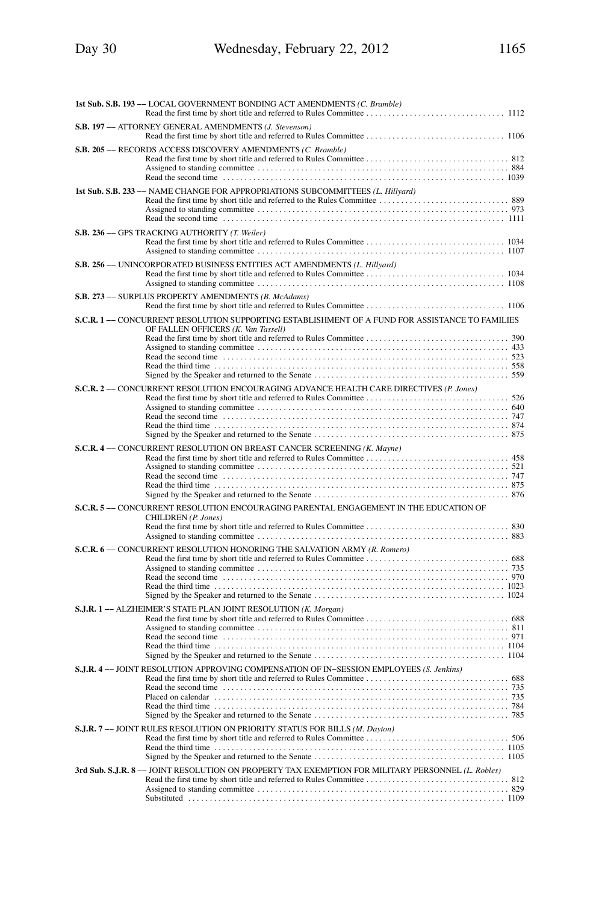| 1st Sub. S.B. 193 -- LOCAL GOVERNMENT BONDING ACT AMENDMENTS (C. Bramble)                                                            |
|--------------------------------------------------------------------------------------------------------------------------------------|
| S.B. 197 -- ATTORNEY GENERAL AMENDMENTS (J. Stevenson)                                                                               |
| S.B. 205 -- RECORDS ACCESS DISCOVERY AMENDMENTS (C. Bramble)                                                                         |
| 1st Sub. S.B. 233 -- NAME CHANGE FOR APPROPRIATIONS SUBCOMMITTEES (L. Hillyard)                                                      |
| S.B. 236 -- GPS TRACKING AUTHORITY (T. Weiler)                                                                                       |
| S.B. 256 -- UNINCORPORATED BUSINESS ENTITIES ACT AMENDMENTS (L. Hillyard)                                                            |
| S.B. 273 -- SURPLUS PROPERTY AMENDMENTS (B. McAdams)                                                                                 |
| S.C.R. 1- CONCURRENT RESOLUTION SUPPORTING ESTABLISHMENT OF A FUND FOR ASSISTANCE TO FAMILIES<br>OF FALLEN OFFICERS (K. Van Tassell) |
| S.C.R. 2- CONCURRENT RESOLUTION ENCOURAGING ADVANCE HEALTH CARE DIRECTIVES (P. Jones)                                                |
| S.C.R. 4 -- CONCURRENT RESOLUTION ON BREAST CANCER SCREENING (K. Mayne)                                                              |
| S.C.R. 5- CONCURRENT RESOLUTION ENCOURAGING PARENTAL ENGAGEMENT IN THE EDUCATION OF<br>CHILDREN (P. Jones)                           |
| S.C.R. 6- CONCURRENT RESOLUTION HONORING THE SALVATION ARMY (R. Romero)                                                              |
| S.J.R. 1- ALZHEIMER'S STATE PLAN JOINT RESOLUTION (K. Morgan)                                                                        |
| S.J.R. 4 -- JOINT RESOLUTION APPROVING COMPENSATION OF IN-SESSION EMPLOYEES (S. Jenkins)                                             |
| S.J.R. 7 - JOINT RULES RESOLUTION ON PRIORITY STATUS FOR BILLS (M. Dayton)                                                           |
| 3rd Sub. S.J.R. 8 -- JOINT RESOLUTION ON PROPERTY TAX EXEMPTION FOR MILITARY PERSONNEL (L. Robles)                                   |